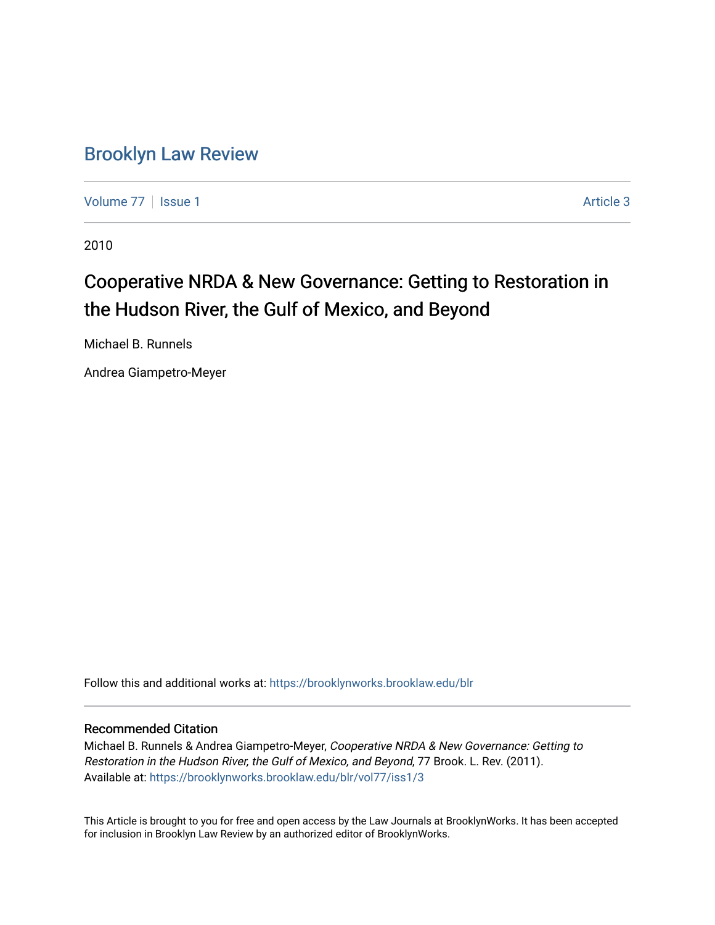# [Brooklyn Law Review](https://brooklynworks.brooklaw.edu/blr)

[Volume 77](https://brooklynworks.brooklaw.edu/blr/vol77) | [Issue 1](https://brooklynworks.brooklaw.edu/blr/vol77/iss1) Article 3

2010

# Cooperative NRDA & New Governance: Getting to Restoration in the Hudson River, the Gulf of Mexico, and Beyond

Michael B. Runnels

Andrea Giampetro-Meyer

Follow this and additional works at: [https://brooklynworks.brooklaw.edu/blr](https://brooklynworks.brooklaw.edu/blr?utm_source=brooklynworks.brooklaw.edu%2Fblr%2Fvol77%2Fiss1%2F3&utm_medium=PDF&utm_campaign=PDFCoverPages) 

### Recommended Citation

Michael B. Runnels & Andrea Giampetro-Meyer, Cooperative NRDA & New Governance: Getting to Restoration in the Hudson River, the Gulf of Mexico, and Beyond, 77 Brook. L. Rev. (2011). Available at: [https://brooklynworks.brooklaw.edu/blr/vol77/iss1/3](https://brooklynworks.brooklaw.edu/blr/vol77/iss1/3?utm_source=brooklynworks.brooklaw.edu%2Fblr%2Fvol77%2Fiss1%2F3&utm_medium=PDF&utm_campaign=PDFCoverPages)

This Article is brought to you for free and open access by the Law Journals at BrooklynWorks. It has been accepted for inclusion in Brooklyn Law Review by an authorized editor of BrooklynWorks.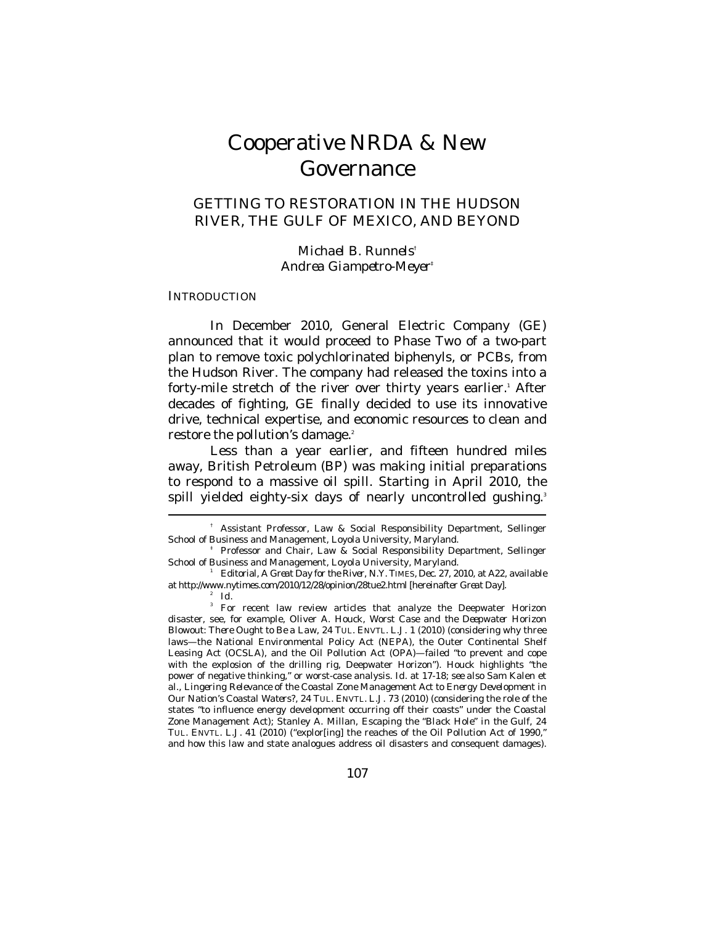# Cooperative NRDA & New Governance

# GETTING TO RESTORATION IN THE HUDSON RIVER, THE GULF OF MEXICO, AND BEYOND

*Michael B. Runnels*† *Andrea Giampetro-Meyer*‡

#### **INTRODUCTION**

In December 2010, General Electric Company (GE) announced that it would proceed to Phase Two of a two-part plan to remove toxic polychlorinated biphenyls, or PCBs, from the Hudson River. The company had released the toxins into a forty-mile stretch of the river over thirty years earlier.<sup>1</sup> After decades of fighting, GE finally decided to use its innovative drive, technical expertise, and economic resources to clean and restore the pollution's damage.<sup>2</sup>

Less than a year earlier, and fifteen hundred miles away, British Petroleum (BP) was making initial preparations to respond to a massive oil spill. Starting in April 2010, the spill yielded eighty-six days of nearly uncontrolled gushing.<sup>3</sup>  $\overline{a}$ 

 <sup>†</sup> Assistant Professor, Law & Social Responsibility Department, Sellinger School of Business and Management, Loyola University, Maryland.

 <sup>‡</sup> Professor and Chair, Law & Social Responsibility Department, Sellinger

Editorial, A Great Day for the River, N.Y. TIMES, Dec. 27, 2010, at A22, *available at* http://www.nytimes.com/2010/12/28/opinion/28tue2.html [hereinafter *Great Day*]. 2 *Id.*

<sup>&</sup>lt;sup>3</sup> For recent law review articles that analyze the Deepwater Horizon disaster, see, for example, Oliver A. Houck, *Worst Case and the Deepwater Horizon Blowout: There Ought to Be a Law*, 24 TUL. ENVTL. L.J. 1 (2010) (considering why three laws—the National Environmental Policy Act (NEPA), the Outer Continental Shelf Leasing Act (OCSLA), and the Oil Pollution Act (OPA)—failed "to prevent and cope with the explosion of the drilling rig, Deepwater Horizon"). Houck highlights "the power of negative thinking," or worst-case analysis. *Id.* at 17-18; *see also* Sam Kalen et al., *Lingering Relevance of the Coastal Zone Management Act to Energy Development in Our Nation's Coastal Waters?*, 24 TUL. ENVTL. L.J. 73 (2010) (considering the role of the states "to influence energy development occurring off their coasts" under the Coastal Zone Management Act); Stanley A. Millan, *Escaping the "Black Hole" in the Gulf*, 24 TUL. ENVTL. L.J. 41 (2010) ("explor[ing] the reaches of the Oil Pollution Act of 1990," and how this law and state analogues address oil disasters and consequent damages).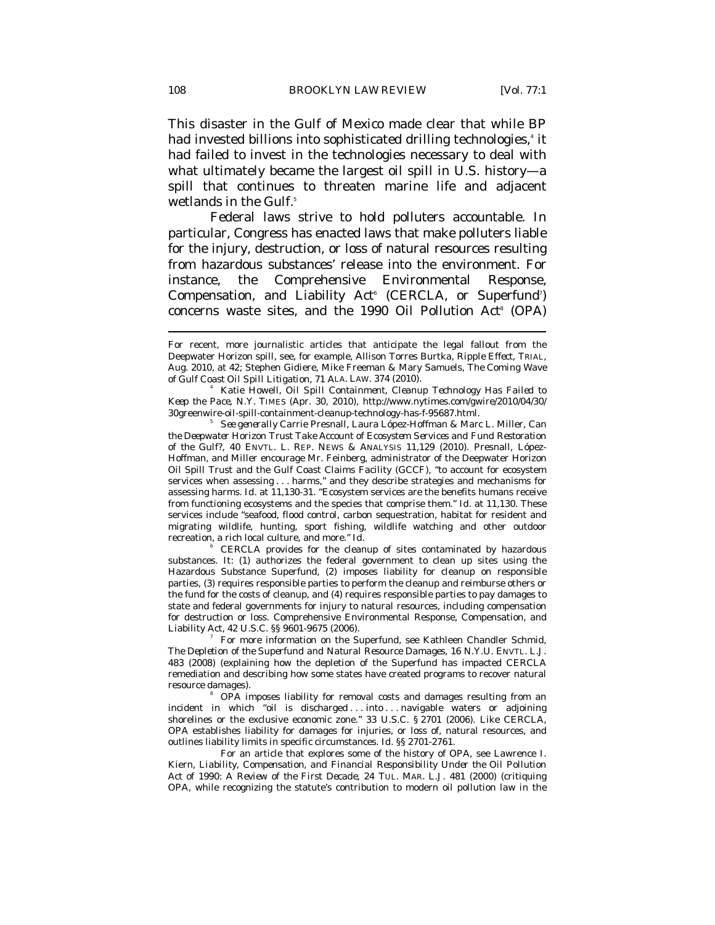This disaster in the Gulf of Mexico made clear that while BP had invested billions into sophisticated drilling technologies,<sup>4</sup> it had failed to invest in the technologies necessary to deal with what ultimately became the largest oil spill in U.S. history—a spill that continues to threaten marine life and adjacent wetlands in the Gulf. $^{\mathrm{5}}$ 

Federal laws strive to hold polluters accountable. In particular, Congress has enacted laws that make polluters liable for the injury, destruction, or loss of natural resources resulting from hazardous substances' release into the environment. For instance, the Comprehensive Environmental Response, Compensation, and Liability  $Act^6$  (CERCLA, or Superfund<sup>7</sup>) concerns waste sites, and the 1990 Oil Pollution Act<sup>®</sup> (OPA)

6 CERCLA provides for the cleanup of sites contaminated by hazardous substances. It: (1) authorizes the federal government to clean up sites using the Hazardous Substance Superfund, (2) imposes liability for cleanup on responsible parties, (3) requires responsible parties to perform the cleanup and reimburse others or the fund for the costs of cleanup, and (4) requires responsible parties to pay damages to state and federal governments for injury to natural resources, including compensation for destruction or loss. Comprehensive Environmental Response, Compensation, and Liability Act, 42 U.S.C. §§ 9601-9675 (2006). 7

 For more information on the Superfund, see Kathleen Chandler Schmid, *The Depletion of the Superfund and Natural Resource Damages*, 16 N.Y.U. ENVTL. L.J. 483 (2008) (explaining how the depletion of the Superfund has impacted CERCLA remediation and describing how some states have created programs to recover natural resource damages)

 OPA imposes liability for removal costs and damages resulting from an incident in which "oil is discharged . . . into . . . navigable waters or adjoining shorelines or the exclusive economic zone." 33 U.S.C. § 2701 (2006). Like CERCLA, OPA establishes liability for damages for injuries, or loss of, natural resources, and outlines liability limits in specific circumstances. *Id.* §§ 2701-2761.

 For an article that explores some of the history of OPA, see Lawrence I. Kiern, *Liability, Compensation, and Financial Responsibility Under the Oil Pollution Act of 1990: A Review of the First Decade*, 24 TUL. MAR. L.J. 481 (2000) (critiquing OPA, while recognizing the statute's contribution to modern oil pollution law in the

For recent, more journalistic articles that anticipate the legal fallout from the Deepwater Horizon spill, see, for example, Allison Torres Burtka, *Ripple Effect*, TRIAL, Aug. 2010, at 42; Stephen Gidiere, Mike Freeman & Mary Samuels, *The Coming Wave of Gulf Coast Oil Spill Litigation*, 71 ALA. LAW. 374 (2010). 4

Katie Howell, *Oil Spill Containment, Cleanup Technology Has Failed to Keep the Pace*, N.Y. TIMES (Apr. 30, 2010), http://www.nytimes.com/gwire/2010/04/30/ 30greenwire-oil-spill-containment-cleanup-technology-has-f-95687.html. 5

*See generally* Carrie Presnall, Laura López-Hoffman & Marc L. Miller, *Can the Deepwater Horizon Trust Take Account of Ecosystem Services and Fund Restoration of the Gulf?*, 40 ENVTL. L. REP. NEWS & ANALYSIS 11,129 (2010). Presnall, López-Hoffman, and Miller encourage Mr. Feinberg, administrator of the Deepwater Horizon Oil Spill Trust and the Gulf Coast Claims Facility (GCCF), "to account for ecosystem services when assessing . . . harms," and they describe strategies and mechanisms for assessing harms. *Id.* at 11,130-31. "Ecosystem services are the benefits humans receive from functioning ecosystems and the species that comprise them." *Id.* at 11,130. These services include "seafood, flood control, carbon sequestration, habitat for resident and migrating wildlife, hunting, sport fishing, wildlife watching and other outdoor recreation, a rich local culture, and more." *Id.*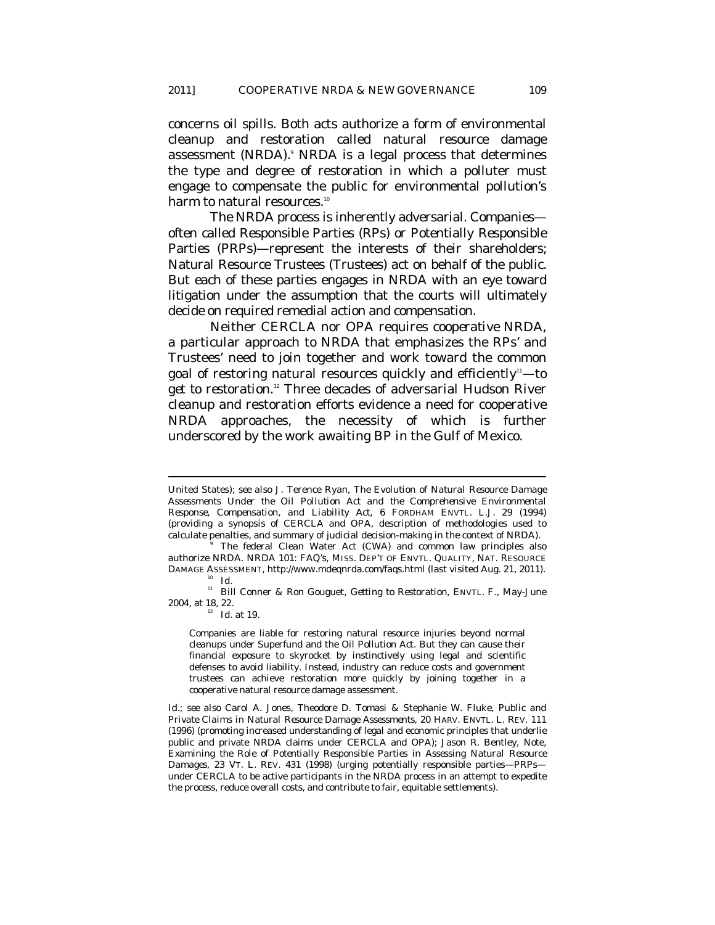concerns oil spills. Both acts authorize a form of environmental cleanup and restoration called natural resource damage assessment (NRDA).<sup>9</sup> NRDA is a legal process that determines the type and degree of restoration in which a polluter must engage to compensate the public for environmental pollution's harm to natural resources.<sup>10</sup>

The NRDA process is inherently adversarial. Companies often called Responsible Parties (RPs) or Potentially Responsible Parties (PRPs)—represent the interests of their shareholders; Natural Resource Trustees (Trustees) act on behalf of the public. But each of these parties engages in NRDA with an eye toward litigation under the assumption that the courts will ultimately decide on required remedial action and compensation.

Neither CERCLA nor OPA requires *cooperative* NRDA, a particular approach to NRDA that emphasizes the RPs' and Trustees' need to join together and work toward the common goal of restoring natural resources quickly and efficiently $-$ to *get to restoration*. 12 Three decades of adversarial Hudson River cleanup and restoration efforts evidence a need for cooperative NRDA approaches, the necessity of which is further underscored by the work awaiting BP in the Gulf of Mexico.

 $\overline{a}$ 

Companies are liable for restoring natural resource injuries beyond normal cleanups under Superfund and the Oil Pollution Act. But they can cause their financial exposure to skyrocket by instinctively using legal and scientific defenses to avoid liability. Instead, industry can reduce costs and government trustees can achieve restoration more quickly by joining together in a cooperative natural resource damage assessment.

United States); *see also* J. Terence Ryan, *The Evolution of Natural Resource Damage Assessments Under the Oil Pollution Act and the Comprehensive Environmental Response, Compensation, and Liability Act*, 6 FORDHAM ENVTL. L.J. 29 (1994) (providing a synopsis of CERCLA and OPA, description of methodologies used to calculate penalties, and summary of judicial decision-making in the context of NRDA). 9

The federal Clean Water Act (CWA) and common law principles also authorize NRDA. *NRDA 101: FAQ's*, MISS. DEP'T OF ENVTL. QUALITY, NAT. RESOURCE DAMAGE ASSESSMENT, http://www.mdeqnrda.com/faqs.html (last visited Aug. 21, 2011).<br><sup>10</sup> *Id.* 

<sup>&</sup>lt;sup>11</sup> Bill Conner & Ron Gouguet, *Getting to Restoration*, ENVTL. F., May-June 2004, at 18, 22.<br><sup>12</sup> *Id.* at 19.

*Id.*; *see also* Carol A. Jones, Theodore D. Tomasi & Stephanie W. Fluke, *Public and Private Claims in Natural Resource Damage Assessments*, 20 HARV. ENVTL. L. REV. 111 (1996) (promoting increased understanding of legal and economic principles that underlie public and private NRDA claims under CERCLA and OPA); Jason R. Bentley, Note, *Examining the Role of Potentially Responsible Parties in Assessing Natural Resource Damages*, 23 VT. L. REV. 431 (1998) (urging potentially responsible parties—PRPs under CERCLA to be active participants in the NRDA process in an attempt to expedite the process, reduce overall costs, and contribute to fair, equitable settlements).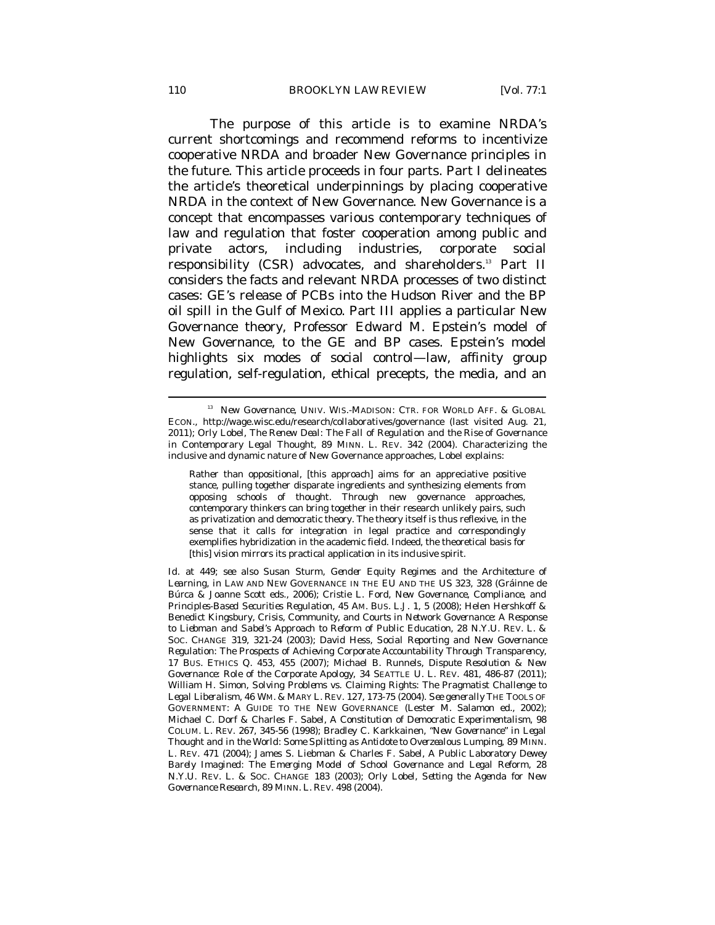The purpose of this article is to examine NRDA's current shortcomings and recommend reforms to incentivize cooperative NRDA and broader New Governance principles in the future. This article proceeds in four parts. Part I delineates the article's theoretical underpinnings by placing cooperative NRDA in the context of New Governance. New Governance is a concept that encompasses various contemporary techniques of law and regulation that foster cooperation among public and private actors, including industries, corporate social responsibility (CSR) advocates, and shareholders.13 Part II considers the facts and relevant NRDA processes of two distinct cases: GE's release of PCBs into the Hudson River and the BP oil spill in the Gulf of Mexico. Part III applies a particular New Governance theory, Professor Edward M. Epstein's model of New Governance, to the GE and BP cases. Epstein's model highlights six modes of social control—law, affinity group regulation, self-regulation, ethical precepts, the media, and an

<sup>&</sup>lt;sup>13</sup> *New Governance*, UNIV. WIS.-MADISON: CTR. FOR WORLD AFF. & GLOBAL ECON., http://wage.wisc.edu/research/collaboratives/governance (last visited Aug. 21, 2011); Orly Lobel, *The Renew Deal: The Fall of Regulation and the Rise of Governance in Contemporary Legal Thought*, 89 MINN. L. REV. 342 (2004). Characterizing the inclusive and dynamic nature of New Governance approaches, Lobel explains:

Rather than oppositional, [this approach] aims for an appreciative positive stance, pulling together disparate ingredients and synthesizing elements from opposing schools of thought. Through new governance approaches, contemporary thinkers can bring together in their research unlikely pairs, such as privatization and democratic theory. The theory itself is thus reflexive, in the sense that it calls for integration in legal practice and correspondingly exemplifies hybridization in the academic field. Indeed, the theoretical basis for [this] vision mirrors its practical application in its inclusive spirit.

*Id.* at 449; *see also* Susan Sturm, *Gender Equity Regimes and the Architecture of Learning*, *in* LAW AND NEW GOVERNANCE IN THE EU AND THE US 323, 328 (Gráinne de Búrca & Joanne Scott eds., 2006); Cristie L. Ford, *New Governance, Compliance, and Principles-Based Securities Regulation*, 45 AM. BUS. L.J. 1, 5 (2008); Helen Hershkoff & Benedict Kingsbury, *Crisis, Community, and Courts in Network Governance: A Response to Liebman and Sabel's Approach to Reform of Public Education*, 28 N.Y.U. REV. L. & SOC. CHANGE 319, 321-24 (2003); David Hess, *Social Reporting and New Governance Regulation: The Prospects of Achieving Corporate Accountability Through Transparency*, 17 BUS. ETHICS Q. 453, 455 (2007); Michael B. Runnels, *Dispute Resolution & New Governance: Role of the Corporate Apology*, 34 SEATTLE U. L. REV. 481, 486-87 (2011); William H. Simon, *Solving Problems vs. Claiming Rights: The Pragmatist Challenge to Legal Liberalism*, 46 WM. & MARY L. REV. 127, 173-75 (2004). *See generally* THE TOOLS OF GOVERNMENT: A GUIDE TO THE NEW GOVERNANCE (Lester M. Salamon ed., 2002); Michael C. Dorf & Charles F. Sabel, *A Constitution of Democratic Experimentalism*, 98 COLUM. L. REV. 267, 345-56 (1998); Bradley C. Karkkainen, *"New Governance" in Legal Thought and in the World: Some Splitting as Antidote to Overzealous Lumping*, 89 MINN. L. REV. 471 (2004); James S. Liebman & Charles F. Sabel, *A Public Laboratory Dewey Barely Imagined: The Emerging Model of School Governance and Legal Reform*, 28 N.Y.U. REV. L. & SOC. CHANGE 183 (2003); Orly Lobel, *Setting the Agenda for New Governance Research*, 89 MINN. L. REV. 498 (2004).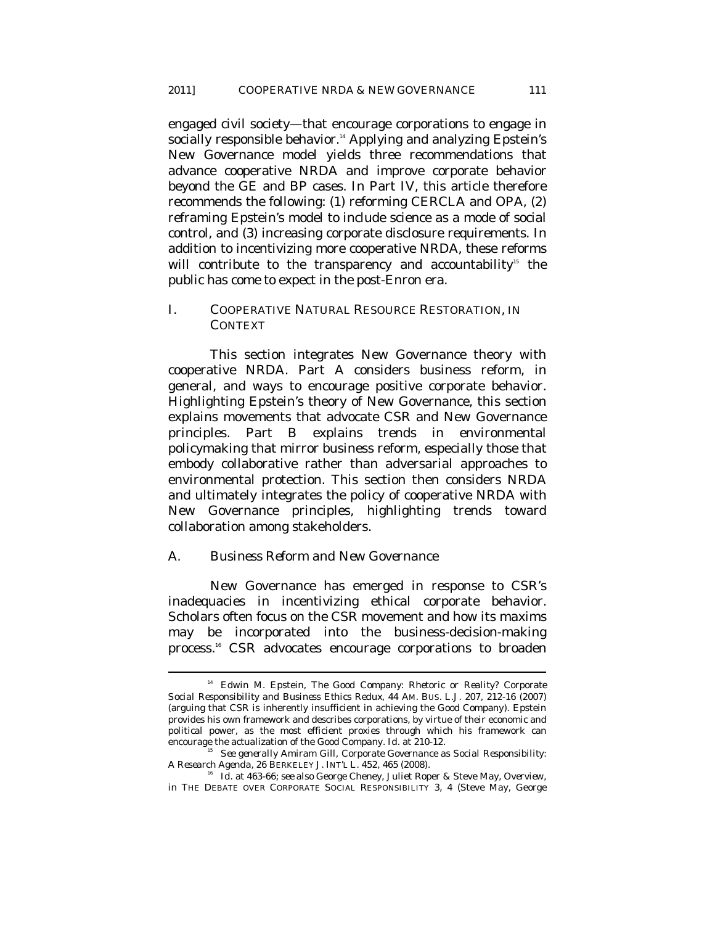engaged civil society—that encourage corporations to engage in socially responsible behavior.<sup>14</sup> Applying and analyzing Epstein's New Governance model yields three recommendations that advance cooperative NRDA and improve corporate behavior beyond the GE and BP cases. In Part IV, this article therefore recommends the following: (1) reforming CERCLA and OPA, (2) reframing Epstein's model to include science as a mode of social control, and (3) increasing corporate disclosure requirements. In addition to incentivizing more cooperative NRDA, these reforms will contribute to the transparency and accountability<sup>15</sup> the public has come to expect in the post-Enron era.

### I. COOPERATIVE NATURAL RESOURCE RESTORATION, IN **CONTEXT**

This section integrates New Governance theory with cooperative NRDA. Part A considers business reform, in general, and ways to encourage positive corporate behavior. Highlighting Epstein's theory of New Governance, this section explains movements that advocate CSR and New Governance principles. Part B explains trends in environmental policymaking that mirror business reform, especially those that embody collaborative rather than adversarial approaches to environmental protection. This section then considers NRDA and ultimately integrates the policy of cooperative NRDA with New Governance principles, highlighting trends toward collaboration among stakeholders.

## *A. Business Reform and New Governance*

 $\overline{a}$ 

New Governance has emerged in response to CSR's inadequacies in incentivizing ethical corporate behavior. Scholars often focus on the CSR movement and how its maxims may be incorporated into the business-decision-making process.<sup>16</sup> CSR advocates encourage corporations to broaden

<sup>14</sup> Edwin M. Epstein, *The Good Company: Rhetoric or Reality? Corporate Social Responsibility and Business Ethics Redux*, 44 AM. BUS. L.J. 207, 212-16 (2007) (arguing that CSR is inherently insufficient in achieving the Good Company). Epstein provides his own framework and describes corporations, by virtue of their economic and political power, as the most efficient proxies through which his framework can encourage the actualization of the Good Company. *Id.* at 210-12.<br><sup>15</sup> See generally Amiram Gill, *Corporate Governance as Social Responsibility:* 

*A Research Agenda*, 26 BERKELEY J. INT'L L. 452, 465 (2008).

<sup>16</sup> *Id.* at 463-66; *see also* George Cheney, Juliet Roper & Steve May, *Overview*, *in* THE DEBATE OVER CORPORATE SOCIAL RESPONSIBILITY 3, 4 (Steve May, George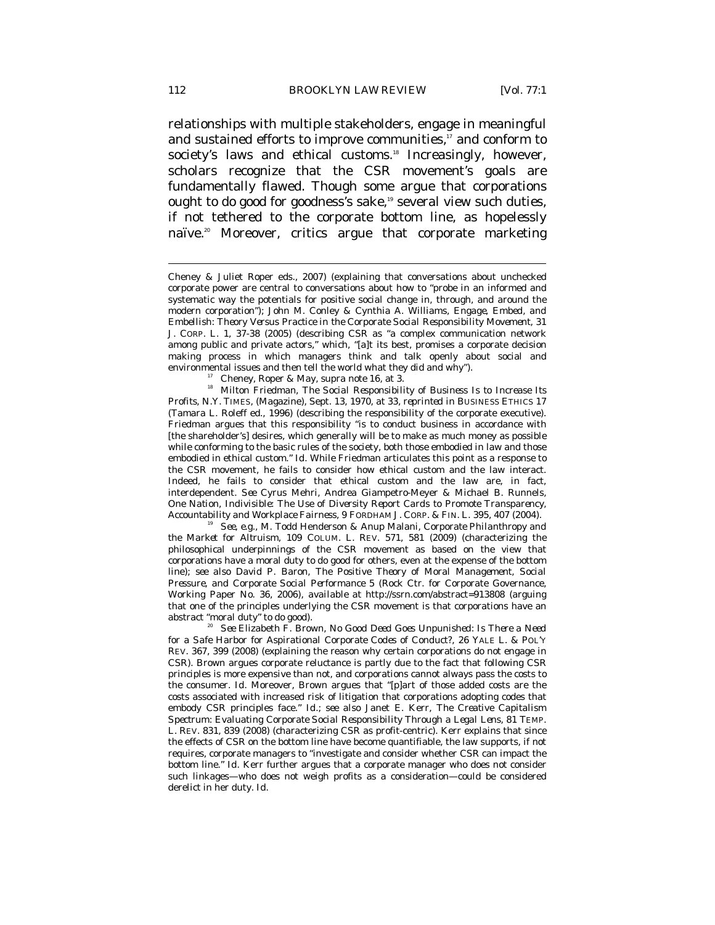relationships with multiple stakeholders, engage in meaningful and sustained efforts to improve communities,<sup>17</sup> and conform to society's laws and ethical customs.<sup>18</sup> Increasingly, however, scholars recognize that the CSR movement's goals are fundamentally flawed. Though some argue that corporations ought to do good for goodness's sake,<sup>19</sup> several view such duties, if not tethered to the corporate bottom line, as hopelessly naïve.<sup>20</sup> Moreover, critics argue that corporate marketing

environmental issues and then tell the world what they did and why").<br><sup>17</sup> Cheney, Roper & May, *supra* note 16, at 3.<br><sup>18</sup> Milton Friedman, *The Social Responsibility of Business Is to Increase Its Profits*, N.Y. TIMES, (Magazine), Sept. 13, 1970, at 33, *reprinted in* BUSINESS ETHICS 17 (Tamara L. Roleff ed., 1996) (describing the responsibility of the corporate executive). Friedman argues that this responsibility "is to conduct business in accordance with [the shareholder's] desires, which generally will be to make as much money as possible while conforming to the basic rules of the society, both those embodied in law and those embodied in ethical custom." *Id.* While Friedman articulates this point as a response to the CSR movement, he fails to consider how ethical custom and the law interact. Indeed, he fails to consider that ethical custom and the law are, in fact, interdependent. *See* Cyrus Mehri, Andrea Giampetro-Meyer & Michael B. Runnels, *One Nation, Indivisible: The Use of Diversity Report Cards to Promote Transparency, Accountability and Workplace Fairness*, 9 FORDHAM J. CORP. & FIN. L. 395, 407 (2004). 19 *See, e.g.*, M. Todd Henderson & Anup Malani, *Corporate Philanthropy and* 

*the Market for Altruism*, 109 COLUM. L. REV. 571, 581 (2009) (characterizing the philosophical underpinnings of the CSR movement as based on the view that corporations have a moral duty to do good for others, even at the expense of the bottom line); *see also* David P. Baron, *The Positive Theory of Moral Management, Social Pressure, and Corporate Social Performance* 5 (Rock Ctr. for Corporate Governance, Working Paper No. 36, 2006), *available at* http://ssrn.com/abstract=913808 (arguing that one of the principles underlying the CSR movement is that corporations have an abstract "moral duty" to do good). 20 *See* Elizabeth F. Brown, *No Good Deed Goes Unpunished: Is There a Need* 

*for a Safe Harbor for Aspirational Corporate Codes of Conduct?*, 26 YALE L. & POL'Y REV. 367, 399 (2008) (explaining the reason why certain corporations do not engage in CSR). Brown argues corporate reluctance is partly due to the fact that following CSR principles is more expensive than not, and corporations cannot always pass the costs to the consumer. *Id.* Moreover, Brown argues that "[p]art of those added costs are the costs associated with increased risk of litigation that corporations adopting codes that embody CSR principles face." *Id.*; *see also* Janet E. Kerr, *The Creative Capitalism Spectrum: Evaluating Corporate Social Responsibility Through a Legal Lens*, 81 TEMP. L. REV. 831, 839 (2008) (characterizing CSR as profit-centric). Kerr explains that since the effects of CSR on the bottom line have become quantifiable, the law supports, if not requires, corporate managers to "investigate and consider whether CSR can impact the bottom line." *Id.* Kerr further argues that a corporate manager who does not consider such linkages—who does not weigh profits as a consideration—could be considered derelict in her duty. *Id.*

Cheney & Juliet Roper eds., 2007) (explaining that conversations about unchecked corporate power are central to conversations about how to "probe in an informed and systematic way the potentials for positive social change in, through, and around the modern corporation"); John M. Conley & Cynthia A. Williams, *Engage, Embed, and Embellish: Theory Versus Practice in the Corporate Social Responsibility Movement*, 31 J. CORP. L. 1, 37-38 (2005) (describing CSR as "a complex communication network among public and private actors," which, "[a]t its best, promises a corporate decision making process in which managers think and talk openly about social and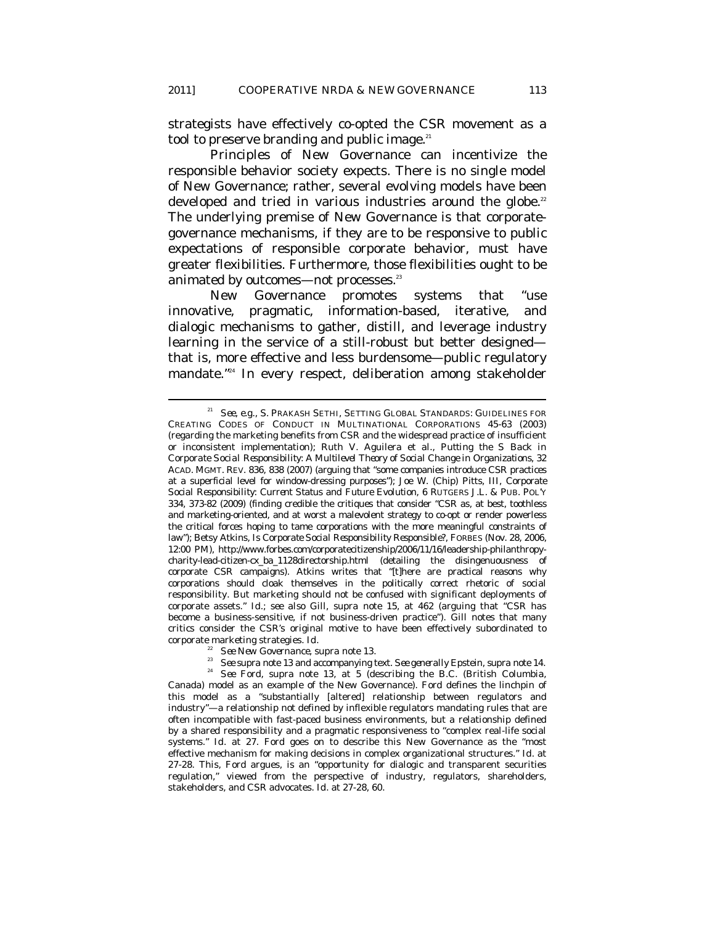strategists have effectively co-opted the CSR movement as a tool to preserve branding and public image.<sup>21</sup>

Principles of New Governance can incentivize the responsible behavior society expects. There is no single model of New Governance; rather, several evolving models have been developed and tried in various industries around the globe. $22$ The underlying premise of New Governance is that corporategovernance mechanisms, if they are to be responsive to public expectations of responsible corporate behavior, must have greater flexibilities. Furthermore, those flexibilities ought to be animated by outcomes—not processes.<sup>23</sup>

New Governance promotes systems that "use innovative, pragmatic, information-based, iterative, and dialogic mechanisms to gather, distill, and leverage industry learning in the service of a still-robust but better designed that is, more effective and less burdensome—public regulatory mandate."24 In every respect, deliberation among stakeholder

<sup>&</sup>lt;sup>21</sup> See, e.g., S. PRAKASH SETHI, SETTING GLOBAL STANDARDS: GUIDELINES FOR CREATING CODES OF CONDUCT IN MULTINATIONAL CORPORATIONS 45-63 (2003) (regarding the marketing benefits from CSR and the widespread practice of insufficient or inconsistent implementation); Ruth V. Aguilera et al., *Putting the S Back in Corporate Social Responsibility: A Multilevel Theory of Social Change in Organizations*, 32 ACAD. MGMT. REV. 836, 838 (2007) (arguing that "some companies introduce CSR practices at a superficial level for window-dressing purposes"); Joe W. (Chip) Pitts, III, *Corporate Social Responsibility: Current Status and Future Evolution*, 6 RUTGERS J.L. & PUB. POL'Y 334, 373-82 (2009) (finding credible the critiques that consider "CSR as, at best, toothless and marketing-oriented, and at worst a malevolent strategy to co-opt or render powerless the critical forces hoping to tame corporations with the more meaningful constraints of law"); Betsy Atkins, *Is Corporate Social Responsibility Responsible*?, FORBES (Nov. 28, 2006, 12:00 PM), http://www.forbes.com/corporatecitizenship/2006/11/16/leadership-philanthropycharity-lead-citizen-cx\_ba\_1128directorship.html (detailing the disingenuousness of corporate CSR campaigns). Atkins writes that "[t]here are practical reasons why corporations should cloak themselves in the politically correct rhetoric of social responsibility. But marketing should not be confused with significant deployments of corporate assets." *Id.*; *see also* Gill, *supra* note 15, at 462 (arguing that "CSR has become a business-sensitive, if not business-driven practice"). Gill notes that many critics consider the CSR's original motive to have been effectively subordinated to corporate marketing strategies. *Id.*

<sup>&</sup>lt;sup>22</sup> *See New Governance, supra* note 13.<br><sup>23</sup> *See supra* note 13 and accompanying text. *See generally* Epstein, *supra* note 14.<br><sup>24</sup> *See Ford, supra* note 13, at 5 (describing the B.C. (British Columbia, Canada) model as an example of the New Governance). Ford defines the linchpin of this model as a "substantially [altered] relationship between regulators and industry"—a relationship not defined by inflexible regulators mandating rules that are often incompatible with fast-paced business environments, but a relationship defined by a shared responsibility and a pragmatic responsiveness to "complex real-life social systems." *Id.* at 27. Ford goes on to describe this New Governance as the "most effective mechanism for making decisions in complex organizational structures." *Id.* at 27-28. This, Ford argues, is an "opportunity for dialogic and transparent securities regulation," viewed from the perspective of industry, regulators, shareholders, stakeholders, and CSR advocates. *Id*. at 27-28, 60.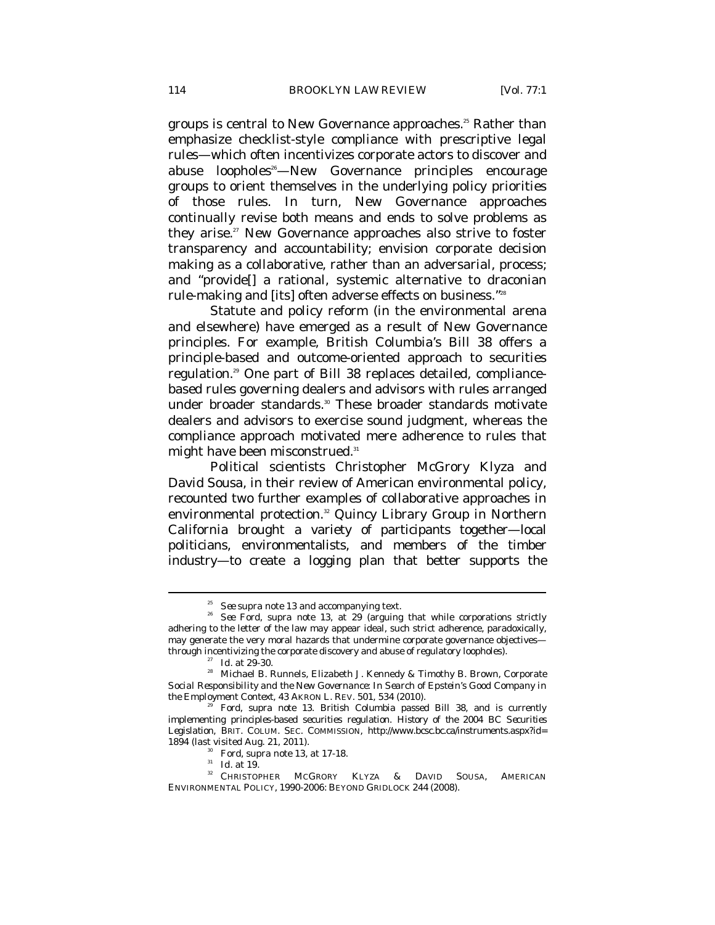groups is central to New Governance approaches.<sup>25</sup> Rather than emphasize checklist-style compliance with prescriptive legal rules—which often incentivizes corporate actors to discover and abuse loopholes<sup>26</sup>—New Governance principles encourage groups to orient themselves in the underlying policy priorities of those rules. In turn, New Governance approaches continually revise both means and ends to solve problems as they arise.<sup>27</sup> New Governance approaches also strive to foster transparency and accountability; envision corporate decision making as a collaborative, rather than an adversarial, process; and "provide[] a rational, systemic alternative to draconian rule-making and [its] often adverse effects on business."28

Statute and policy reform (in the environmental arena and elsewhere) have emerged as a result of New Governance principles. For example, British Columbia's Bill 38 offers a principle-based and outcome-oriented approach to securities regulation.29 One part of Bill 38 replaces detailed, compliancebased rules governing dealers and advisors with rules arranged under broader standards.<sup>30</sup> These broader standards motivate dealers and advisors to exercise sound judgment, whereas the compliance approach motivated mere adherence to rules that might have been misconstrued.<sup>31</sup>

Political scientists Christopher McGrory Klyza and David Sousa, in their review of American environmental policy, recounted two further examples of collaborative approaches in environmental protection.<sup>32</sup> Quincy Library Group in Northern California brought a variety of participants together—local politicians, environmentalists, and members of the timber industry—to create a logging plan that better supports the

<sup>25</sup> *See supra* note 13 and accompanying text. 26 *See* Ford, *supra* note 13, at 29 (arguing that while corporations strictly adhering to the letter of the law may appear ideal, such strict adherence, paradoxically, may generate the very moral hazards that undermine corporate governance objectives-<br>through incentivizing the corporate discovery and abuse of regulatory loopholes).

<sup>&</sup>lt;sup>27</sup> Id. at 29-30.<br><sup>28</sup> Michael B. Runnels, Elizabeth J. Kennedy & Timothy B. Brown, *Corporate Social Responsibility and the New Governance: In Search of Epstein's Good Company in the Employment Context*, 43 AKRON L. REV. 501, 534 (2010).<br><sup>29</sup> Ford, *supra* note 13. British Columbia passed Bill 38, and is currently

implementing principles-based securities regulation. *History of the 2004 BC Securities Legislation*, BRIT. COLUM. SEC. COMMISSION, http://www.bcsc.bc.ca/instruments.aspx?id=

<sup>1894 (</sup>last visited Aug. 21, 2011).<br><sup>30</sup> Ford, *supra* note 13, at 17-18.<br><sup>31</sup> *Id.* at 19.<br><sup>32</sup> CHRISTOPHER MCGRORY KLYZA & DAVID SOUSA, AMERICAN ENVIRONMENTAL POLICY, 1990-2006: BEYOND GRIDLOCK 244 (2008).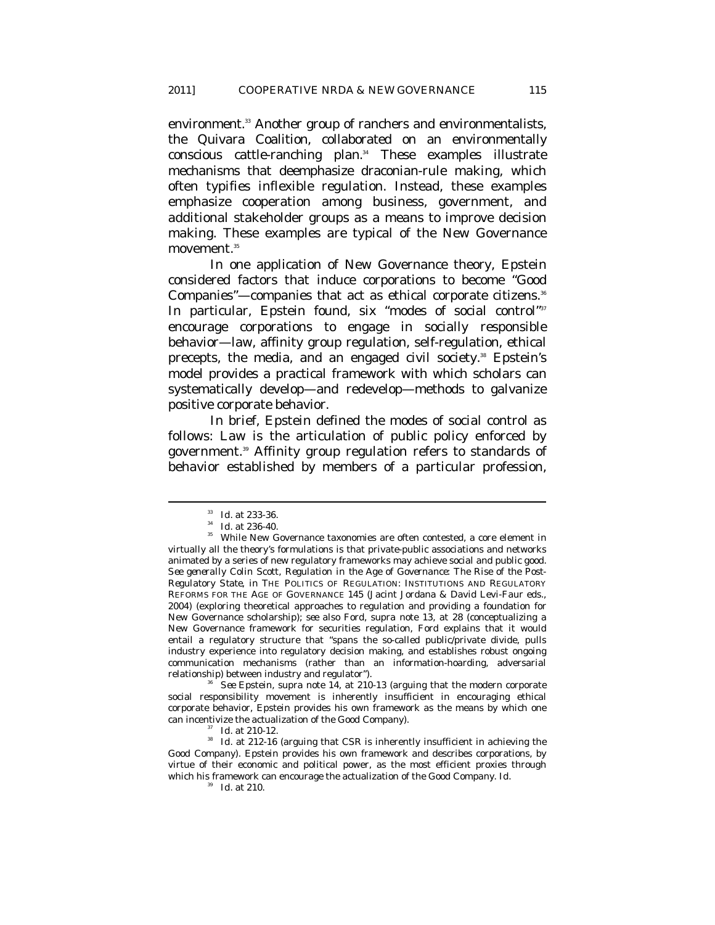environment.<sup>33</sup> Another group of ranchers and environmentalists, the Quivara Coalition, collaborated on an environmentally conscious cattle-ranching plan.<sup>34</sup> These examples illustrate mechanisms that deemphasize draconian-rule making, which often typifies inflexible regulation. Instead, these examples emphasize cooperation among business, government, and additional stakeholder groups as a means to improve decision making. These examples are typical of the New Governance movement*.* 35

In one application of New Governance theory, Epstein considered factors that induce corporations to become "Good Companies"-companies that act as ethical corporate citizens.<sup>36</sup> In particular, Epstein found, six "modes of social control"<sup>37</sup> encourage corporations to engage in socially responsible behavior—law, affinity group regulation, self-regulation, ethical precepts, the media, and an engaged civil society.<sup>38</sup> Epstein's model provides a practical framework with which scholars can systematically develop—and redevelop—methods to galvanize positive corporate behavior.

In brief, Epstein defined the modes of social control as follows: Law is the articulation of public policy enforced by government.39 Affinity group regulation refers to standards of behavior established by members of a particular profession,

 $\overline{a}$ 

social responsibility movement is inherently insufficient in encouraging ethical corporate behavior, Epstein provides his own framework as the means by which one can incentivize the actualization of the *Good Company*).

 $\frac{33}{24}$  *Id.* at 233-36.<br> $\frac{34}{24}$  *Id.* at 236-40.<br><sup>35</sup> While New Governance taxonomies are often contested, a core element in virtually all the theory's formulations is that private-public associations and networks animated by a series of new regulatory frameworks may achieve social and public good. *See generally* Colin Scott, *Regulation in the Age of Governance: The Rise of the Post-Regulatory State*, *in* THE POLITICS OF REGULATION: INSTITUTIONS AND REGULATORY REFORMS FOR THE AGE OF GOVERNANCE 145 (Jacint Jordana & David Levi-Faur eds., 2004) (exploring theoretical approaches to regulation and providing a foundation for New Governance scholarship); *see also* Ford, *supra* note 13, at 28 (conceptualizing a New Governance framework for securities regulation, Ford explains that it would entail a regulatory structure that "spans the so-called public/private divide, pulls industry experience into regulatory decision making, and establishes robust ongoing communication mechanisms (rather than an information-hoarding, adversarial relationship) between industry and regulator"). 36 *See* Epstein, *supra* note 14, at 210-13 (arguing that the modern corporate

can incentivize the actualization of the *Good Company*). 37 *Id.* at 210-12. 38 *Id.* at 212-16 (arguing that CSR is inherently insufficient in achieving the *Good Company*). Epstein provides his own framework and describes corporations, by virtue of their economic and political power, as the most efficient proxies through which his framework can encourage the actualization of the *Good Company*. *Id.*

<sup>39</sup> *Id.* at 210.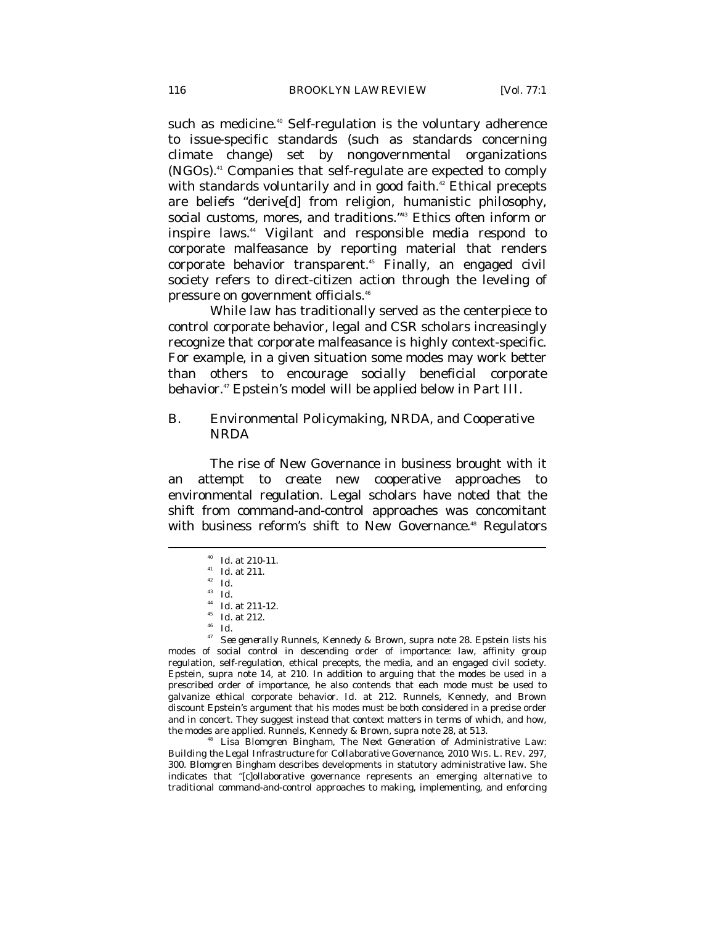such as medicine.<sup>40</sup> Self-regulation is the voluntary adherence to issue-specific standards (such as standards concerning climate change) set by nongovernmental organizations (NGOs).41 Companies that self-regulate are expected to comply with standards voluntarily and in good faith.<sup>42</sup> Ethical precepts are beliefs "derive[d] from religion, humanistic philosophy, social customs, mores, and traditions."<sup>43</sup> Ethics often inform or inspire laws.44 Vigilant and responsible media respond to corporate malfeasance by reporting material that renders corporate behavior transparent.<sup>45</sup> Finally, an engaged civil society refers to direct-citizen action through the leveling of pressure on government officials.46

While law has traditionally served as the centerpiece to control corporate behavior, legal and CSR scholars increasingly recognize that corporate malfeasance is highly context-specific. For example, in a given situation some modes may work better than others to encourage socially beneficial corporate behavior.47 Epstein's model will be applied below in Part III.

# *B. Environmental Policymaking, NRDA, and Cooperative NRDA*

The rise of New Governance in business brought with it an attempt to create new cooperative approaches to environmental regulation. Legal scholars have noted that the shift from *command-and-control* approaches was concomitant with business reform's shift to New Governance.<sup>48</sup> Regulators

 $\overline{a}$ 

<sup>40</sup> *Id.* at 210-11.<br><sup>41</sup> *Id.* at 211.<br><sup>42</sup> *Id.*<br><sup>43</sup> *Id.*<br><sup>44</sup> *Id.* at 211-12.<br><sup>45</sup> *Id.* at 212.<br><sup>46</sup> *Id.*<br>*<sup>47</sup> See generally* Runnels, Kennedy & Brown, *supra* note 28. Epstein lists his modes of social control in descending order of importance: law, affinity group regulation, self-regulation, ethical precepts, the media, and an engaged civil society. Epstein, *supra* note 14, at 210. In addition to arguing that the modes be used in a prescribed order of importance, he also contends that each mode must be used to galvanize ethical corporate behavior. *Id.* at 212. Runnels, Kennedy, and Brown discount Epstein's argument that his modes must be both considered in a precise order and in concert. They suggest instead that context matters in terms of which, and how, the modes are applied. Runnels, Kennedy & Brown, *supra* note 28, at 513.

<sup>18</sup> Lisa Blomgren Bingham, *The Next Generation of Administrative Law: Building the Legal Infrastructure for Collaborative Governance*, 2010 WIS. L. REV. 297, 300. Blomgren Bingham describes developments in statutory administrative law. She indicates that "[c]ollaborative governance represents an emerging alternative to traditional command-and-control approaches to making, implementing, and enforcing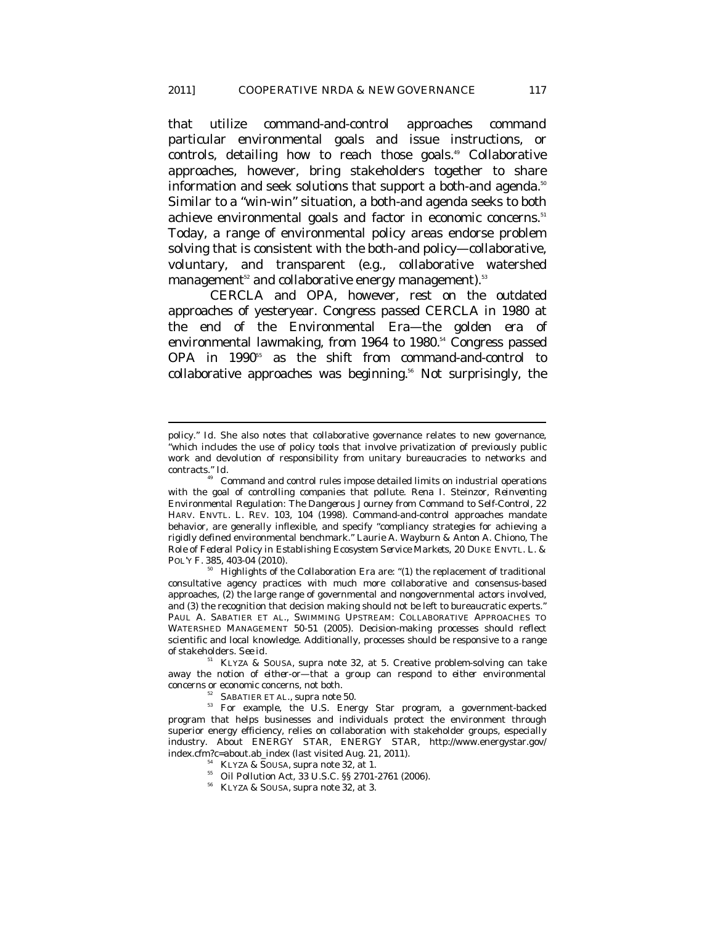that utilize command-and-control approaches *command* particular environmental goals and issue instructions, or *controls*, detailing how to reach those goals.<sup>49</sup> Collaborative approaches, however, bring stakeholders together to share information and seek solutions that support a *both-and* agenda.<sup>50</sup> Similar to a "win-win" situation, a both-and agenda seeks to *both* achieve environmental goals *and* factor in economic concerns.<sup>51</sup> Today, a range of environmental policy areas endorse problem solving that is consistent with the both-and policy—collaborative, voluntary, and transparent (e.g., collaborative watershed management $52$  and collaborative energy management).<sup>53</sup>

CERCLA and OPA, however, rest on the outdated approaches of yesteryear. Congress passed CERCLA in 1980 at the end of the Environmental Era—the golden era of environmental lawmaking, from 1964 to 1980.<sup>54</sup> Congress passed OPA in 1990<sup>55</sup> as the shift from command-and-control to collaborative approaches was beginning.<sup>56</sup> Not surprisingly, the

policy." *Id*. She also notes that collaborative governance relates to new governance, "which includes the use of policy tools that involve privatization of previously public work and devolution of responsibility from unitary bureaucracies to networks and contracts." *Id.* 

<sup>49</sup> Command and control rules impose detailed limits on industrial operations with the goal of controlling companies that pollute. Rena I. Steinzor, *Reinventing Environmental Regulation: The Dangerous Journey from Command to Self-Control*, 22 HARV. ENVTL. L. REV. 103, 104 (1998). Command-and-control approaches mandate behavior, are generally inflexible, and specify "compliancy strategies for achieving a rigidly defined environmental benchmark." Laurie A. Wayburn & Anton A. Chiono, *The Role of Federal Policy in Establishing Ecosystem Service Markets*, 20 DUKE ENVTL. L. & POL'Y F. 385, 403-04 (2010).

<sup>&</sup>lt;sup>50</sup> Highlights of the Collaboration Era are: "(1) the replacement of traditional consultative agency practices with much more collaborative and consensus-based approaches, (2) the large range of governmental and nongovernmental actors involved, and (3) the recognition that decision making should not be left to bureaucratic experts." PAUL A. SABATIER ET AL., SWIMMING UPSTREAM: COLLABORATIVE APPROACHES TO WATERSHED MANAGEMENT 50-51 (2005). Decision-making processes should reflect scientific and local knowledge. Additionally, processes should be responsive to a range of stakeholders. *See id.*

<sup>51</sup> KLYZA & SOUSA, *supra* note 32, at 5. Creative problem-solving can take away the notion of *either-or*—that a group can respond to *either* environmental

concerns *or* economic concerns, not both. 52 SABATIER ET AL., *supra* note 50. 53 For example, the U.S. Energy Star program, a government-backed program that helps businesses and individuals protect the environment through superior energy efficiency, relies on collaboration with stakeholder groups, especially industry. *About ENERGY STAR*, ENERGY STAR, http://www.energystar.gov/<br>index.cfm?c=about.ab\_index (last visited Aug. 21, 2011).

<sup>&</sup>lt;sup>54</sup> KLYZA & SOUSA, *supra* note 32, at 1. 55 Oil Pollution Act, 33 U.S.C. §§ 2701-2761 (2006).

<sup>56</sup> KLYZA & SOUSA, *supra* note 32, at 3.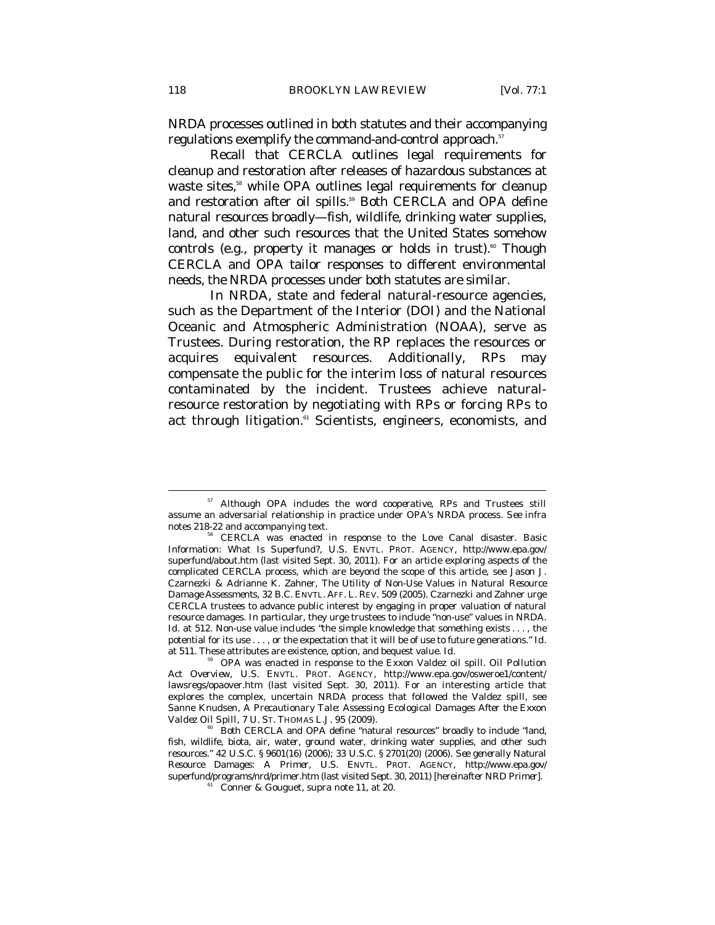NRDA processes outlined in both statutes and their accompanying regulations exemplify the command-and-control approach.<sup>57</sup>

Recall that CERCLA outlines legal requirements for cleanup and restoration after releases of hazardous substances at waste sites,<sup>58</sup> while OPA outlines legal requirements for cleanup and restoration after oil spills.<sup>59</sup> Both CERCLA and OPA define *natural resources* broadly—fish, wildlife, drinking water supplies, land, and other such resources that the United States somehow controls (e.g., property it manages or holds in trust).<sup>60</sup> Though CERCLA and OPA tailor responses to different environmental needs, the NRDA processes under both statutes are similar.

In NRDA, state and federal natural-resource agencies, such as the Department of the Interior (DOI) and the National Oceanic and Atmospheric Administration (NOAA), serve as Trustees. During restoration, the RP replaces the resources or acquires equivalent resources. Additionally, RPs may compensate the public for the interim loss of natural resources contaminated by the incident. Trustees achieve naturalresource restoration by negotiating with RPs or forcing RPs to act through litigation.<sup>61</sup> Scientists, engineers, economists, and

<sup>57</sup> Although OPA includes the word *cooperative*, RPs and Trustees still assume an adversarial relationship in practice under OPA's NRDA process. *See infra*  notes 218-22 and accompanying text. 58 CERCLA was enacted in response to the Love Canal disaster. *Basic* 

*Information*: *What Is Superfund?*, U.S. ENVTL. PROT. AGENCY, http://www.epa.gov/ superfund/about.htm (last visited Sept. 30, 2011). For an article exploring aspects of the complicated CERCLA process, which are beyond the scope of this article, see Jason J. Czarnezki & Adrianne K. Zahner, *The Utility of Non-Use Values in Natural Resource Damage Assessments*, 32 B.C. ENVTL. AFF. L. REV. 509 (2005). Czarnezki and Zahner urge CERCLA trustees to advance public interest by engaging in proper valuation of natural resource damages. In particular, they urge trustees to include "non-use" values in NRDA. *Id.* at 512. Non-use value includes "the simple knowledge that something exists . . . , the potential for its use . . . , or the expectation that it will be of use to future generations." *Id.*  at 511. These attributes are existence, option, and bequest value. *Id.*

<sup>59</sup> OPA was enacted in response to the Exxon Valdez oil spill. *Oil Pollution Act Overview*, U.S. ENVTL. PROT. AGENCY, http://www.epa.gov/osweroe1/content/ lawsregs/opaover.htm (last visited Sept. 30, 2011). For an interesting article that explores the complex, uncertain NRDA process that followed the Valdez spill, see Sanne Knudsen, *A Precautionary Tale: Assessing Ecological Damages After the Exxon Valdez Oil Spill*, 7 U. St. Thomas L.J. 95 (2009).

<sup>&</sup>lt;sup>60</sup> Both CERCLA and OPA define "natural resources" broadly to include "land, fish, wildlife, biota, air, water, ground water, drinking water supplies, and other such resources." 42 U.S.C. § 9601(16) (2006); 33 U.S.C. § 2701(20) (2006). *See generally Natural Resource Damages: A Primer*, U.S. ENVTL. PROT. AGENCY, http://www.epa.gov/ superfund/programs/nrd/primer.htm (last visited Sept. 30, 2011) [hereinafter *NRD Primer*]. 61 Conner & Gouguet, *supra* note 11, at 20.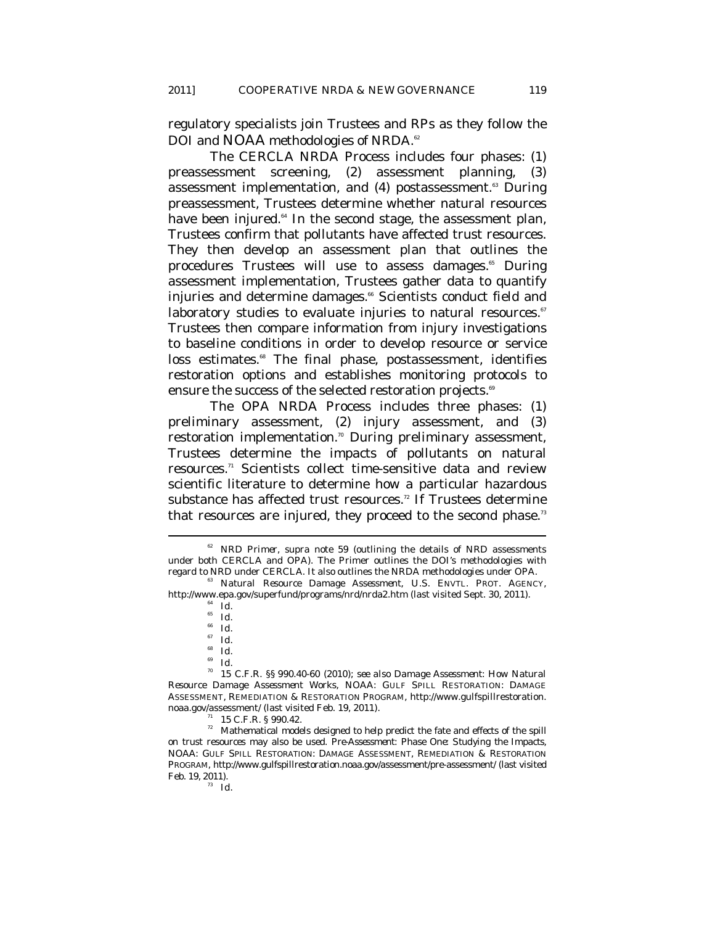regulatory specialists join Trustees and RPs as they follow the DOI and NOAA methodologies of NRDA.<sup>62</sup>

The CERCLA NRDA Process includes four phases: (1) preassessment screening, (2) assessment planning, (3) assessment implementation, and (4) postassessment.<sup>63</sup> During preassessment, Trustees determine whether natural resources have been injured.<sup>64</sup> In the second stage, the assessment plan, Trustees confirm that pollutants have affected trust resources. They then develop an assessment plan that outlines the procedures Trustees will use to assess damages.<sup>65</sup> During assessment implementation, Trustees gather data to quantify injuries and determine damages.<sup>66</sup> Scientists conduct field and laboratory studies to evaluate injuries to natural resources.<sup>67</sup> Trustees then compare information from injury investigations to baseline conditions in order to develop resource or service loss estimates.<sup>68</sup> The final phase, postassessment, identifies restoration options and establishes monitoring protocols to ensure the success of the selected restoration projects.<sup>69</sup>

The OPA NRDA Process includes three phases: (1) preliminary assessment, (2) injury assessment, and (3) restoration implementation.<sup>70</sup> During preliminary assessment, Trustees determine the impacts of pollutants on natural resources.71 Scientists collect time-sensitive data and review scientific literature to determine how a particular hazardous substance has affected trust resources.<sup>72</sup> If Trustees determine that resources are injured, they proceed to the second phase.<sup>73</sup>

 $\overline{a}$ 

<sup>68</sup> *Id.*

<sup>69</sup> *Id.* <sup>70</sup> 15 C.F.R. §§ 990.40-60 (2010); *see also Damage Assessment: How Natural Resource Damage Assessment Works*, NOAA: GULF SPILL RESTORATION: DAMAGE ASSESSMENT, REMEDIATION & RESTORATION PROGRAM, http://www.gulfspillrestoration.

noaa.gov/assessment/ (last visited Feb. 19, 2011).<br> $\frac{71}{11}$  15 C.F.R. § 990.42.

 $72$  Mathematical models designed to help predict the fate and effects of the spill on trust resources may also be used. *Pre-Assessment: Phase One: Studying the Impacts*, NOAA: GULF SPILL RESTORATION: DAMAGE ASSESSMENT, REMEDIATION & RESTORATION PROGRAM, http://www.gulfspillrestoration.noaa.gov/assessment/pre-assessment/ (last visited Feb. 19, 2011).<br><sup>73</sup> *Id.* 

<sup>62</sup> *NRD Primer*, *supra* note 59 (outlining the details of NRD assessments under both CERCLA and OPA). The Primer outlines the DOI's methodologies with regard to NRD under CERCLA. It also outlines the NRDA methodologies under OPA. 63 *Natural Resource Damage Assessment*, U.S. ENVTL. PROT. AGENCY,

http://www.epa.gov/superfund/programs/nrd/nrda2.htm (last visited Sept. 30, 2011).

 $\int_{65}^{64}$  *Id.* 

<sup>66</sup> *Id.* <sup>67</sup> *Id.*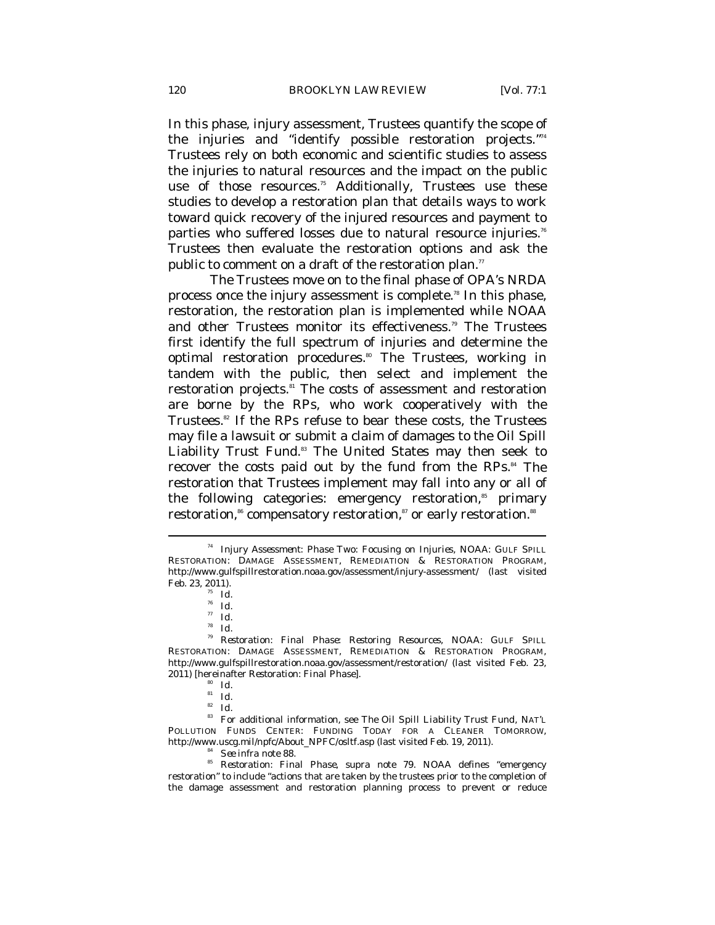In this phase, injury assessment, Trustees quantify the scope of the injuries and "identify possible restoration projects."74 Trustees rely on both economic and scientific studies to assess the injuries to natural resources and the impact on the public use of those resources.<sup>75</sup> Additionally, Trustees use these studies to develop a restoration plan that details ways to work toward quick recovery of the injured resources and payment to parties who suffered losses due to natural resource injuries.<sup>76</sup> Trustees then evaluate the restoration options and ask the public to comment on a draft of the restoration plan."

The Trustees move on to the final phase of OPA's NRDA process once the injury assessment is complete.78 In this phase, restoration, the restoration plan is implemented while NOAA and other Trustees monitor its effectiveness.<sup>79</sup> The Trustees first identify the full spectrum of injuries and determine the optimal restoration procedures.<sup>80</sup> The Trustees, working in tandem with the public, then select and implement the restoration projects.<sup>81</sup> The costs of assessment and restoration are borne by the RPs, who work cooperatively with the Trustees.<sup>82</sup> If the RPs refuse to bear these costs, the Trustees may file a lawsuit or submit a claim of damages to the Oil Spill Liability Trust Fund.<sup>83</sup> The United States may then seek to recover the costs paid out by the fund from the RPs.<sup>84</sup> The restoration that Trustees implement may fall into any or all of the following categories: emergency restoration,<sup>85</sup> primary restoration,<sup>86</sup> compensatory restoration,<sup>87</sup> or early restoration.88

<sup>74</sup> *Injury Assessment: Phase Two: Focusing on Injuries*, NOAA: GULF SPILL RESTORATION: DAMAGE ASSESSMENT, REMEDIATION & RESTORATION PROGRAM, http://www.gulfspillrestoration.noaa.gov/assessment/injury-assessment/ (last visited Feb. 23, 2011). 75 *Id.*

 $rac{76}{77}$  *Id.* 

<sup>77</sup> *Id.*

<sup>78</sup> *Id.*

<sup>79</sup> *Restoration: Final Phase: Restoring Resources*, NOAA: GULF SPILL RESTORATION: DAMAGE ASSESSMENT, REMEDIATION & RESTORATION PROGRAM, http://www.gulfspillrestoration.noaa.gov/assessment/restoration/ (last visited Feb. 23, 2011) [hereinafter *Restoration: Final Phase*].

 $\begin{array}{cc} 80 & Id. \\ 81 & Id. \end{array}$ 

<sup>82</sup> *Id.*

<sup>83</sup> For additional information, see *The Oil Spill Liability Trust Fund*, NAT'L POLLUTION FUNDS CENTER: FUNDING TODAY FOR A CLEANER TOMORROW,

http://www.uscg.mil/npfc/About\_NPFC/osltf.asp (last visited Feb. 19, 2011).<br><sup>84</sup> *See infra* note 88.<br>*85 Restoration: Final Phase, supra* note 79. NOAA defines "emergency restoration" to include "actions that are taken by the trustees prior to the completion of the damage assessment and restoration planning process to prevent or reduce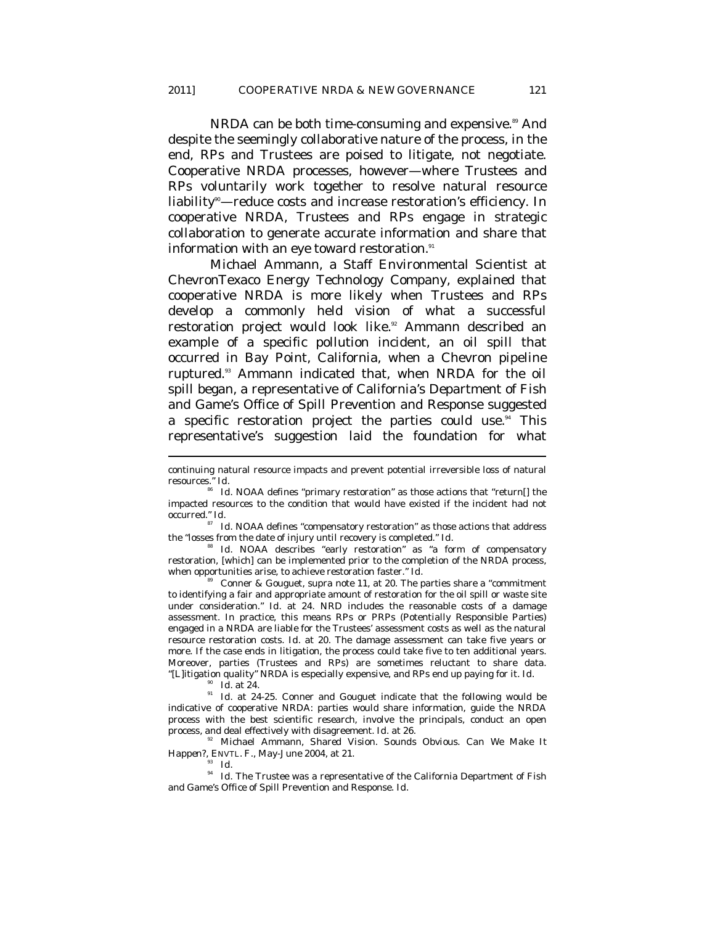NRDA can be both time-consuming and expensive.<sup>89</sup> And despite the seemingly collaborative nature of the process, in the end, RPs and Trustees are poised to litigate, not negotiate. Cooperative NRDA processes, however—where Trustees and RPs voluntarily work together to resolve natural resource liability<sup>®</sup>—reduce costs and increase restoration's efficiency. In cooperative NRDA, Trustees and RPs engage in strategic collaboration to generate accurate information and share that information with an eye toward restoration. $^{\mathfrak{su}}$ 

Michael Ammann, a Staff Environmental Scientist at ChevronTexaco Energy Technology Company, explained that cooperative NRDA is more likely when Trustees and RPs develop a commonly held vision of what a successful restoration project would look like.<sup>92</sup> Ammann described an example of a specific pollution incident, an oil spill that occurred in Bay Point, California, when a Chevron pipeline ruptured.93 Ammann indicated that, when NRDA for the oil spill began, a representative of California's Department of Fish and Game's Office of Spill Prevention and Response suggested a specific restoration project the parties could use. $94$  This representative's suggestion laid the foundation for what

 $\,^{87}$   $\,$  Id. NOAA defines "compensatory restoration" as those actions that address the "losses from the date of injury until recovery is completed." *Id.* 

Id. NOAA describes "early restoration" as "a form of compensatory restoration, [which] can be implemented prior to the completion of the NRDA process, when opportunities arise, to achieve restoration faster." *Id.* 

<sup>89</sup> Conner & Gouguet, *supra* note 11, at 20. The parties share a "commitment to identifying a fair and appropriate amount of restoration for the oil spill or waste site under consideration." *Id.* at 24. NRD includes the reasonable costs of a damage assessment. In practice, this means RPs or PRPs (Potentially Responsible Parties) engaged in a NRDA are liable for the Trustees' assessment costs as well as the natural resource restoration costs. *Id.* at 20. The damage assessment can take five years or more. If the case ends in litigation, the process could take five to ten additional years. Moreover, parties (Trustees and RPs) are sometimes reluctant to share data.

 $\overline{a}$ 

"[L]itigation quality" NRDA is especially expensive, and RPs end up paying for it. *Id*. 90 *Id.* at 24. 91 *Id.* at 24-25. Conner and Gouguet indicate that the following would be indicative of cooperative NRDA: parties would share information, guide the NRDA process with the best scientific research, involve the principals, conduct an open process, and deal effectively with disagreement.  $Id$  at 26.

<sup>32</sup> Michael Ammann, *Shared Vision. Sounds Obvious. Can We Make It Happen?*, ENVTL. F., May-June 2004, at 21.<br><sup>93</sup> *Id.* 

<sup>94</sup> *Id.* The Trustee was a representative of the California Department of Fish and Game's Office of Spill Prevention and Response. *Id.* 

continuing natural resource impacts and prevent potential irreversible loss of natural resources." *Id.* 

<sup>86</sup> *Id.* NOAA defines "primary restoration" as those actions that "return[] the impacted resources to the condition that would have existed if the incident had not occurred." *Id.*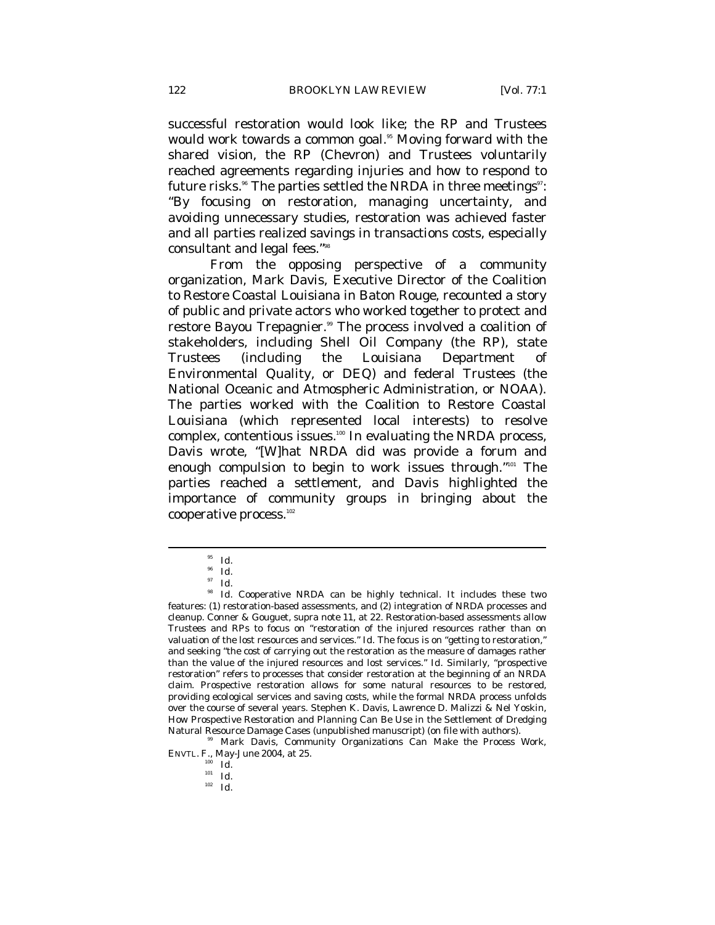successful restoration would look like; the RP and Trustees would work towards a common goal.<sup>95</sup> Moving forward with the shared vision, the RP (Chevron) and Trustees voluntarily reached agreements regarding injuries and how to respond to future risks.<sup>86</sup> The parties settled the NRDA in three meetings<sup>97</sup>: "By focusing on restoration, managing uncertainty, and avoiding unnecessary studies, restoration was achieved faster and all parties realized savings in transactions costs, especially consultant and legal fees."98

From the opposing perspective of a community organization, Mark Davis, Executive Director of the Coalition to Restore Coastal Louisiana in Baton Rouge, recounted a story of public and private actors who worked together to protect and restore Bayou Trepagnier.<sup>99</sup> The process involved a coalition of stakeholders, including Shell Oil Company (the RP), state Trustees (including the Louisiana Department of Environmental Quality, or DEQ) and federal Trustees (the National Oceanic and Atmospheric Administration, or NOAA). The parties worked with the Coalition to Restore Coastal Louisiana (which represented local interests) to resolve complex, contentious issues.<sup>100</sup> In evaluating the NRDA process, Davis wrote, "[W]hat NRDA did was provide a forum and enough compulsion to begin to work issues through."101 The parties reached a settlement, and Davis highlighted the importance of community groups in bringing about the cooperative process.<sup>102</sup>

<sup>95</sup> *Id*. 96 *Id.*

<sup>97</sup> *Id.*

<sup>&</sup>lt;sup>98</sup> Id. Cooperative NRDA can be highly technical. It includes these two features: (1) restoration-based assessments, and (2) integration of NRDA processes and cleanup. Conner & Gouguet, *supra* note 11, at 22. Restoration-based assessments allow Trustees and RPs to focus on "*restoration* of the injured resources rather than on *valuation* of the lost resources and services." *Id.* The focus is on "getting to restoration," and seeking "the *cost* of carrying out the restoration as the measure of damages rather than the *value* of the injured resources and lost services." *Id.* Similarly, "prospective restoration" refers to processes that consider restoration at the beginning of an NRDA claim. Prospective restoration allows for some natural resources to be restored, providing ecological services and saving costs, while the formal NRDA process unfolds over the course of several years. Stephen K. Davis, Lawrence D. Malizzi & Nel Yoskin, How Prospective Restoration and Planning Can Be Use in the Settlement of Dredging Natural Resource Damage Cases (unpublished manuscript) (on file with authors).

<sup>&</sup>lt;sup>99</sup> Mark Davis, *Community Organizations Can Make the Process Work*, ENVTL. F., May-June 2004, at 25.

<sup>100</sup> *Id.*

<sup>101</sup> *Id.*

<sup>102</sup> *Id.*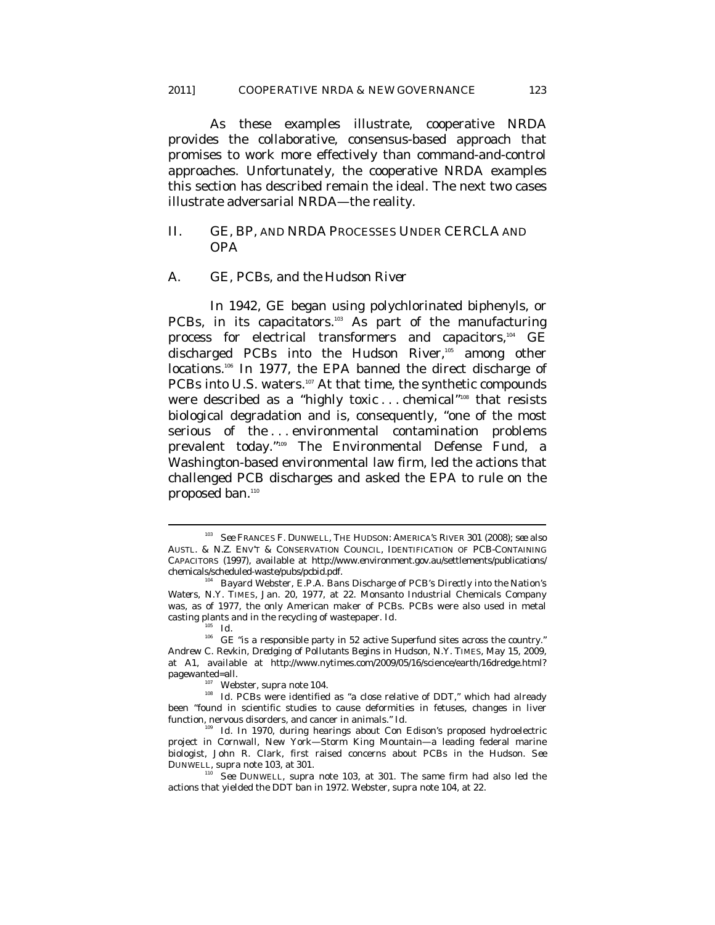As these examples illustrate, cooperative NRDA provides the collaborative, consensus-based approach that promises to work more effectively than command-and-control approaches. Unfortunately, the cooperative NRDA examples this section has described remain the ideal. The next two cases illustrate adversarial NRDA—the reality.

# II. GE, BP, AND NRDA PROCESSES UNDER CERCLA AND OPA

#### *A. GE, PCBs, and the Hudson River*

In 1942, GE began using polychlorinated biphenyls, or PCBs, in its capacitators.<sup>103</sup> As part of the manufacturing process for electrical transformers and capacitors,<sup>104</sup> GE discharged PCBs into the Hudson River,105 among other locations.<sup>106</sup> In 1977, the EPA banned the direct discharge of PCBs into U.S. waters.<sup>107</sup> At that time, the synthetic compounds were described as a "highly toxic ... chemical"<sup>108</sup> that resists biological degradation and is, consequently, "one of the most serious of the ... environmental contamination problems prevalent today."109 The Environmental Defense Fund, a Washington-based environmental law firm, led the actions that challenged PCB discharges and asked the EPA to rule on the proposed ban.<sup>110</sup>

<sup>103</sup> *See* FRANCES F. DUNWELL, THE HUDSON: AMERICA'S RIVER 301 (2008); *see also*  AUSTL. & N.Z. ENV'T & CONSERVATION COUNCIL, IDENTIFICATION OF PCB-CONTAINING CAPACITORS (1997), *available at* http://www.environment.gov.au/settlements/publications/ chemicals/scheduled-waste/pubs/pcbid.pdf. 104 Bayard Webster, *E.P.A. Bans Discharge of PCB's Directly into the Nation's* 

*Waters*, N.Y. TIMES, Jan. 20, 1977, at 22. Monsanto Industrial Chemicals Company was, as of 1977, the only American maker of PCBs. PCBs were also used in metal casting plants and in the recycling of wastepaper. *Id.*

<sup>105</sup> *Id.*

 $106$  GE "is a responsible party in 52 active Superfund sites across the country." Andrew C. Revkin, *Dredging of Pollutants Begins in Hudson*, N.Y. TIMES, May 15, 2009, at A1, *available at* http://www.nytimes.com/2009/05/16/science/earth/16dredge.html?

<sup>&</sup>lt;sup>107</sup> Webster, *supra* note 104. **108** *Id.* PCBs were identified as "a close relative of DDT," which had already been "found in scientific studies to cause deformities in fetuses, changes in liver function, nervous disorders, and cancer in animals." *Id.*

<sup>&</sup>lt;sup>109</sup> Id. In 1970, during hearings about Con Edison's proposed hydroelectric project in Cornwall, New York—Storm King Mountain—a leading federal marine biologist, John R. Clark, first raised concerns about PCBs in the Hudson. *See* DUNWELL, *supra* note 103, at 301. 110 *See* DUNWELL, *supra* note 103, at 301. The same firm had also led the

actions that yielded the DDT ban in 1972. Webster, *supra* note 104, at 22.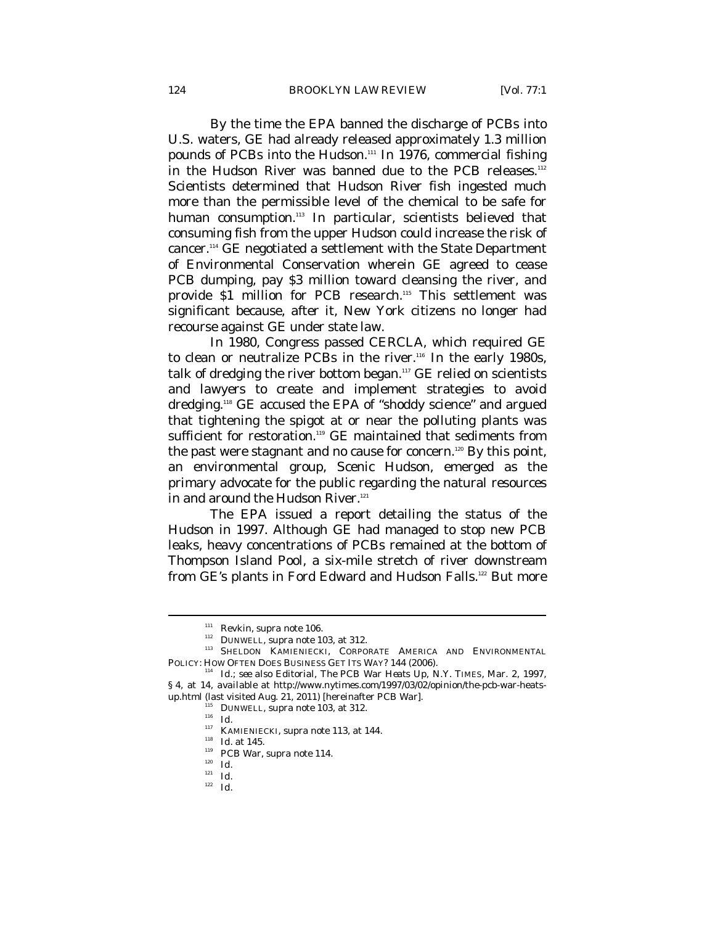By the time the EPA banned the discharge of PCBs into U.S. waters, GE had already released approximately 1.3 million pounds of PCBs into the Hudson.<sup>111</sup> In 1976, commercial fishing in the Hudson River was banned due to the PCB releases.<sup>112</sup> Scientists determined that Hudson River fish ingested much more than the permissible level of the chemical to be safe for human consumption.<sup>113</sup> In particular, scientists believed that consuming fish from the upper Hudson could increase the risk of cancer.114 GE negotiated a settlement with the State Department of Environmental Conservation wherein GE agreed to cease PCB dumping, pay \$3 million toward cleansing the river, and provide \$1 million for PCB research.<sup>115</sup> This settlement was significant because, after it, New York citizens no longer had recourse against GE under state law.

In 1980, Congress passed CERCLA, which required GE to clean or neutralize PCBs in the river.<sup>116</sup> In the early 1980s, talk of dredging the river bottom began.117 GE relied on scientists and lawyers to create and implement strategies to avoid dredging.118 GE accused the EPA of "shoddy science" and argued that tightening the spigot at or near the polluting plants was sufficient for restoration.<sup>119</sup> GE maintained that sediments from the past were stagnant and no cause for concern.<sup>120</sup> By this point, an environmental group, Scenic Hudson, emerged as the primary advocate for the public regarding the natural resources in and around the Hudson River.<sup>121</sup>

The EPA issued a report detailing the status of the Hudson in 1997. Although GE had managed to stop new PCB leaks, heavy concentrations of PCBs remained at the bottom of Thompson Island Pool, a six-mile stretch of river downstream from GE's plants in Ford Edward and Hudson Falls.<sup>122</sup> But more

<sup>&</sup>lt;sup>112</sup> Revkin, *supra* note 106.<br><sup>112</sup> DUNWELL, *supra* note 103, at 312.<br><sup>113</sup> SHELDON KAMIENIECKI, CORPORATE AMERICA AND ENVIRONMENTAL

POLICY: HOW OFTEN DOES BUSINESS GET ITS WAY? 144 (2006). 114 *Id.*; *see also* Editorial, *The PCB War Heats Up*, N.Y. TIMES, Mar. 2, 1997, § 4, at 14, *available at* http://www.nytimes.com/1997/03/02/opinion/the-pcb-war-heatsup.html (last visited Aug. 21, 2011) [hereinafter *PCB War*]. 115 DUNWELL, *supra* note 103, at 312. 116 *Id.*

<sup>117</sup> KAMIENIECKI, *supra* note 113, at 144. 118 *Id.* at 145. 119 *PCB War*, *supra* note 114*.*

<sup>120</sup> *Id.*

<sup>121</sup> *Id.*

<sup>122</sup> *Id.*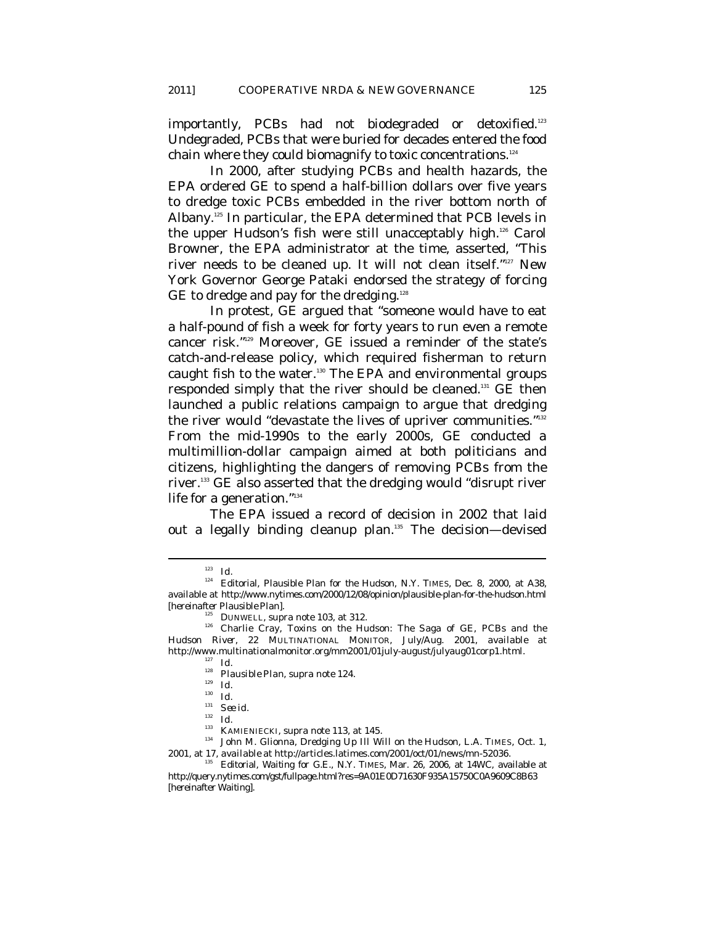importantly, PCBs had not biodegraded or detoxified.<sup>123</sup> Undegraded, PCBs that were buried for decades entered the food chain where they could biomagnify to toxic concentrations.124

In 2000, after studying PCBs and health hazards, the EPA ordered GE to spend a half-billion dollars over five years to dredge toxic PCBs embedded in the river bottom north of Albany.125 In particular, the EPA determined that PCB levels in the upper Hudson's fish were still unacceptably high.126 Carol Browner, the EPA administrator at the time, asserted, "This river needs to be cleaned up. It will not clean itself."127 New York Governor George Pataki endorsed the strategy of forcing GE to dredge and pay for the dredging.<sup>128</sup>

In protest, GE argued that "someone would have to eat a half-pound of fish a week for forty years to run even a remote cancer risk."129 Moreover, GE issued a reminder of the state's catch-and-release policy, which required fisherman to return caught fish to the water.130 The EPA and environmental groups responded simply that the river should be cleaned.131 GE then launched a public relations campaign to argue that dredging the river would "devastate the lives of upriver communities."<sup>132</sup> From the mid-1990s to the early 2000s, GE conducted a multimillion-dollar campaign aimed at both politicians and citizens, highlighting the dangers of removing PCBs from the river.133 GE also asserted that the dredging would "disrupt river life for a generation."134

The EPA issued a record of decision in 2002 that laid out a legally binding cleanup plan.135 The decision—devised

<sup>123</sup> *Id.*

<sup>124</sup> Editorial, *Plausible Plan for the Hudson*, N.Y. TIMES, Dec. 8, 2000, at A38, *available at* http://www.nytimes.com/2000/12/08/opinion/plausible-plan-for-the-hudson.html

<sup>[</sup>hereinafter *Plausible Plan*]. 125 DUNWELL, *supra* note 103, at 312. 126 Charlie Cray, *Toxins on the Hudson: The Saga of GE, PCBs and the Hudson River*, 22 MULTINATIONAL MONITOR, July/Aug. 2001, *available at*  http://www.multinationalmonitor.org/mm2001/01july-august/julyaug01corp1.html. 127 *Id.*

<sup>128</sup> *Plausible Plan*, *supra* note 124. 129 *Id.*

<sup>130</sup> *Id.*

<sup>&</sup>lt;sup>131</sup> *See id.*<br><sup>132</sup> *Id.*<br><sup>133</sup> KAMIENIECKI, *supra* note 113, at 145.

<sup>&</sup>lt;sup>134</sup> John M. Glionna, *Dredging Up Ill Will on the Hudson*, L.A. TIMES, Oct. 1, 2001, at 17, *available at* http://articles.latimes.com/2001/oct/01/news/mn-52036.

<sup>&</sup>lt;sup>135</sup> Editorial, *Waiting for G.E.*, N.Y. TIMES, Mar. 26, 2006, at 14WC, *available at* http://query.nytimes.com/gst/fullpage.html?res=9A01E0D71630F935A15750C0A9609C8B63 [hereinafter *Waiting*].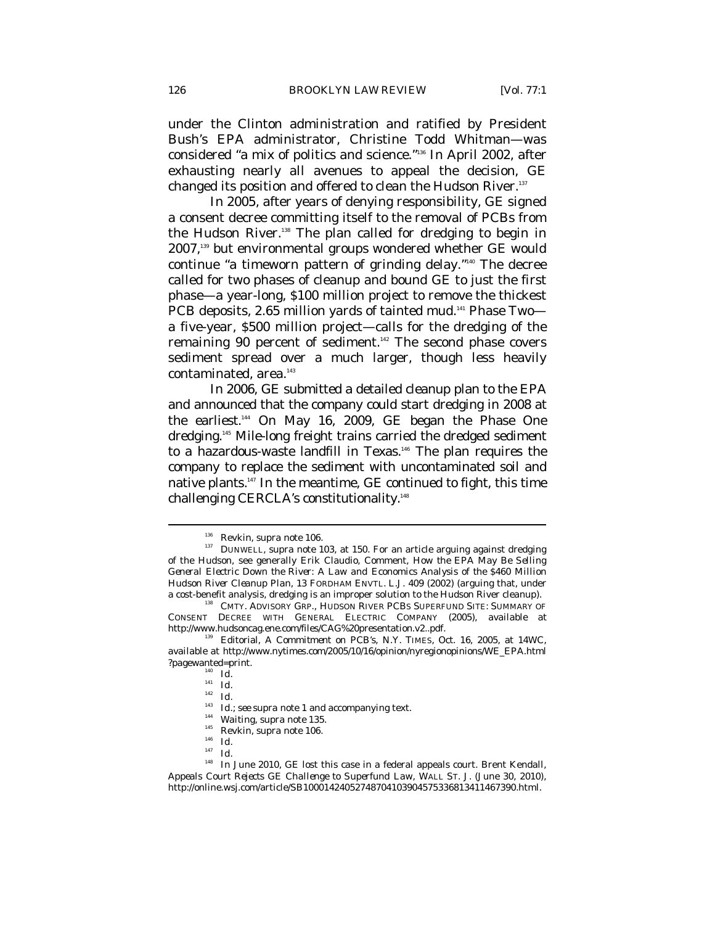under the Clinton administration and ratified by President Bush's EPA administrator, Christine Todd Whitman—was considered "a mix of politics and science."136 In April 2002, after exhausting nearly all avenues to appeal the decision, GE changed its position and offered to clean the Hudson River.<sup>137</sup>

In 2005, after years of denying responsibility, GE signed a consent decree committing itself to the removal of PCBs from the Hudson River.<sup>138</sup> The plan called for dredging to begin in 2007,139 but environmental groups wondered whether GE would continue "a timeworn pattern of grinding delay."140 The decree called for two phases of cleanup and bound GE to just the first phase—a year-long, \$100 million project to remove the thickest PCB deposits, 2.65 million yards of tainted mud.<sup>141</sup> Phase Twoa five-year, \$500 million project—calls for the dredging of the remaining 90 percent of sediment.<sup>142</sup> The second phase covers sediment spread over a much larger, though less heavily contaminated, area.<sup>143</sup>

In 2006, GE submitted a detailed cleanup plan to the EPA and announced that the company could start dredging in 2008 at the earliest.<sup>14</sup> On May 16, 2009, GE began the Phase One dredging.145 Mile-long freight trains carried the dredged sediment to a hazardous-waste landfill in Texas.<sup>146</sup> The plan requires the company to replace the sediment with uncontaminated soil and native plants.147 In the meantime, GE continued to fight, this time challenging CERCLA's constitutionality.<sup>148</sup>

<sup>&</sup>lt;sup>136</sup> Revkin, *supra* note 106.<br><sup>137</sup> DUNWELL, *supra* note 103, at 150. For an article arguing against dredging of the Hudson, see generally Erik Claudio, Comment, *How the EPA May Be Selling General Electric Down the River: A Law and Economics Analysis of the \$460 Million Hudson River Cleanup Plan*, 13 FORDHAM ENVTL. L.J. 409 (2002) (arguing that, under a cost-benefit analysis, dredging is an improper solution to the Hudson River cleanup). 138 CMTY. ADVISORY GRP., HUDSON RIVER PCBS SUPERFUND SITE: SUMMARY OF

CONSENT DECREE WITH GENERAL ELECTRIC COMPANY (2005), *available at*  http://www.hudsoncag.ene.com/files/CAG%20presentation.v2..pdf. 139 Editorial, *A Commitment on PCB's*, N.Y. TIMES, Oct. 16, 2005, at 14WC,

*available at* http://www.nytimes.com/2005/10/16/opinion/nyregionopinions/WE\_EPA.html ?pagewanted=print.

 $\frac{140}{141}$  *Id.* 

<sup>142</sup> *Id.*

<sup>143</sup> *Id.*; *see supra* note 1 and accompanying text. 144 *Waiting*, *supra* note 135. 145 Revkin, *supra* note 106. 146 *Id.* 

<sup>147</sup> *Id.*

<sup>&</sup>lt;sup>148</sup> In June 2010, GE lost this case in a federal appeals court. Brent Kendall, *Appeals Court Rejects GE Challenge to Superfund Law*, WALL ST. J. (June 30, 2010), http://online.wsj.com/article/SB10001424052748704103904575336813411467390.html.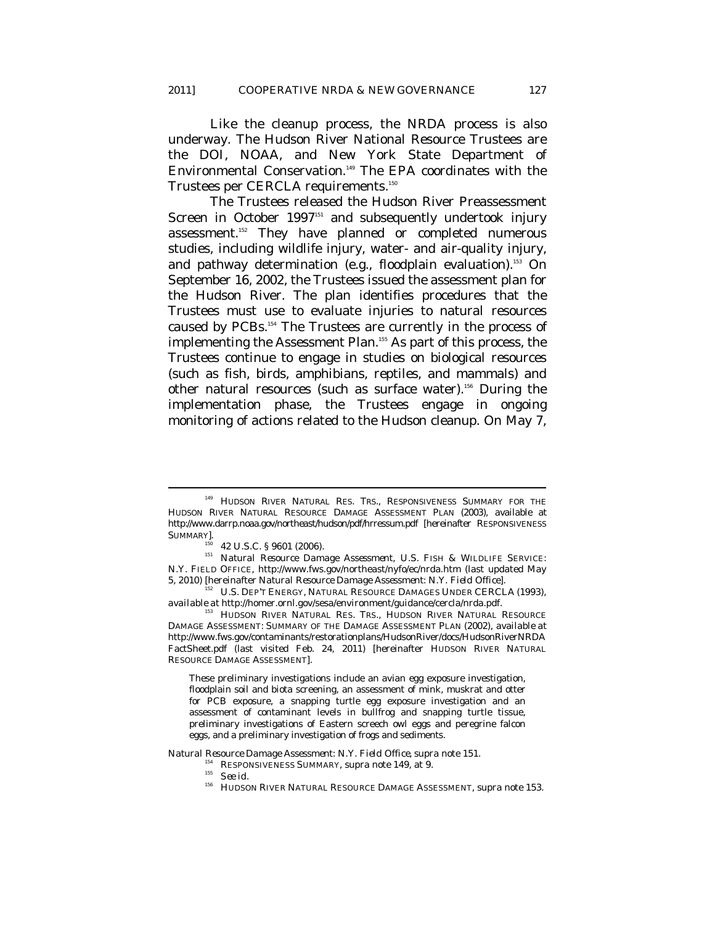Like the cleanup process, the NRDA process is also underway. The Hudson River National Resource Trustees are the DOI, NOAA, and New York State Department of Environmental Conservation.<sup>149</sup> The EPA coordinates with the Trustees per CERCLA requirements.<sup>150</sup>

The Trustees released the Hudson River Preassessment Screen in October 1997<sup>151</sup> and subsequently undertook injury assessment.152 They have planned or completed numerous studies, including wildlife injury, water- and air-quality injury, and pathway determination (e.g., floodplain evaluation).<sup>153</sup> On September 16, 2002, the Trustees issued the assessment plan for the Hudson River. The plan identifies procedures that the Trustees must use to evaluate injuries to natural resources caused by PCBs.154 The Trustees are currently in the process of implementing the Assessment Plan.<sup>155</sup> As part of this process, the Trustees continue to engage in studies on biological resources (such as fish, birds, amphibians, reptiles, and mammals) and other natural resources (such as surface water).156 During the implementation phase, the Trustees engage in ongoing monitoring of actions related to the Hudson cleanup. On May 7,

 $\overline{a}$ 

These preliminary investigations include an avian egg exposure investigation, floodplain soil and biota screening, an assessment of mink, muskrat and otter for PCB exposure, a snapping turtle egg exposure investigation and an assessment of contaminant levels in bullfrog and snapping turtle tissue, preliminary investigations of Eastern screech owl eggs and peregrine falcon eggs, and a preliminary investigation of frogs and sediments.

*Natural Resource Damage Assessment: N.Y. Field Office, supra* note 151.<br>
<sup>154</sup> RESPONSIVENESS SUMMARY, *supra* note 149, at 9.<br> *See id.* 

<sup>&</sup>lt;sup>149</sup> HUDSON RIVER NATURAL RES. TRS., RESPONSIVENESS SUMMARY FOR THE HUDSON RIVER NATURAL RESOURCE DAMAGE ASSESSMENT PLAN (2003), *available at* http://www.darrp.noaa.gov/northeast/hudson/pdf/hrressum.pdf [hereinafter RESPONSIVENESS SUMMARY].

<sup>&</sup>lt;sup>150</sup> 42 U.S.C. § 9601 (2006).<br><sup>151</sup> *Natural Resource Damage Assessment*, U.S. FISH & WILDLIFE SERVICE: N.Y. FIELD OFFICE, http://www.fws.gov/northeast/nyfo/ec/nrda.htm (last updated May 5, 2010) [hereinafter *Natural Resource Damage Assessment: N.Y. Field Office*]. 152 U.S. DEP'T ENERGY, NATURAL RESOURCE DAMAGES UNDER CERCLA (1993),

*available at* http://homer.ornl.gov/sesa/environment/guidance/cercla/nrda.pdf.

<sup>&</sup>lt;sup>153</sup> HUDSON RIVER NATURAL RES. TRS., HUDSON RIVER NATURAL RESOURCE DAMAGE ASSESSMENT: SUMMARY OF THE DAMAGE ASSESSMENT PLAN (2002), *available at*  http://www.fws.gov/contaminants/restorationplans/HudsonRiver/docs/HudsonRiverNRDA FactSheet.pdf (last visited Feb. 24, 2011) [hereinafter HUDSON RIVER NATURAL RESOURCE DAMAGE ASSESSMENT].

<sup>156</sup> HUDSON RIVER NATURAL RESOURCE DAMAGE ASSESSMENT, *supra* note 153.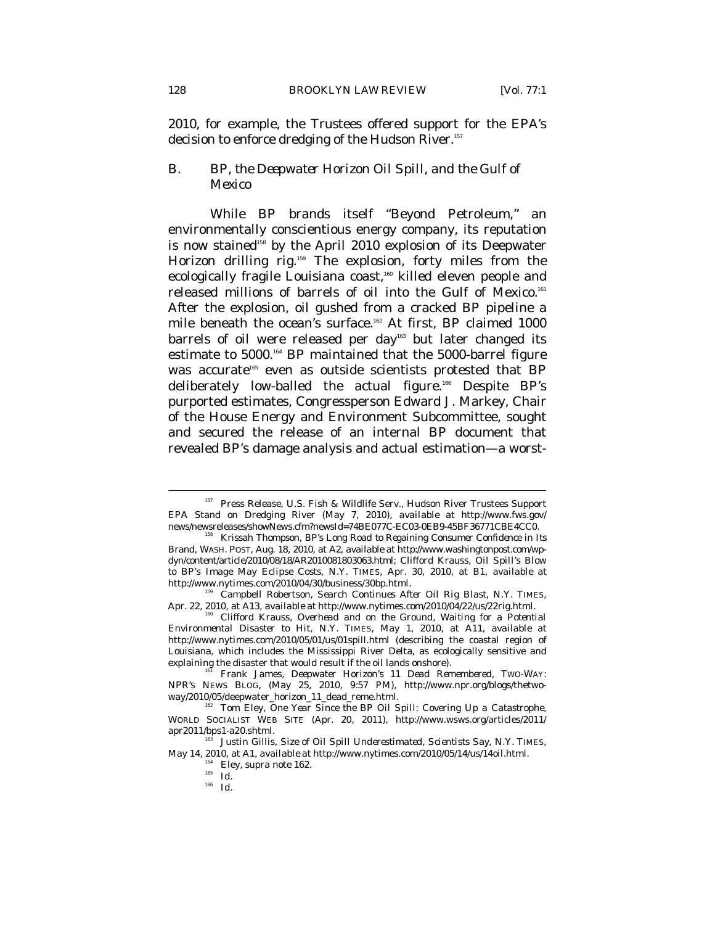2010, for example, the Trustees offered support for the EPA's decision to enforce dredging of the Hudson River.<sup>157</sup>

# *B. BP, the Deepwater Horizon Oil Spill, and the Gulf of Mexico*

While BP brands itself "Beyond Petroleum," an environmentally conscientious energy company, its reputation is now stained<sup>158</sup> by the April 2010 explosion of its Deepwater Horizon drilling rig.<sup>159</sup> The explosion, forty miles from the ecologically fragile Louisiana coast,<sup>160</sup> killed eleven people and released millions of barrels of oil into the Gulf of Mexico.<sup>161</sup> After the explosion, oil gushed from a cracked BP pipeline a mile beneath the ocean's surface.<sup>162</sup> At first, BP claimed 1000 barrels of oil were released per day<sup>163</sup> but later changed its estimate to 5000.164 BP maintained that the 5000-barrel figure was accurate<sup>165</sup> even as outside scientists protested that BP deliberately low-balled the actual figure.<sup>166</sup> Despite BP's purported estimates, Congressperson Edward J. Markey, Chair of the House Energy and Environment Subcommittee, sought and secured the release of an internal BP document that revealed BP's damage analysis and actual estimation—a worst-

<sup>166</sup> *Id.*

<sup>&</sup>lt;sup>157</sup> Press Release, U.S. Fish & Wildlife Serv., Hudson River Trustees Support EPA Stand on Dredging River (May 7, 2010), *available at* http://www.fws.gov/

news/newsreleases/showNews.cfm?newsId=74BE077C-EC03-0EB9-45BF36771CBE4CC0. 158 Krissah Thompson, *BP's Long Road to Regaining Consumer Confidence in Its Brand*, WASH. POST, Aug. 18, 2010, at A2, *available at* http://www.washingtonpost.com/wpdyn/content/article/2010/08/18/AR2010081803063.html; Clifford Krauss, *Oil Spill's Blow to BP's Image May Eclipse Costs*, N.Y. TIMES, Apr. 30, 2010, at B1, *available at*

<sup>&</sup>lt;sup>'</sup> Campbell Robertson, *Search Continues After Oil Rig Blast*, N.Y. TIMES, Apr. 22, 2010, at A13, *available at* http://www.nytimes.com/2010/04/22/us/22rig.html.<br><sup>160</sup> Clifford Krauss, *Overhead and on the Ground, Waiting for a Potential* 

*Environmental Disaster to Hit*, N.Y. TIMES, May 1, 2010, at A11, *available at*  http://www.nytimes.com/2010/05/01/us/01spill.html (describing the coastal region of Louisiana, which includes the Mississippi River Delta, as ecologically sensitive and explaining the disaster that would result if the oil lands onshore).<br><sup>161</sup> Frank James, *Deepwater Horizon's 11 Dead Remembered*, Two-WAY:

NPR'S NEWS BLOG, (May 25, 2010, 9:57 PM), http://www.npr.org/blogs/thetwoway/2010/05/deepwater\_horizon\_11\_dead\_reme.html. 162 Tom Eley, *One Year Since the BP Oil Spill: Covering Up a Catastrophe*,

WORLD SOCIALIST WEB SITE (Apr. 20, 2011), http://www.wsws.org/articles/2011/ apr2011/bps1-a20.shtml. 163 Justin Gillis, *Size of Oil Spill Underestimated, Scientists Say*, N.Y. TIMES,

May 14, 2010, at A1, *available at* http://www.nytimes.com/2010/05/14/us/14oil.html. 164 Eley, *supra* note 162. 165 *Id.*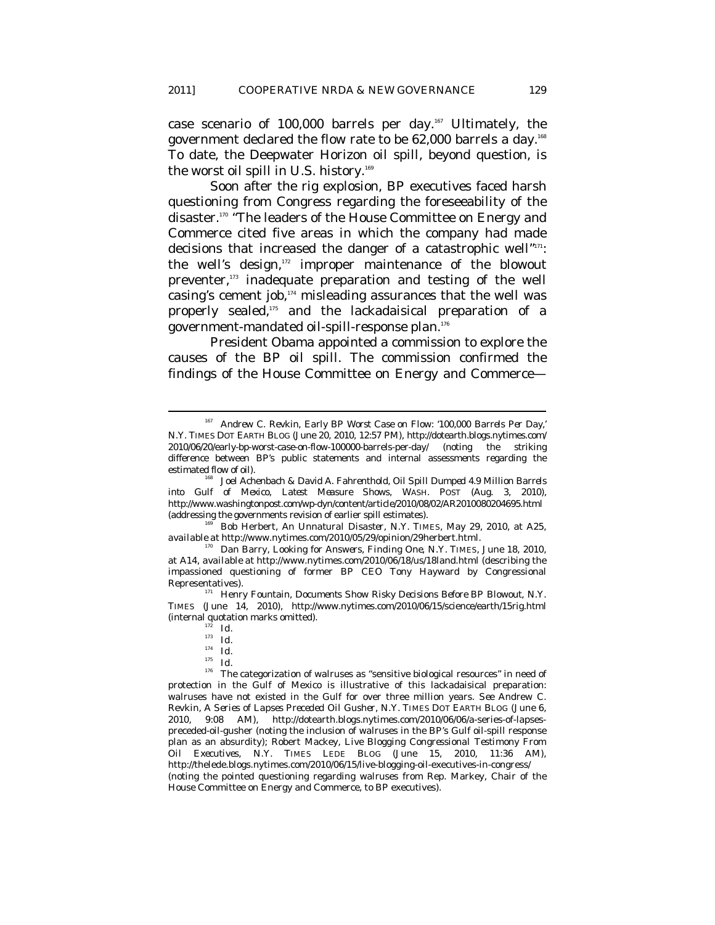case scenario of 100,000 barrels per day.167 Ultimately, the government declared the flow rate to be 62,000 barrels a day.168 To date, the Deepwater Horizon oil spill, beyond question, is the worst oil spill in U.S. history.<sup>169</sup>

Soon after the rig explosion, BP executives faced harsh questioning from Congress regarding the foreseeability of the disaster.<sup>170</sup> "The leaders of the House Committee on Energy and Commerce cited five areas in which the company had made decisions that increased the danger of a catastrophic well"171: the well's design,<sup>172</sup> improper maintenance of the blowout preventer,<sup>173</sup> inadequate preparation and testing of the well casing's cement job,174 misleading assurances that the well was properly sealed,<sup>175</sup> and the lackadaisical preparation of a government-mandated oil-spill-response plan.176

President Obama appointed a commission to explore the causes of the BP oil spill. The commission confirmed the findings of the House Committee on Energy and Commerce—

<sup>169</sup> Bob Herbert, *An Unnatural Disaster*, N.Y. TIMES, May 29, 2010, at A25, *available at* http://www.nytimes.com/2010/05/29/opinion/29herbert.html.

 $\overline{a}$ 

 $^{176}\,$  The categorization of walruses as "sensitive biological resources" in need of protection in the Gulf of Mexico is illustrative of this lackadaisical preparation: walruses have not existed in the Gulf for over three million years. *See* Andrew C. Revkin, *A Series of Lapses Preceded Oil Gusher*, N.Y. TIMES DOT EARTH BLOG (June 6, 2010, 9:08 AM), http://dotearth.blogs.nytimes.com/2010/06/06/a-series-of-lapsespreceded-oil-gusher (noting the inclusion of walruses in the BP's Gulf oil-spill response plan as an absurdity); Robert Mackey, *Live Blogging Congressional Testimony From Oil Executives*, N.Y. TIMES LEDE BLOG (June 15, 2010, 11:36 AM), http://thelede.blogs.nytimes.com/2010/06/15/live-blogging-oil-executives-in-congress/ (noting the pointed questioning regarding walruses from Rep. Markey, Chair of the House Committee on Energy and Commerce, to BP executives).

<sup>167</sup> Andrew C. Revkin, *Early BP Worst Case on Flow: '100,000 Barrels Per Day*,' N.Y. TIMES DOT EARTH BLOG (June 20, 2010, 12:57 PM), http://dotearth.blogs.nytimes.com/ 2010/06/20/early-bp-worst-case-on-flow-100000-barrels-per-day/ (noting the striking difference between BP's public statements and internal assessments regarding the estimated flow of oil). 168 Joel Achenbach & David A. Fahrenthold, *Oil Spill Dumped 4.9 Million Barrels* 

*into Gulf of Mexico, Latest Measure Shows*, WASH. POST (Aug. 3, 2010), http://www.washingtonpost.com/wp-dyn/content/article/2010/08/02/AR2010080204695.html (addressing the governments revision of earlier spill estimates).

Dan Barry, *Looking for Answers, Finding One*, N.Y. TIMES, June 18, 2010, at A14, *available at* http://www.nytimes.com/2010/06/18/us/18land.html (describing the impassioned questioning of former BP CEO Tony Hayward by Congressional Representatives). 171 Henry Fountain, *Documents Show Risky Decisions Before BP Blowout*, N.Y.

TIMES (June 14, 2010), http://www.nytimes.com/2010/06/15/science/earth/15rig.html (internal quotation marks omitted). 172 *Id.*

 $\frac{17\bar{2}}{173}$  *Id.* 

<sup>174</sup> *Id.*

<sup>175</sup> *Id.*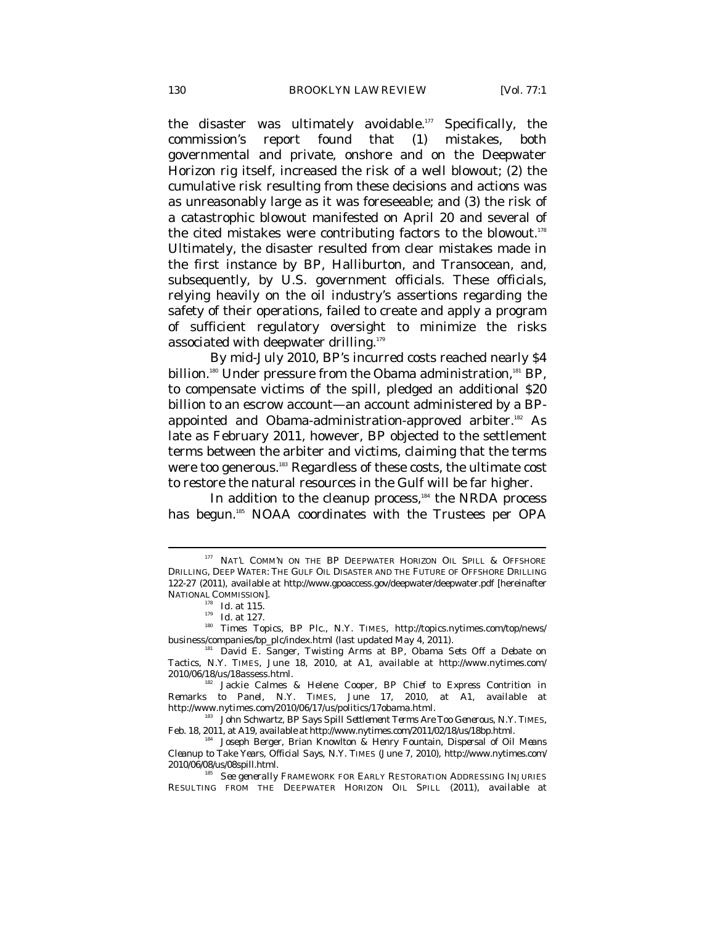the disaster was ultimately avoidable.177 Specifically, the commission's report found that (1) mistakes, both governmental and private, onshore and on the Deepwater Horizon rig itself, increased the risk of a well blowout; (2) the cumulative risk resulting from these decisions and actions was as unreasonably large as it was foreseeable; and (3) the risk of a catastrophic blowout manifested on April 20 and several of the cited mistakes were contributing factors to the blowout.<sup>178</sup> Ultimately, the disaster resulted from clear mistakes made in the first instance by BP, Halliburton, and Transocean, and, subsequently, by U.S. government officials. These officials, relying heavily on the oil industry's assertions regarding the safety of their operations, failed to create and apply a program of sufficient regulatory oversight to minimize the risks associated with deepwater drilling.<sup>179</sup>

By mid-July 2010, BP's incurred costs reached nearly \$4 billion.<sup>180</sup> Under pressure from the Obama administration,<sup>181</sup> BP, to compensate victims of the spill, pledged an additional \$20 billion to an escrow account—an account administered by a BPappointed and Obama-administration-approved arbiter.<sup>182</sup> As late as February 2011, however, BP objected to the settlement terms between the arbiter and victims, claiming that the terms were too generous.<sup>183</sup> Regardless of these costs, the ultimate cost to restore the natural resources in the Gulf will be far higher.

In addition to the cleanup process,<sup>184</sup> the NRDA process has begun.<sup>185</sup> NOAA coordinates with the Trustees per OPA

 $^{177}$  NAT'L COMM'N ON THE BP DEEPWATER HORIZON OIL SPILL & OFFSHORE DRILLING, DEEP WATER: THE GULF OIL DISASTER AND THE FUTURE OF OFFSHORE DRILLING 122-27 (2011), *available at* http://www.gpoaccess.gov/deepwater/deepwater.pdf [hereinafter NATIONAL COMMISSION].<br>
<sup>178</sup> *Id.* at 115.<br>
<sup>179</sup> *Id.* at 127.<br>
<sup>180</sup> Times Topics, *BP Plc.*, N.Y. TIMES, http://topics.nytimes.com/top/news/

business/companies/bp\_plc/index.html (last updated May 4, 2011). 181 David E. Sanger, *Twisting Arms at BP, Obama Sets Off a Debate on* 

*Tactics*, N.Y. TIMES, June 18, 2010, at A1, *available at* http://www.nytimes.com/ 2010/06/18/us/18assess.html. 182 Jackie Calmes & Helene Cooper, *BP Chief to Express Contrition in* 

*Remarks to Panel*, N.Y. TIMES, June 17, 2010, at A1, *available at* http://www.nytimes.com/2010/06/17/us/politics/17obama.html.

<sup>&</sup>lt;sup>183</sup> John Schwartz, *BP Says Spill Settlement Terms Are Too Generous*, N.Y. TIMES, Feb. 18, 2011, at A19, *available at* http://www.nytimes.com/2011/02/18/us/18bp.html.

<sup>&</sup>lt;sup>34</sup> Joseph Berger, Brian Knowlton & Henry Fountain, *Dispersal of Oil Means Cleanup to Take Years, Official Says*, N.Y. TIMES (June 7, 2010), http://www.nytimes.com/ 2010/06/08/us/08spill.html. 185 *See generally* FRAMEWORK FOR EARLY RESTORATION ADDRESSING INJURIES

RESULTING FROM THE DEEPWATER HORIZON OIL SPILL (2011), *available at*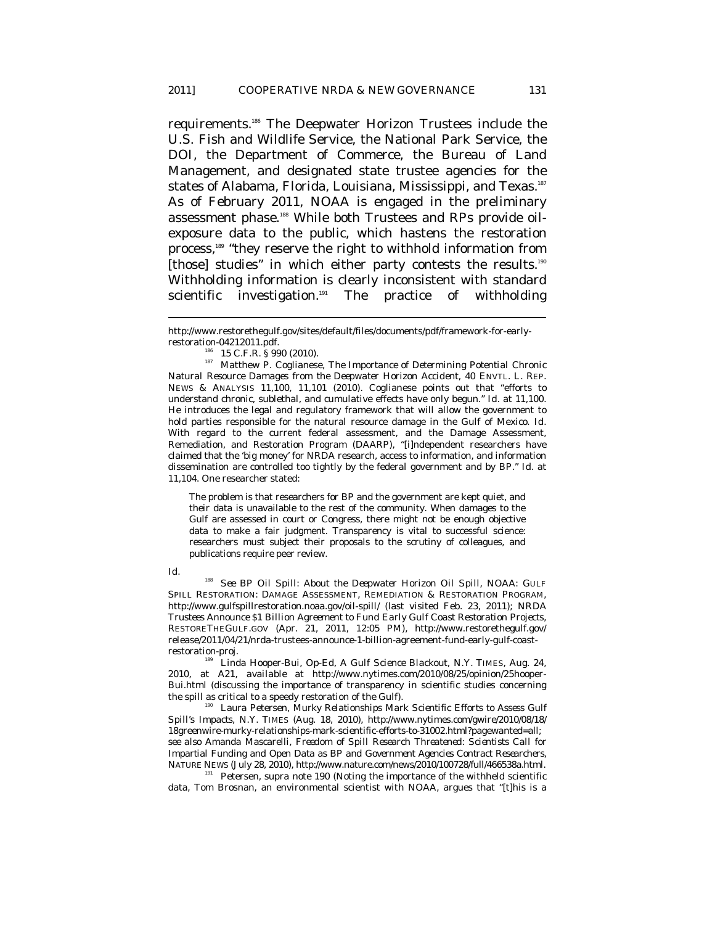requirements.186 The Deepwater Horizon Trustees include the U.S. Fish and Wildlife Service, the National Park Service, the DOI, the Department of Commerce, the Bureau of Land Management, and designated state trustee agencies for the states of Alabama, Florida, Louisiana, Mississippi, and Texas.<sup>187</sup> As of February 2011, NOAA is engaged in the preliminary assessment phase.188 While both Trustees and RPs provide oilexposure data to the public, which hastens the restoration process,<sup>189</sup> "they reserve the right to withhold information from [those] studies" in which either party contests the results.<sup>190</sup> Withholding information is clearly inconsistent with standard scientific investigation.<sup>191</sup> The practice of withholding

The problem is that researchers for BP and the government are kept quiet, and their data is unavailable to the rest of the community. When damages to the Gulf are assessed in court or Congress, there might not be enough objective data to make a fair judgment. Transparency is vital to successful science: researchers must subject their proposals to the scrutiny of colleagues, and publications require peer review.

#### *Id.*

 $\overline{a}$ 

<sup>188</sup> See BP Oil Spill: About the Deepwater Horizon Oil Spill, NOAA: GULF SPILL RESTORATION: DAMAGE ASSESSMENT, REMEDIATION & RESTORATION PROGRAM, http://www.gulfspillrestoration.noaa.gov/oil-spill/ (last visited Feb. 23, 2011); *NRDA Trustees Announce \$1 Billion Agreement to Fund Early Gulf Coast Restoration Projects*, RESTORETHEGULF.GOV (Apr. 21, 2011, 12:05 PM), http://www.restorethegulf.gov/ release/2011/04/21/nrda-trustees-announce-1-billion-agreement-fund-early-gulf-coast-

restoration-proj. 189 Linda Hooper-Bui, Op-Ed, *A Gulf Science Blackout*, N.Y. TIMES, Aug. 24, 2010, at A21, *available at* http://www.nytimes.com/2010/08/25/opinion/25hooper-Bui.html (discussing the importance of transparency in scientific studies concerning the spill as critical to a speedy restoration of the Gulf).<br><sup>190</sup> Laura Petersen, *Murky Relationships Mark Scientific Efforts to Assess Gulf* 

*Spill's Impacts*, N.Y. TIMES (Aug. 18, 2010), http://www.nytimes.com/gwire/2010/08/18/ 18greenwire-murky-relationships-mark-scientific-efforts-to-31002.html?pagewanted=all; *see also* Amanda Mascarelli, *Freedom of Spill Research Threatened: Scientists Call for Impartial Funding and Open Data as BP and Government Agencies Contract Researchers*,

<sup>191</sup> Petersen, *supra* note 190 (Noting the importance of the withheld scientific data, Tom Brosnan, an environmental scientist with NOAA, argues that "[t]his is a

http://www.restorethegulf.gov/sites/default/files/documents/pdf/framework-for-early-

restoration-04212011.pdf. 186 15 C.F.R. § 990 (2010). 187 Matthew P. Coglianese, *The Importance of Determining Potential Chronic Natural Resource Damages from the Deepwater Horizon Accident*, 40 ENVTL. L. REP. NEWS & ANALYSIS 11,100, 11,101 (2010). Coglianese points out that "efforts to understand chronic, sublethal, and cumulative effects have only begun." *Id.* at 11,100. He introduces the legal and regulatory framework that will allow the government to hold parties responsible for the natural resource damage in the Gulf of Mexico. *Id.*  With regard to the current federal assessment, and the Damage Assessment, Remediation, and Restoration Program (DAARP), "[i]ndependent researchers have claimed that the 'big money' for NRDA research, access to information, and information dissemination are controlled too tightly by the federal government and by BP." *Id.* at 11,104. One researcher stated: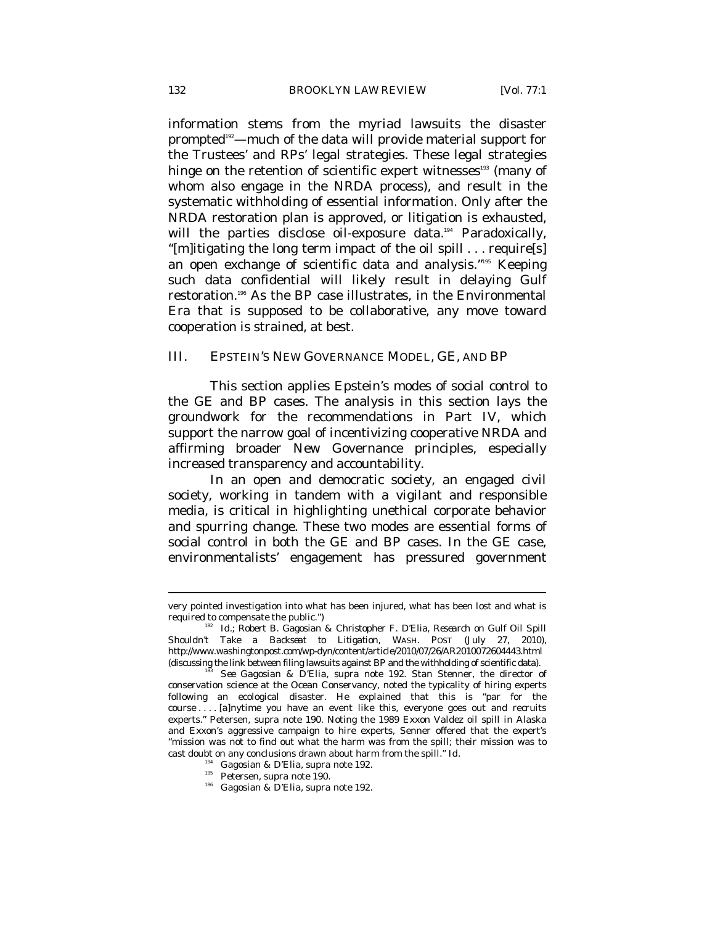information stems from the myriad lawsuits the disaster prompted<sup>192</sup>—much of the data will provide material support for the Trustees' and RPs' legal strategies. These legal strategies hinge on the retention of scientific expert witnesses<sup>193</sup> (many of whom also engage in the NRDA process), and result in the systematic withholding of essential information. Only after the NRDA restoration plan is approved, or litigation is exhausted, will the parties disclose oil-exposure data.<sup>194</sup> Paradoxically, "[m]itigating the long term impact of the oil spill . . . require[s] an open exchange of scientific data and analysis."195 Keeping such data confidential will likely result in delaying Gulf restoration.196 As the BP case illustrates, in the Environmental Era that is supposed to be collaborative, any move toward cooperation is strained, at best.

### III. EPSTEIN'S NEW GOVERNANCE MODEL, GE, AND BP

This section applies Epstein's modes of social control to the GE and BP cases. The analysis in this section lays the groundwork for the recommendations in Part IV, which support the narrow goal of incentivizing cooperative NRDA and affirming broader New Governance principles, especially increased transparency and accountability.

In an open and democratic society, an engaged civil society, working in tandem with a vigilant and responsible media, is critical in highlighting unethical corporate behavior and spurring change. These two modes are essential forms of social control in both the GE and BP cases. In the GE case, environmentalists' engagement has pressured government

- 
- 

very pointed investigation into what has been injured, what has been lost and what is required to compensate the public.") 192 *Id.*; Robert B. Gagosian & Christopher F. D'Elia, *Research on Gulf Oil Spill* 

*Shouldn't Take a Backseat to Litigation*, WASH. POST (July 27, 2010), http://www.washingtonpost.com/wp-dyn/content/article/2010/07/26/AR2010072604443.html

<sup>(</sup>discussing the link between filing lawsuits against BP and the withholding of scientific data). 193 *See* Gagosian & D'Elia, *supra* note 192. Stan Stenner, the director of conservation science at the Ocean Conservancy, noted the typicality of hiring experts following an ecological disaster. He explained that this is "par for the course . . . . [a]nytime you have an event like this, everyone goes out and recruits experts." Petersen, *supra* note 190. Noting the 1989 Exxon Valdez oil spill in Alaska and Exxon's aggressive campaign to hire experts, Senner offered that the expert's "mission was not to find out what the harm was from the spill; their mission was to cast doubt on any conclusions drawn about harm from the spill." *Id.* 194 Gagosian & D'Elia, *supra* note 192. 196 Gagosian & D'Elia, *supra* note 192.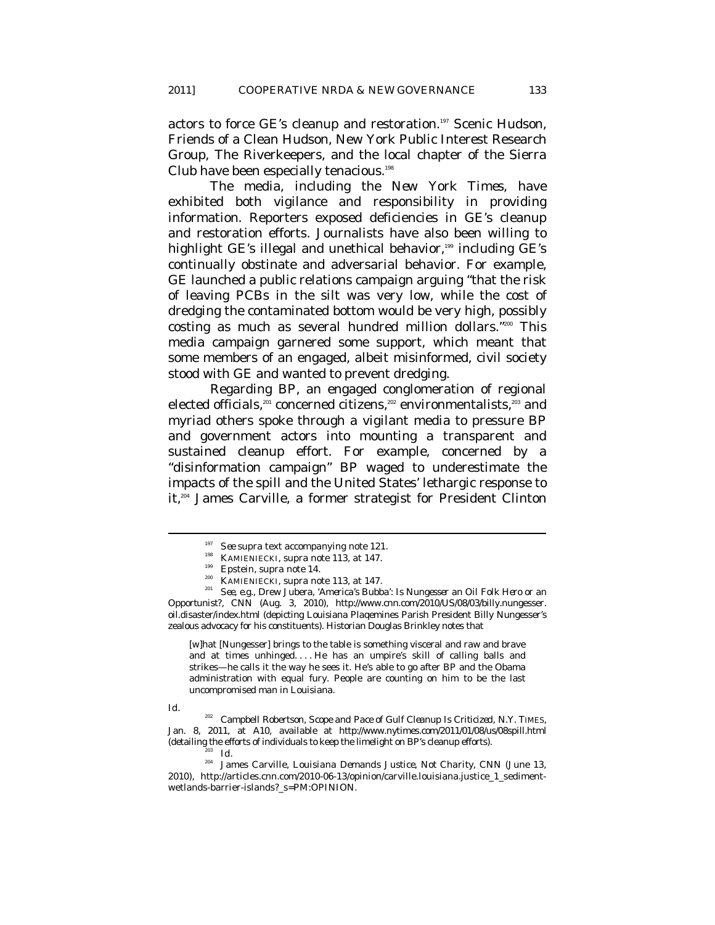actors to force GE's cleanup and restoration.<sup>197</sup> Scenic Hudson, Friends of a Clean Hudson, New York Public Interest Research Group, The Riverkeepers, and the local chapter of the Sierra Club have been especially tenacious.<sup>198</sup>

The media, including the *New York Times*, have exhibited both vigilance and responsibility in providing information. Reporters exposed deficiencies in GE's cleanup and restoration efforts. Journalists have also been willing to highlight GE's illegal and unethical behavior, $199$  including GE's continually obstinate and adversarial behavior. For example, GE launched a public relations campaign arguing "that the risk of leaving PCBs in the silt was very low, while the cost of dredging the contaminated bottom would be very high, possibly costing as much as several hundred million dollars."200 This media campaign garnered some support, which meant that some members of an engaged, albeit misinformed, civil society stood with GE and wanted to prevent dredging.

Regarding BP, an engaged conglomeration of regional elected officials, $201$  concerned citizens, $202$  environmentalists, $203$  and myriad others spoke through a vigilant media to pressure BP and government actors into mounting a transparent and sustained cleanup effort. For example, concerned by a "disinformation campaign" BP waged to underestimate the impacts of the spill and the United States' lethargic response to it,204 James Carville, a former strategist for President Clinton

[w]hat [Nungesser] brings to the table is something visceral and raw and brave and at times unhinged. . . . He has an umpire's skill of calling balls and strikes—he calls it the way he sees it. He's able to go after BP and the Obama administration with equal fury. People are counting on him to be the last uncompromised man in Louisiana.

*Id.* 

 $\overline{a}$ 

202 Campbell Robertson, *Scope and Pace of Gulf Cleanup Is Criticized*, N.Y. TIMES, Jan. 8, 2011, at A10, *available at* http://www.nytimes.com/2011/01/08/us/08spill.html (detailing the efforts of individuals to keep the limelight on BP's cleanup efforts).  $Id$ .

<sup>&</sup>lt;sup>197</sup> *See supra* text accompanying note 121.<br><sup>198</sup> KAMIENIECKI, *supra* note 113, at 147.<br><sup>200</sup> KAMIENIECKI, *supra* note 113, at 147.

<sup>200</sup> KAMIENIECKI, *supra* note 113, at 147. 201 *See, e.g.*, Drew Jubera, *'America's Bubba': Is Nungesser an Oil Folk Hero or an Opportunist?*, CNN (Aug. 3, 2010), http://www.cnn.com/2010/US/08/03/billy.nungesser. oil.disaster/index.html (depicting Louisiana Plaqemines Parish President Billy Nungesser's zealous advocacy for his constituents). Historian Douglas Brinkley notes that

<sup>&</sup>lt;sup>204</sup> James Carville, *Louisiana Demands Justice, Not Charity*, CNN (June 13, 2010), http://articles.cnn.com/2010-06-13/opinion/carville.louisiana.justice\_1\_sedimentwetlands-barrier-islands?\_s=PM:OPINION.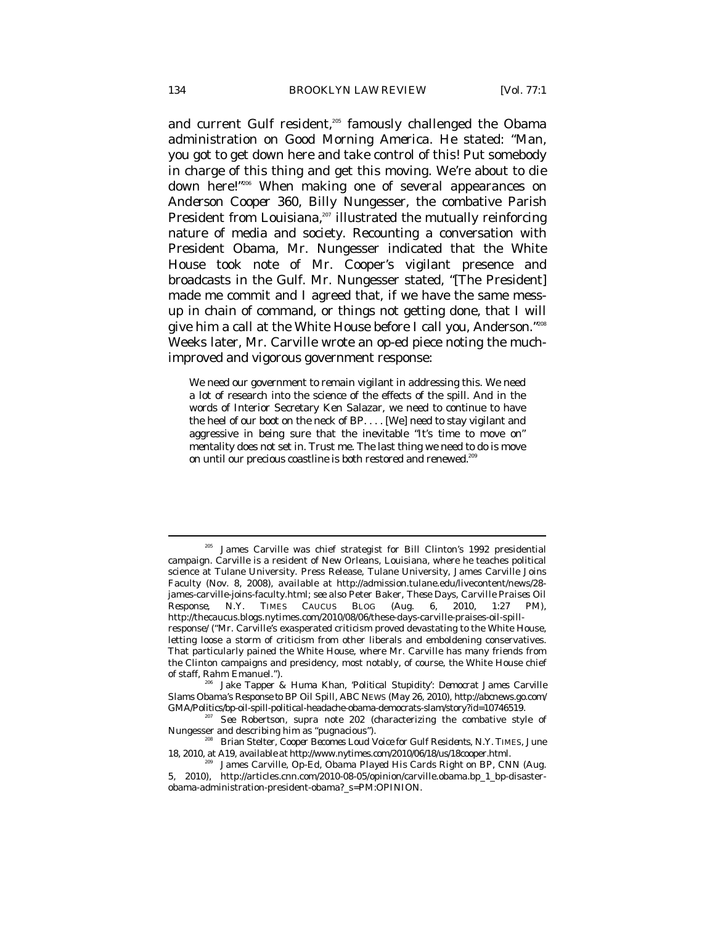and current Gulf resident,<sup>205</sup> famously challenged the Obama administration on *Good Morning America*. He stated: "Man, you got to get down here and take control of this! Put somebody in charge of this thing and get this moving. We're about to die down here!"206 When making one of several appearances on *Anderson Cooper 360*, Billy Nungesser, the combative Parish President from Louisiana, $207$  illustrated the mutually reinforcing nature of media and society. Recounting a conversation with President Obama, Mr. Nungesser indicated that the White House took note of Mr. Cooper's vigilant presence and broadcasts in the Gulf. Mr. Nungesser stated, "[The President] made me commit and I agreed that, if we have the same messup in chain of command, or things not getting done, that I will give him a call at the White House before I call you, Anderson."208 Weeks later, Mr. Carville wrote an op-ed piece noting the muchimproved and vigorous government response:

We need our government to remain vigilant in addressing this. We need a lot of research into the science of the effects of the spill. And in the words of Interior Secretary Ken Salazar, we need to continue to have the heel of our boot on the neck of BP. . . . [We] need to stay vigilant and aggressive in being sure that the inevitable "It's time to move on" mentality does not set in. Trust me. The last thing we need to do is move on until our precious coastline is both restored and renewed.<sup>209</sup>

James Carville was chief strategist for Bill Clinton's 1992 presidential campaign. Carville is a resident of New Orleans, Louisiana, where he teaches political science at Tulane University. Press Release, Tulane University, James Carville Joins Faculty (Nov. 8, 2008), *available at* http://admission.tulane.edu/livecontent/news/28 james-carville-joins-faculty.html; *see also* Peter Baker, *These Days, Carville Praises Oil Response*, N.Y. TIMES CAUCUS BLOG (Aug. 6, 2010, 1:27 PM), http://thecaucus.blogs.nytimes.com/2010/08/06/these-days-carville-praises-oil-spillresponse/ ("Mr. Carville's exasperated criticism proved devastating to the White House, letting loose a storm of criticism from other liberals and emboldening conservatives. That particularly pained the White House, where Mr. Carville has many friends from the Clinton campaigns and presidency, most notably, of course, the White House chief of staff, Rahm Emanuel.").

Jake Tapper & Huma Khan, '*Political Stupidity': Democrat James Carville Slams Obama's Response to BP Oil Spill*, ABC NEWS (May 26, 2010), http://abcnews.go.com/

GMA/Politics/bp-oil-spill-political-headache-obama-democrats-slam/story?id=10746519.<br><sup>207</sup> See Robertson, *supra* note 202 (characterizing the combative style of Nungesser and describing him as "pugnacious").

<sup>&</sup>lt;sup>208</sup> Brian Stelter, *Cooper Becomes Loud Voice for Gulf Residents*, N.Y. TIMES, June 18, 2010, at A19, *available at* http://www.nytimes.com/2010/06/18/us/18cooper.html.

James Carville, Op-Ed, *Obama Played His Cards Right on BP*, CNN (Aug. 5, 2010), http://articles.cnn.com/2010-08-05/opinion/carville.obama.bp\_1\_bp-disasterobama-administration-president-obama?\_s=PM:OPINION.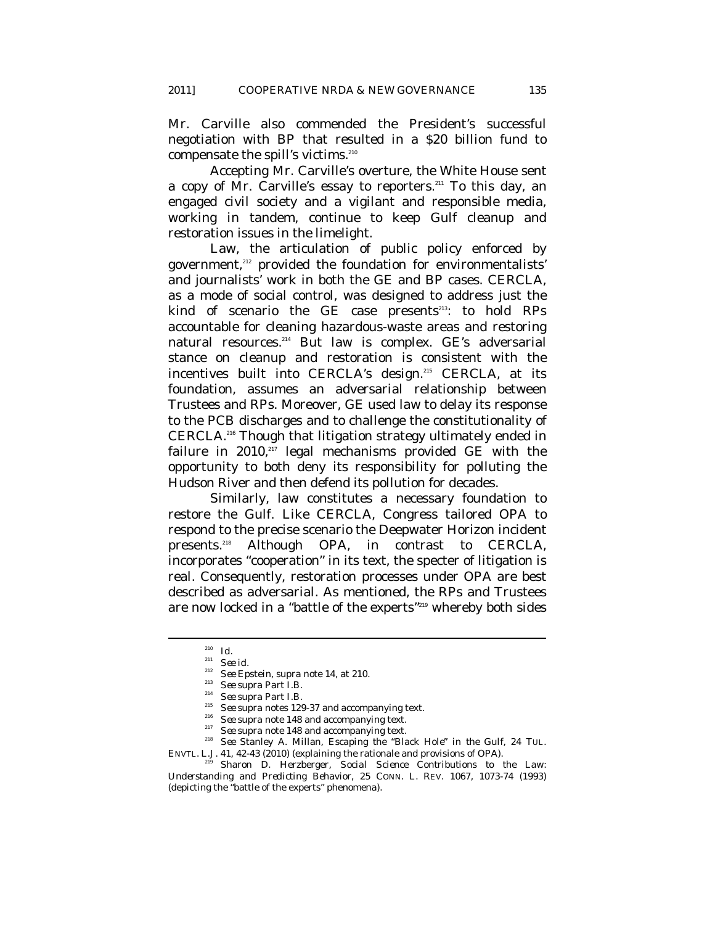Mr. Carville also commended the President's successful negotiation with BP that resulted in a \$20 billion fund to compensate the spill's victims.<sup>210</sup>

Accepting Mr. Carville's overture, the White House sent a copy of Mr. Carville's essay to reporters.<sup>211</sup> To this day, an engaged civil society and a vigilant and responsible media, working in tandem, continue to keep Gulf cleanup and restoration issues in the limelight.

Law, the articulation of public policy enforced by government,<sup>212</sup> provided the foundation for environmentalists' and journalists' work in both the GE and BP cases. CERCLA, as a mode of social control, was designed to address just the kind of scenario the GE case presents $213$ : to hold RPs accountable for cleaning hazardous-waste areas and restoring natural resources.214 But law is complex. GE's adversarial stance on cleanup and restoration is consistent with the incentives built into CERCLA's design.215 CERCLA, at its foundation, assumes an adversarial relationship between Trustees and RPs. Moreover, GE used law to delay its response to the PCB discharges and to challenge the constitutionality of CERCLA.216 Though that litigation strategy ultimately ended in failure in  $2010$ ,<sup>217</sup> legal mechanisms provided GE with the opportunity to both deny its responsibility for polluting the Hudson River and then defend its pollution for decades.

Similarly, law constitutes a necessary foundation to restore the Gulf. Like CERCLA, Congress tailored OPA to respond to the precise scenario the Deepwater Horizon incident presents.218 Although OPA, in contrast to CERCLA, incorporates "cooperation" in its text, the specter of litigation is real. Consequently, restoration processes under OPA are best described as adversarial. As mentioned, the RPs and Trustees are now locked in a "battle of the experts"<sup>219</sup> whereby both sides

<sup>210</sup> *Id.*

<sup>&</sup>lt;sup>211</sup> *See id.*<br><sup>212</sup> *See Epstein, supra* note 14, at 210.

See supra Part I.B.<br>
<sup>213</sup> See supra Part I.B.<br>
<sup>214</sup> See supra notes 129-37 and accompanying text.<br>
<sup>215</sup> See supra note 148 and accompanying text.<br>
<sup>217</sup> See supra note 148 and accompanying text.<br>
<sup>217</sup> See Stanley A. Mi

ENVTL. L.J. 41, 42-43 (2010) (explaining the rationale and provisions of OPA). 219 Sharon D. Herzberger, *Social Science Contributions to the Law: Understanding and Predicting Behavior*, 25 CONN. L. REV. 1067, 1073-74 (1993) (depicting the "battle of the experts" phenomena).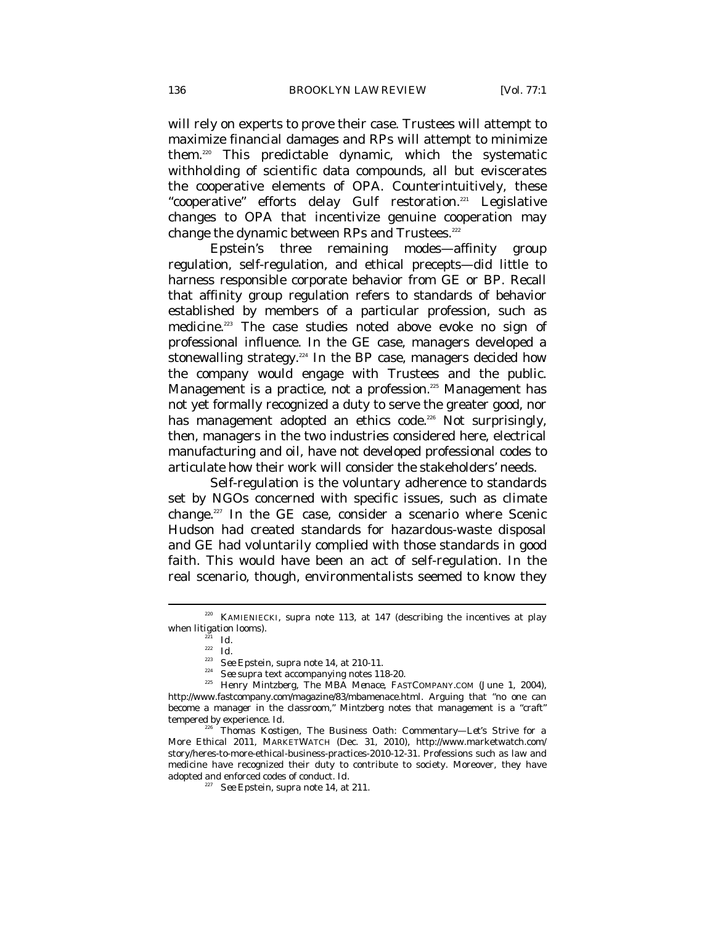will rely on experts to prove their case. Trustees will attempt to maximize financial damages and RPs will attempt to minimize them.220 This predictable dynamic, which the systematic withholding of scientific data compounds, all but eviscerates the cooperative elements of OPA. Counterintuitively, these "cooperative" efforts delay Gulf restoration.<sup>221</sup> Legislative changes to OPA that incentivize genuine cooperation may change the dynamic between RPs and Trustees. $^{222}$ 

Epstein's three remaining modes—affinity group regulation, self-regulation, and ethical precepts—did little to harness responsible corporate behavior from GE or BP. Recall that affinity group regulation refers to standards of behavior established by members of a particular profession, such as medicine.<sup>223</sup> The case studies noted above evoke no sign of professional influence. In the GE case, managers developed a stonewalling strategy.<sup>224</sup> In the BP case, managers decided how the company would engage with Trustees and the public. Management is a practice, not a profession.<sup>225</sup> Management has not yet formally recognized a duty to serve the greater good, nor has management adopted an ethics code.<sup>226</sup> Not surprisingly, then, managers in the two industries considered here, electrical manufacturing and oil, have not developed professional codes to articulate how their work will consider the stakeholders' needs.

Self-regulation is the voluntary adherence to standards set by NGOs concerned with specific issues, such as climate change.227 In the GE case, consider a scenario where Scenic Hudson had created standards for hazardous-waste disposal and GE had voluntarily complied with those standards in good faith. This would have been an act of self-regulation. In the real scenario, though, environmentalists seemed to know they

KAMIENIECKI, *supra* note 113, at 147 (describing the incentives at play when litigation looms).<br> $\frac{221}{Id}$ 

<sup>&</sup>lt;sup>222</sup> *Id.*<br><sup>223</sup> *See* Epstein, *supra* note 14, at 210-11.

<sup>&</sup>lt;sup>224</sup> *See supra* text accompanying notes 118-20.<br><sup>225</sup> Henry Mintzberg, *The MBA Menace*, FASTCOMPANY.COM (June 1, 2004), http://www.fastcompany.com/magazine/83/mbamenace.html. Arguing that "no one can become a manager in the classroom," Mintzberg notes that management is a "craft" tempered by experience. *Id.*

<sup>226</sup> Thomas Kostigen, *The Business Oath: Commentary—Let's Strive for a More Ethical 2011*, MARKETWATCH (Dec. 31, 2010), http://www.marketwatch.com/ story/heres-to-more-ethical-business-practices-2010-12-31. Professions such as law and medicine have recognized their duty to contribute to society. Moreover, they have adopted and enforced codes of conduct. *Id.* 

<sup>227</sup> *See* Epstein, *supra* note 14, at 211.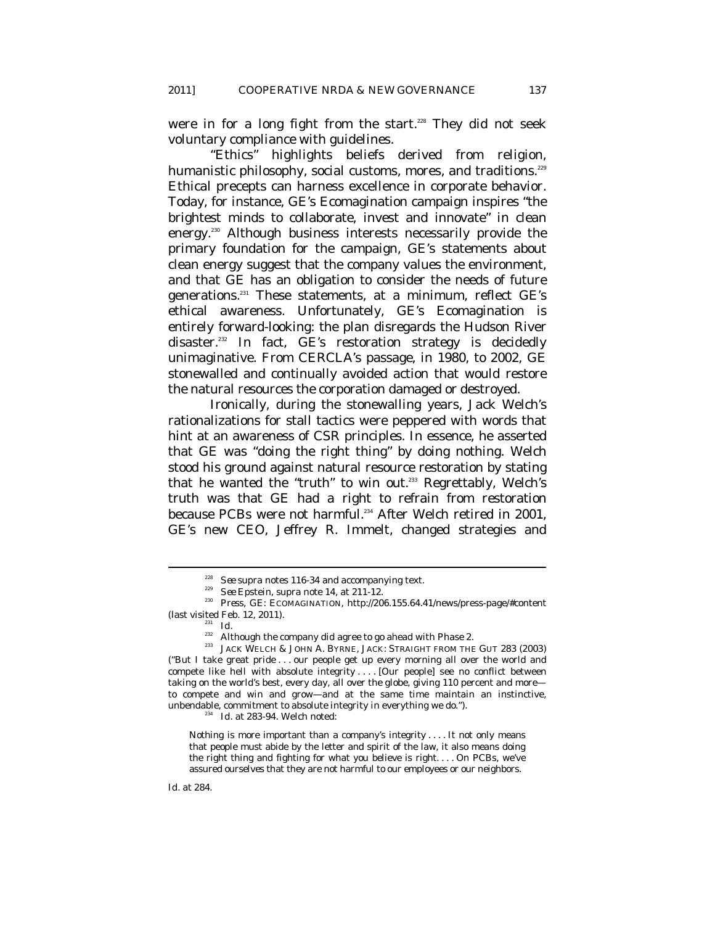were in for a long fight from the start.<sup>228</sup> They did not seek voluntary compliance with guidelines.

"Ethics" highlights beliefs derived from religion, humanistic philosophy, social customs, mores, and traditions.<sup>229</sup> Ethical precepts can harness excellence in corporate behavior. Today, for instance, GE's Ecomagination campaign inspires "the brightest minds to collaborate, invest and innovate" in clean energy.230 Although business interests necessarily provide the primary foundation for the campaign, GE's statements about clean energy suggest that the company values the environment, and that GE has an obligation to consider the needs of future generations.<sup>231</sup> These statements, at a minimum, reflect GE's ethical awareness. Unfortunately, GE's Ecomagination is entirely forward-looking: the plan disregards the Hudson River disaster.<sup>232</sup> In fact, GE's restoration strategy is decidedly unimaginative. From CERCLA's passage, in 1980, to 2002, GE stonewalled and continually avoided action that would restore the natural resources the corporation damaged or destroyed.

Ironically, during the stonewalling years, Jack Welch's rationalizations for stall tactics were peppered with words that hint at an awareness of CSR principles. In essence, he asserted that GE was "doing the right thing" by doing nothing. Welch stood his ground against natural resource restoration by stating that he wanted the "truth" to win out.<sup>233</sup> Regrettably, Welch's truth was that GE had a right to refrain from restoration because PCBs were not harmful.<sup>234</sup> After Welch retired in 2001, GE's new CEO, Jeffrey R. Immelt, changed strategies and

 $\overline{a}$ 

Nothing is more important than a company's integrity . . . . It not only means that people must abide by the letter and spirit of the law, it also means doing the right thing and fighting for what you believe is right. . . . On PCBs, we've assured ourselves that they are not harmful to our employees or our neighbors.

<sup>&</sup>lt;sup>228</sup> *See supra* notes 116-34 and accompanying text.<br><sup>229</sup> *See* Epstein, *supra* note 14, at 211-12.<br><sup>230</sup> *Press*, GE: ECOMAGINATION, http://206.155.64.41/news/press-page/#content %) (last visited Feb. 12, 2011).<br><sup>231</sup> *Id.*<br><sup>232</sup> Although the company did agree to go ahead with Phase 2.

 $233$  JACK WELCH & JOHN A. BYRNE, JACK: STRAIGHT FROM THE GUT 283 (2003) ("But I take great pride . . . our people get up every morning all over the world and compete like hell with absolute integrity . . . . [Our people] see no conflict between taking on the world's best, every day, all over the globe, giving 110 percent and more to compete and win and grow—and at the same time maintain an instinctive, unbendable, commitment to absolute integrity in everything we do."). 234 *Id.* at 283-94. Welch noted: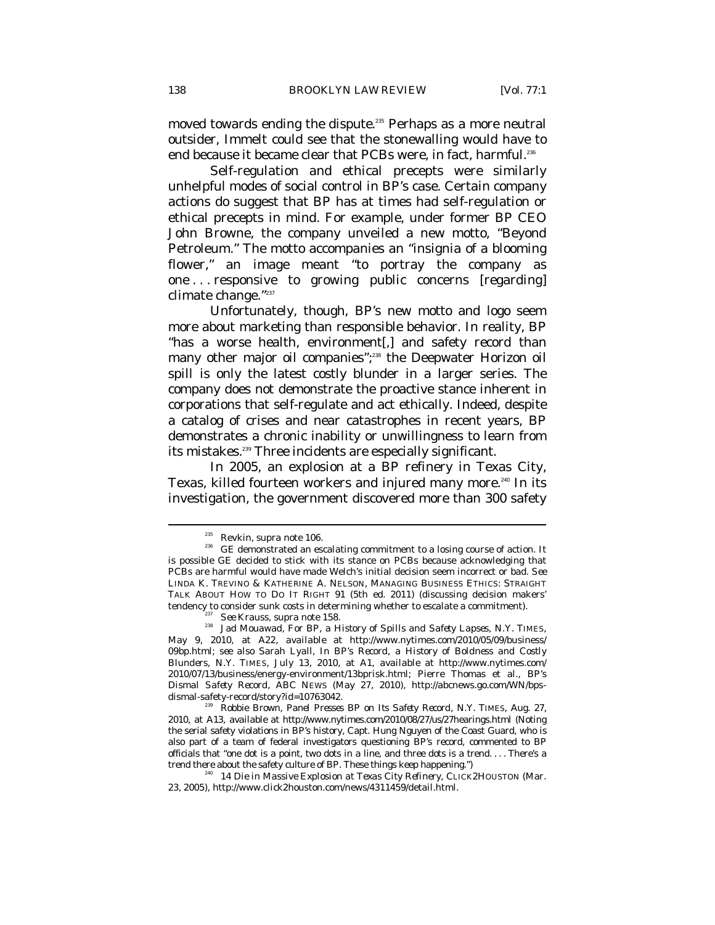moved towards ending the dispute.<sup>235</sup> Perhaps as a more neutral outsider, Immelt could see that the stonewalling would have to end because it became clear that PCBs were, in fact, harmful.<sup>236</sup>

Self-regulation and ethical precepts were similarly unhelpful modes of social control in BP's case. Certain company actions do suggest that BP has at times had self-regulation or ethical precepts in mind. For example, under former BP CEO John Browne, the company unveiled a new motto, "Beyond Petroleum." The motto accompanies an "insignia of a blooming flower," an image meant "to portray the company as one . . . responsive to growing public concerns [regarding] climate change."237

Unfortunately, though, BP's new motto and logo seem more about marketing than responsible behavior. In reality, BP "has a worse health, environment[,] and safety record than many other major oil companies";<sup>238</sup> the Deepwater Horizon oil spill is only the latest costly blunder in a larger series. The company does not demonstrate the proactive stance inherent in corporations that self-regulate and act ethically. Indeed, despite a catalog of crises and near catastrophes in recent years, BP demonstrates a chronic inability or unwillingness to learn from its mistakes.<sup>239</sup> Three incidents are especially significant.

In 2005, an explosion at a BP refinery in Texas City, Texas, killed fourteen workers and injured many more.<sup>240</sup> In its investigation, the government discovered more than 300 safety

<sup>&</sup>lt;sup>235</sup> Revkin, *supra* note 106.<br><sup>236</sup> GE demonstrated an escalating commitment to a losing course of action. It is possible GE decided to stick with its stance on PCBs because acknowledging that PCBs are harmful would have made Welch's initial decision seem incorrect or bad. *See*  LINDA K. TREVINO & KATHERINE A. NELSON, MANAGING BUSINESS ETHICS: STRAIGHT TALK ABOUT HOW TO DO IT RIGHT 91 (5th ed. 2011) (discussing decision makers' tendency to consider sunk costs in determining whether to escalate a commitment).<br><sup>237</sup> *See* Krauss, *supra* note 158.<br>238 Jad Mouawad, *For BP, a History of Spills and Safety Lapses*, N.Y. TIMES,

May 9, 2010, at A22, *available at* http://www.nytimes.com/2010/05/09/business/ 09bp.html; *see also* Sarah Lyall, *In BP's Record, a History of Boldness and Costly Blunders*, N.Y. TIMES, July 13, 2010, at A1, *available at* http://www.nytimes.com/ 2010/07/13/business/energy-environment/13bprisk.html; Pierre Thomas et al., *BP's Dismal Safety Record*, ABC NEWS (May 27, 2010), http://abcnews.go.com/WN/bpsdismal-safety-record/story?id=10763042.<br><sup>239</sup> Robbie Brown, *Panel Presses BP on Its Safety Record*, N.Y. TIMES, Aug. 27,

<sup>2010,</sup> at A13, *available at* http://www.nytimes.com/2010/08/27/us/27hearings.html (Noting the serial safety violations in BP's history, Capt. Hung Nguyen of the Coast Guard, who is also part of a team of federal investigators questioning BP's record, commented to BP officials that "one dot is a point, two dots in a line, and three dots is a trend.... There's a trend there about the safety culture of BP. These things keep happening.")

<sup>&</sup>lt;sup>240</sup> 14 Die in Massive Explosion at Texas City Refinery, CLICK2HOUSTON (Mar. 23, 2005), http://www.click2houston.com/news/4311459/detail.html.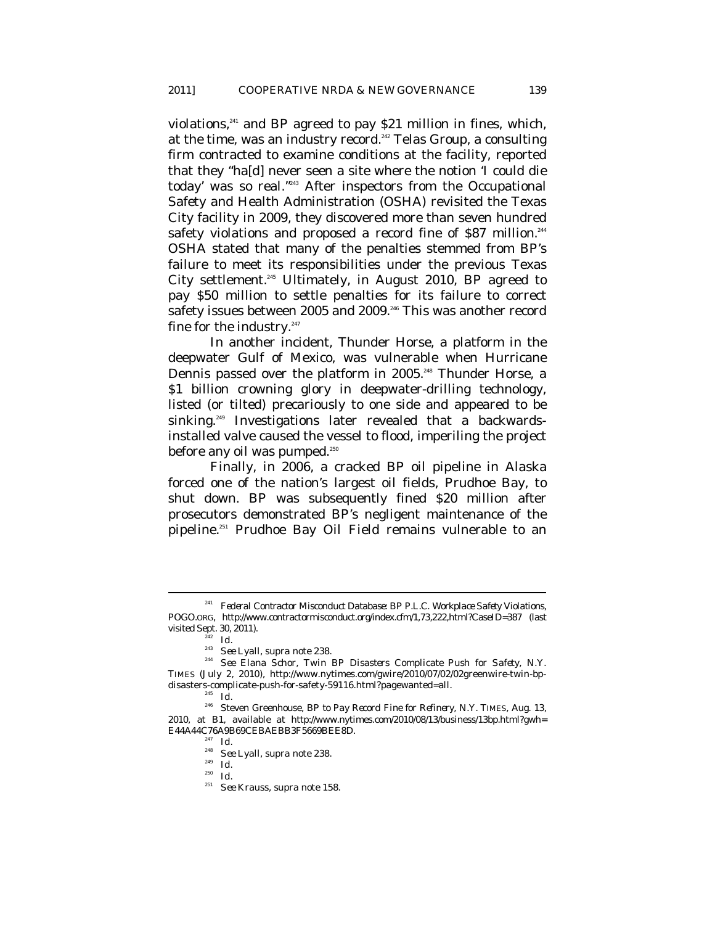violations,<sup>241</sup> and BP agreed to pay \$21 million in fines, which, at the time, was an industry record.<sup>242</sup> Telas Group, a consulting firm contracted to examine conditions at the facility, reported that they "ha[d] never seen a site where the notion 'I could die today' was so real."243 After inspectors from the Occupational Safety and Health Administration (OSHA) revisited the Texas City facility in 2009, they discovered more than seven hundred safety violations and proposed a record fine of \$87 million.<sup>244</sup> OSHA stated that many of the penalties stemmed from BP's failure to meet its responsibilities under the previous Texas City settlement.245 Ultimately, in August 2010, BP agreed to pay \$50 million to settle penalties for its failure to correct safety issues between 2005 and 2009.<sup>246</sup> This was another record fine for the industry. $247$ 

In another incident, Thunder Horse, a platform in the deepwater Gulf of Mexico, was vulnerable when Hurricane Dennis passed over the platform in 2005.<sup>248</sup> Thunder Horse, a \$1 billion crowning glory in deepwater-drilling technology, listed (or tilted) precariously to one side and appeared to be sinking.<sup>249</sup> Investigations later revealed that a backwardsinstalled valve caused the vessel to flood, imperiling the project before any oil was pumped.<sup>250</sup>

Finally, in 2006, a cracked BP oil pipeline in Alaska forced one of the nation's largest oil fields, Prudhoe Bay, to shut down. BP was subsequently fined \$20 million after prosecutors demonstrated BP's negligent maintenance of the pipeline.251 Prudhoe Bay Oil Field remains vulnerable to an

<sup>241</sup> *Federal Contractor Misconduct Database: BP P.L.C. Workplace Safety Violations*, POGO.ORG, http://www.contractormisconduct.org/index.cfm/1,73,222,html?CaseID=387 (last visited Sept. 30, 2011).<br><sup>243</sup> *Id.*<br><sup>243</sup> *See* Lyall, *supra* note 238.

<sup>&</sup>lt;sup>244</sup> See Elana Schor, *Twin BP Disasters Complicate Push for Safety*, N.Y. TIMES (July 2, 2010), http://www.nytimes.com/gwire/2010/07/02/02greenwire-twin-bpdisasters-complicate-push-for-safety-59116.html?pagewanted=all. 245 *Id.*

<sup>246</sup> Steven Greenhouse, *BP to Pay Record Fine for Refinery*, N.Y. TIMES, Aug. 13, 2010, at B1, *available at* http://www.nytimes.com/2010/08/13/business/13bp.html?gwh= E44A44C76A9B69CEBAEBB3F5669BEE8D. 247 *Id.*

<sup>248</sup> *See* Lyall, *supra* note 238. 249 *Id.*

<sup>250</sup> *Id.*

<sup>251</sup> *See* Krauss, *supra* note 158.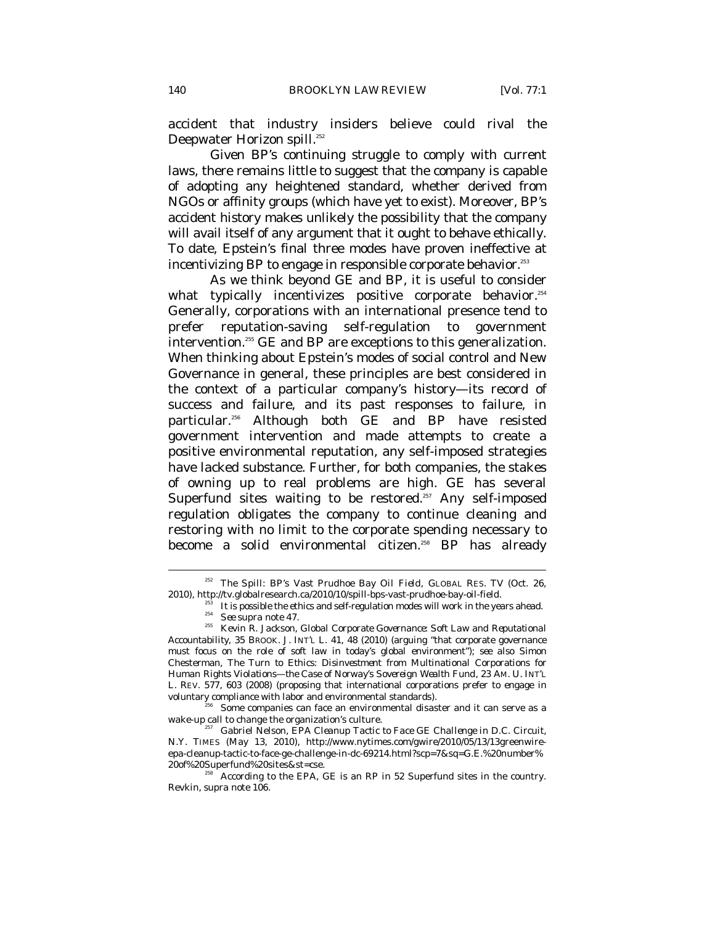accident that industry insiders believe could rival the Deepwater Horizon spill.<sup>252</sup>

Given BP's continuing struggle to comply with current laws, there remains little to suggest that the company is capable of adopting any heightened standard, whether derived from NGOs or affinity groups (which have yet to exist). Moreover, BP's accident history makes unlikely the possibility that the company will avail itself of any argument that it ought to behave ethically. To date, Epstein's final three modes have proven ineffective at incentivizing BP to engage in responsible corporate behavior.<sup>253</sup>

As we think beyond GE and BP, it is useful to consider what typically incentivizes positive corporate behavior.<sup>254</sup> Generally, corporations with an international presence tend to prefer reputation-saving self-regulation to government intervention.<sup>255</sup> GE and BP are exceptions to this generalization. When thinking about Epstein's modes of social control and New Governance in general, these principles are best considered in the context of a particular company's history—its record of success and failure, and its past responses to failure, in particular.256 Although both GE and BP have resisted government intervention and made attempts to create a positive environmental reputation, any self-imposed strategies have lacked substance. Further, for both companies, the stakes of owning up to real problems are high. GE has several Superfund sites waiting to be restored.<sup>257</sup> Any self-imposed regulation obligates the company to continue cleaning and restoring with no limit to the corporate spending necessary to become a solid environmental citizen.<sup>258</sup> BP has already

 $\overline{a}$ 

voluntary compliance with labor and environmental standards).<br><sup>256</sup> Some companies can face an environmental disaster and it can serve as a wake-up call to change the organization's culture.

<sup>257</sup> Gabriel Nelson, *EPA Cleanup Tactic to Face GE Challenge in D.C. Circuit*, N.Y. TIMES (May 13, 2010), http://www.nytimes.com/gwire/2010/05/13/13greenwireepa-cleanup-tactic-to-face-ge-challenge-in-dc-69214.html?scp=7&sq=G.E.%20number%

<sup>&</sup>lt;sup>252</sup> *The Spill: BP's Vast Prudhoe Bay Oil Field*, GLOBAL RES. TV (Oct. 26,

<sup>%2010),</sup> http://tv.globalresearch.ca/2010/10/spill-bps-vast-prudhoe-bay-oil-field.<br><sup>253</sup> It is possible the ethics and self-regulation modes will work in the years ahead.<br><sup>254</sup> *See supra* note 47.<br><sup>255</sup> Kevin R. Jackson,

*Accountability*, 35 BROOK. J. INT'L L. 41, 48 (2010) (arguing "that corporate governance must focus on the role of soft law in today's global environment"); *see also* Simon Chesterman, *The Turn to Ethics: Disinvestment from Multinational Corporations for Human Rights Violations—the Case of Norway's Sovereign Wealth Fund*, 23 AM. U. INT'L L. REV. 577, 603 (2008) (proposing that international corporations prefer to engage in

According to the EPA, GE is an RP in 52 Superfund sites in the country. Revkin, *supra* note 106.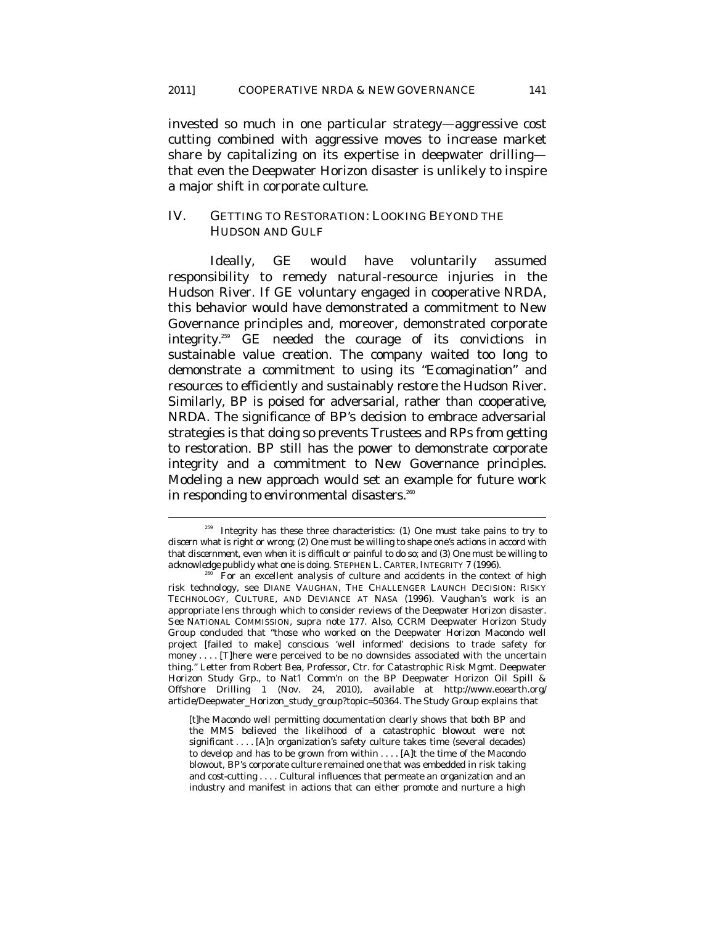invested so much in one particular strategy—aggressive cost cutting combined with aggressive moves to increase market share by capitalizing on its expertise in deepwater drilling that even the Deepwater Horizon disaster is unlikely to inspire a major shift in corporate culture.

#### IV. GETTING TO RESTORATION: LOOKING BEYOND THE HUDSON AND GULF

Ideally, GE would have voluntarily assumed responsibility to remedy natural-resource injuries in the Hudson River. If GE voluntary engaged in cooperative NRDA, this behavior would have demonstrated a commitment to New Governance principles and, moreover, demonstrated corporate integrity.259 GE needed the courage of its convictions in sustainable value creation. The company waited too long to demonstrate a commitment to using its "Ecomagination" and resources to efficiently and sustainably restore the Hudson River. Similarly, BP is poised for adversarial, rather than cooperative, NRDA. The significance of BP's decision to embrace adversarial strategies is that doing so prevents Trustees and RPs from getting to restoration. BP still has the power to demonstrate corporate integrity and a commitment to New Governance principles. Modeling a new approach would set an example for future work in responding to environmental disasters.<sup>260</sup>

 $259$  Integrity has these three characteristics: (1) One must take pains to try to *discern* what is right or wrong; (2) One must be willing to shape one's actions in accord with that *discernment*, even when it is difficult or painful to do so; and (3) One must be willing to *acknowledge* publicly what one is doing. STEPHEN L. CARTER, INTEGRITY 7 (1996).

For an excellent analysis of culture and accidents in the context of high risk technology, see DIANE VAUGHAN, THE CHALLENGER LAUNCH DECISION: RISKY TECHNOLOGY, CULTURE, AND DEVIANCE AT NASA (1996). Vaughan's work is an appropriate lens through which to consider reviews of the Deepwater Horizon disaster. *See* NATIONAL COMMISSION, *supra* note 177. Also, CCRM Deepwater Horizon Study Group concluded that "those who worked on the Deepwater Horizon Macondo well project [failed to make] conscious 'well informed' decisions to trade safety for money . . . . [T]here were perceived to be no downsides associated with the uncertain thing." Letter from Robert Bea, Professor, Ctr. for Catastrophic Risk Mgmt. Deepwater Horizon Study Grp., to Nat'l Comm'n on the BP Deepwater Horizon Oil Spill & Offshore Drilling 1 (Nov. 24, 2010), *available at* http://www.eoearth.org/ article/Deepwater\_Horizon\_study\_group?topic=50364. The Study Group explains that

<sup>[</sup>t]he Macondo well permitting documentation clearly shows that both BP and the MMS believed the likelihood of a catastrophic blowout were not significant . . . . [A]n organization's safety culture takes time (several decades) to develop and has to be grown from within . . . . [A]t the time of the Macondo blowout, BP's corporate culture remained one that was embedded in risk taking and cost-cutting . . . . Cultural influences that permeate an organization and an industry and manifest in actions that can either promote and nurture a high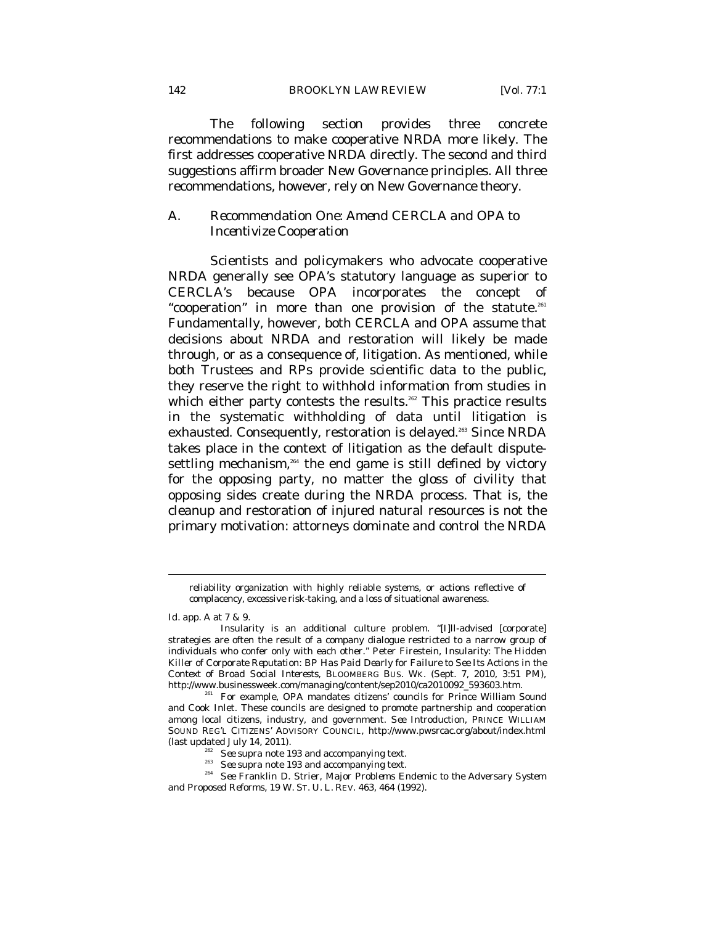The following section provides three concrete recommendations to make cooperative NRDA more likely. The first addresses cooperative NRDA directly. The second and third suggestions affirm broader New Governance principles. All three recommendations, however, rely on New Governance theory.

### *A. Recommendation One: Amend CERCLA and OPA to Incentivize Cooperation*

Scientists and policymakers who advocate cooperative NRDA generally see OPA's statutory language as superior to CERCLA's because OPA incorporates the concept of "cooperation" in more than one provision of the statute.<sup>261</sup> Fundamentally, however, both CERCLA and OPA assume that decisions about NRDA and restoration will likely be made through, or as a consequence of, litigation. As mentioned, while both Trustees and RPs provide scientific data to the public, they reserve the right to withhold information from studies in which either party contests the results.<sup>262</sup> This practice results in the systematic withholding of data until litigation is exhausted. Consequently, restoration is delayed.<sup>263</sup> Since NRDA takes place in the context of litigation as the default disputesettling mechanism, $264$  the end game is still defined by victory for the opposing party, no matter the gloss of civility that opposing sides create during the NRDA process. That is, the cleanup and restoration of injured natural resources is not the primary motivation: attorneys dominate and control the NRDA

reliability organization with highly reliable systems, or actions reflective of complacency, excessive risk-taking, and a loss of situational awareness.

*Id.* app. A at 7 & 9.

Insularity is an additional culture problem. "[I]ll-advised [corporate] strategies are often the result of a company dialogue restricted to a narrow group of individuals who confer only with each other." Peter Firestein, *Insularity: The Hidden Killer of Corporate Reputation: BP Has Paid Dearly for Failure to See Its Actions in the Context of Broad Social Interests*, BLOOMBERG BUS. WK. (Sept. 7, 2010, 3:51 PM), http://www.businessweek.com/managing/content/sep2010/ca2010092\_593603.htm. 261 For example, OPA mandates citizens' councils for Prince William Sound

and Cook Inlet. These councils are designed to promote partnership and cooperation among local citizens, industry, and government. *See Introduction*, PRINCE WILLIAM SOUND REG'L CITIZENS' ADVISORY COUNCIL, http://www.pwsrcac.org/about/index.html

<sup>(</sup>last updated July 14, 2011).<br>
<sup>262</sup> See supra note 193 and accompanying text.<br>
<sup>263</sup> See supra note 193 and accompanying text.<br>
<sup>264</sup> See Franklin D. Strier, *Major Problems Endemic to the Adversary System and Proposed Reforms*, 19 W. ST. U. L. REV. 463, 464 (1992).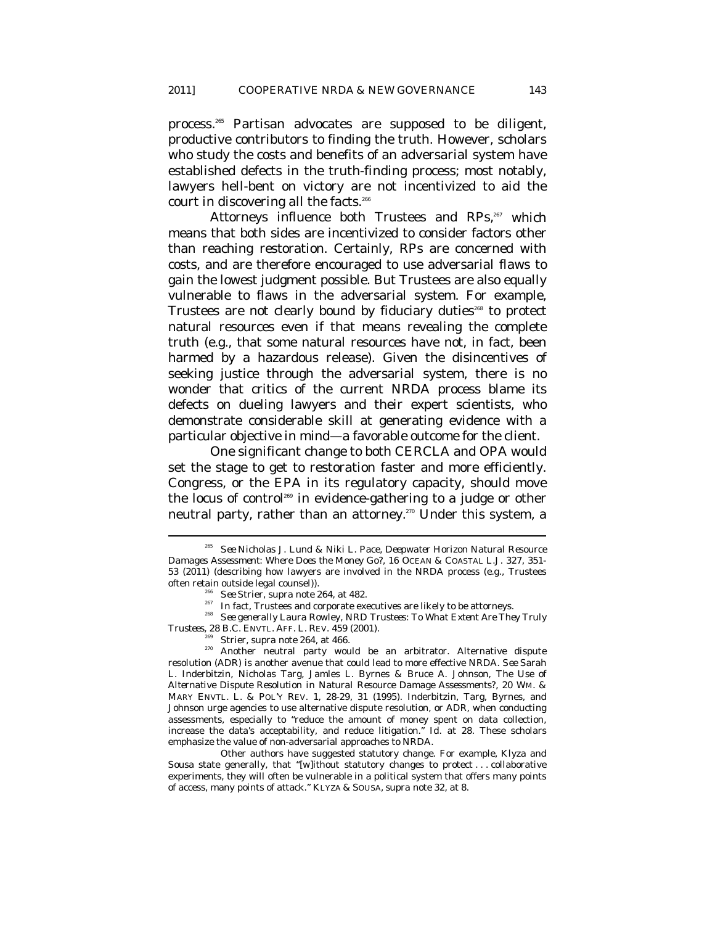process.265 Partisan advocates are supposed to be diligent, productive contributors to finding the truth. However, scholars who study the costs and benefits of an adversarial system have established defects in the truth-finding process; most notably, lawyers hell-bent on victory are not incentivized to aid the court in discovering all the facts. $266$ 

Attorneys influence both Trustees and RPs,<sup>267</sup> which means that both sides are incentivized to consider factors other than reaching restoration. Certainly, RPs are concerned with costs, and are therefore encouraged to use adversarial flaws to gain the lowest judgment possible. But Trustees are also equally vulnerable to flaws in the adversarial system. For example, Trustees are not clearly bound by fiduciary duties<sup>268</sup> to protect natural resources even if that means revealing the complete truth (e.g., that some natural resources have not, in fact, been harmed by a hazardous release). Given the disincentives of seeking justice through the adversarial system, there is no wonder that critics of the current NRDA process blame its defects on dueling lawyers and their expert scientists, who demonstrate considerable skill at generating evidence with a particular objective in mind—a favorable outcome for the client.

One significant change to both CERCLA and OPA would set the stage to get to restoration faster and more efficiently. Congress, or the EPA in its regulatory capacity, should move the locus of control269 in evidence-gathering to a judge or other neutral party, rather than an attorney.<sup>270</sup> Under this system, a

<sup>265</sup> *See* Nicholas J. Lund & Niki L. Pace, *Deepwater Horizon Natural Resource Damages Assessment: Where Does the Money Go?*, 16 OCEAN & COASTAL L.J. 327, 351- 53 (2011) (describing how lawyers are involved in the NRDA process (e.g., Trustees often retain outside legal counsel)).

<sup>266</sup> *See* Strier, *supra* note 264, at 482. 267 In fact, Trustees and corporate executives are likely to be attorneys. 268 *See generally* Laura Rowley, *NRD Trustees: To What Extent Are They Truly* 

*Trustees*, 28 B.C. ENVTL. AFF. L. REV. 459 (2001).<br><sup>269</sup> Strier, *supra* note 264, at 466.<br><sup>270</sup> Another neutral party would be an arbitrator. Alternative dispute resolution (ADR) is another avenue that could lead to more effective NRDA. *See* Sarah L. Inderbitzin, Nicholas Targ, Jamles L. Byrnes & Bruce A. Johnson, *The Use of Alternative Dispute Resolution in Natural Resource Damage Assessments?*, 20 WM. & MARY ENVTL. L. & POL'Y REV. 1, 28-29, 31 (1995). Inderbitzin, Targ, Byrnes, and Johnson urge agencies to use alternative dispute resolution, or ADR, when conducting assessments, especially to "reduce the amount of money spent on data collection, increase the data's acceptability, and reduce litigation." *Id.* at 28. These scholars emphasize the value of non-adversarial approaches to NRDA.

Other authors have suggested statutory change. For example, Klyza and Sousa state generally, that "[w]ithout statutory changes to protect . . . collaborative experiments, they will often be vulnerable in a political system that offers many points of access, many points of attack." KLYZA & SOUSA, *supra* note 32, at 8.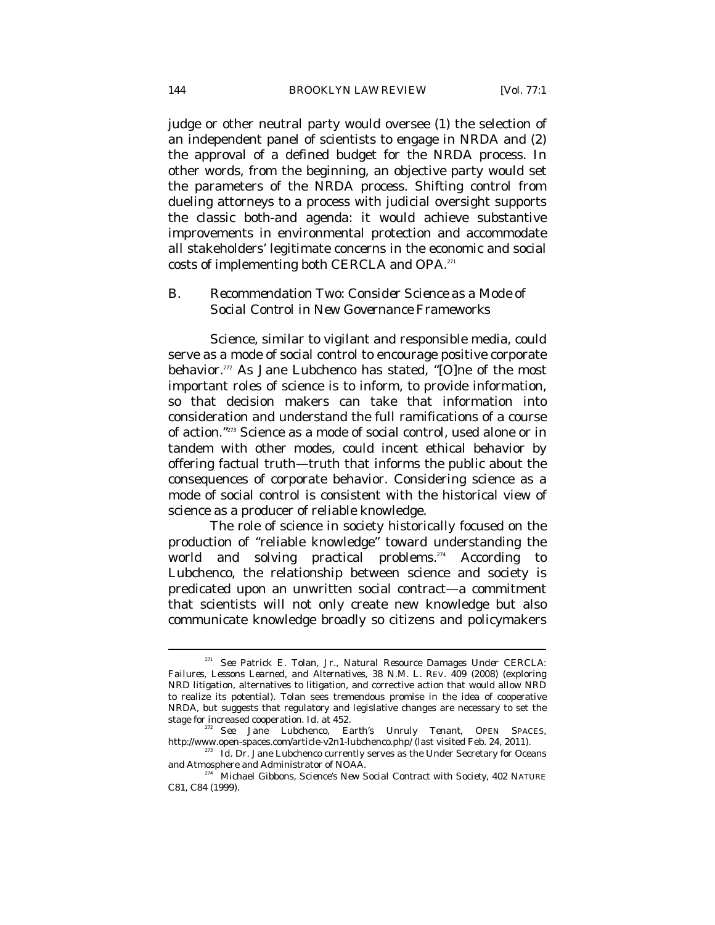judge or other neutral party would oversee (1) the selection of an independent panel of scientists to engage in NRDA and (2) the approval of a defined budget for the NRDA process. In other words, from the beginning, an objective party would set the parameters of the NRDA process. Shifting control from dueling attorneys to a process with judicial oversight supports the classic both-and agenda: it would achieve substantive improvements in environmental protection and accommodate all stakeholders' legitimate concerns in the economic and social costs of implementing both CERCLA and OPA.271

# *B. Recommendation Two: Consider Science as a Mode of Social Control in New Governance Frameworks*

Science, similar to vigilant and responsible media, could serve as a mode of social control to encourage positive corporate behavior.272 As Jane Lubchenco has stated, "[O]ne of the most important roles of science is to inform, to provide information, so that decision makers can take that information into consideration and understand the full ramifications of a course of action."273 Science as a mode of social control, used alone or in tandem with other modes, could incent ethical behavior by offering factual truth—truth that informs the public about the consequences of corporate behavior. Considering science as a mode of social control is consistent with the historical view of science as a producer of reliable knowledge.

The role of science in society historically focused on the production of "reliable knowledge" toward understanding the world and solving practical problems.<sup>274</sup> According Lubchenco, the relationship between science and society is predicated upon an unwritten social contract—a commitment that scientists will not only create new knowledge but also communicate knowledge broadly so citizens and policymakers

<sup>271</sup> *See* Patrick E. Tolan, Jr., *Natural Resource Damages Under CERCLA: Failures, Lessons Learned, and Alternatives*, 38 N.M. L. REV. 409 (2008) (exploring NRD litigation, alternatives to litigation, and corrective action that would allow NRD to realize its potential). Tolan sees tremendous promise in the idea of cooperative NRDA, but suggests that regulatory and legislative changes are necessary to set the stage for increased cooperation.  $Id$  at 452.

stage for increased cooperation. *Id.* at 452. 272 *See* Jane Lubchenco, *Earth's Unruly Tenant*, OPEN SPACES, http://www.open-spaces.com/article-v2n1-lubchenco.php/ (last visited Feb. 24, 2011). 273 *Id.* Dr. Jane Lubchenco currently serves as the Under Secretary for Oceans

and Atmosphere and Administrator of NOAA. 274 Michael Gibbons, *Science's New Social Contract with Society*, 402 NATURE

C81, C84 (1999).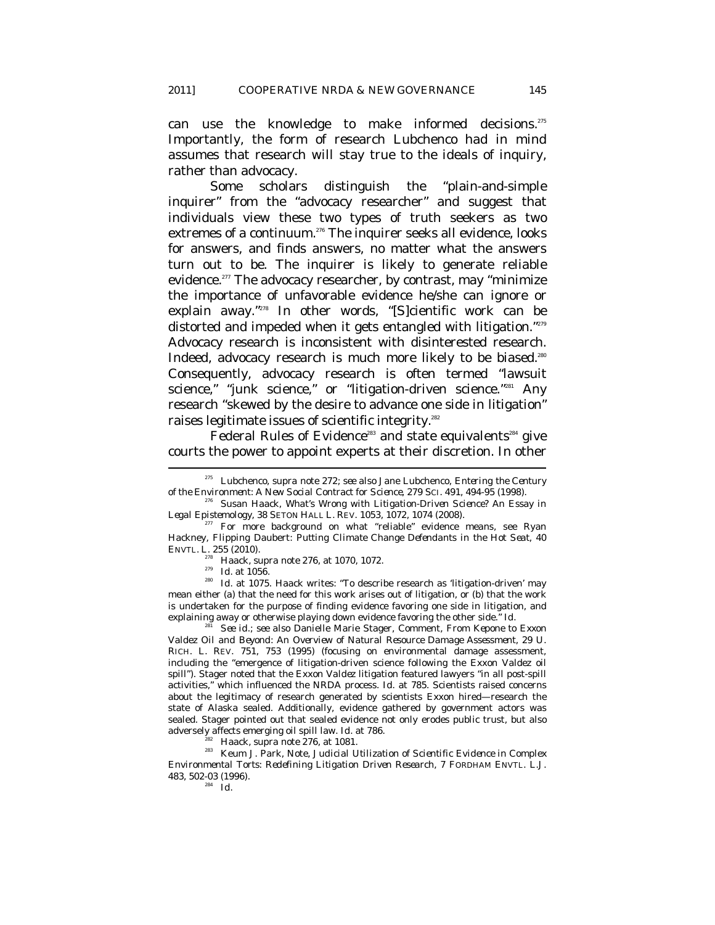can use the knowledge to make informed decisions.275 Importantly, the form of research Lubchenco had in mind assumes that research will stay true to the ideals of inquiry, rather than advocacy.

Some scholars distinguish the "plain-and-simple inquirer" from the "advocacy researcher" and suggest that individuals view these two types of truth seekers as two extremes of a continuum.<sup>276</sup> The inquirer seeks all evidence, looks for answers, and finds answers, no matter what the answers turn out to be. The inquirer is likely to generate reliable evidence.<sup>277</sup> The advocacy researcher, by contrast, may "minimize" the importance of unfavorable evidence he/she can ignore or explain away."278 In other words, "[S]cientific work can be distorted and impeded when it gets entangled with litigation."<sup>279</sup> Advocacy research is inconsistent with disinterested research. Indeed, advocacy research is much more likely to be biased.<sup>280</sup> Consequently, advocacy research is often termed "lawsuit science," "junk science," or "litigation-driven science."<sup>281</sup> Any research "skewed by the desire to advance one side in litigation" raises legitimate issues of scientific integrity.<sup>282</sup>

Federal Rules of Evidence<sup>283</sup> and state equivalents<sup>284</sup> give courts the power to appoint experts at their discretion. In other

<sup>281</sup> *See id.*; *see also* Danielle Marie Stager, Comment, *From Kepone to Exxon*  Valdez *Oil and Beyond: An Overview of Natural Resource Damage Assessment*, 29 U. RICH. L. REV. 751, 753 (1995) (focusing on environmental damage assessment, including the "emergence of litigation-driven science following the Exxon Valdez oil spill"). Stager noted that the Exxon *Valdez* litigation featured lawyers "in all post-spill activities," which influenced the NRDA process. *Id.* at 785. Scientists raised concerns about the legitimacy of research generated by scientists Exxon hired—research the state of Alaska sealed. Additionally, evidence gathered by government actors was sealed. Stager pointed out that sealed evidence not only erodes public trust, but also adversely affects emerging oil spill law. *Id.* at 786.

<sup>282</sup> Haack, *supra* note 276, at 1081.<br><sup>283</sup> Keum J. Park, Note, *Judicial Utilization of Scientific Evidence in Complex Environmental Torts: Redefining Litigation Driven Research*, 7 FORDHAM ENVTL. L.J. 483, 502-03 (1996). 284 *Id.*

<sup>275</sup> Lubchenco, *supra* note 272; *see also* Jane Lubchenco, *Entering the Century* 

*of the Environment: A New Social Contract for Science, 279 SCI. 491, 494-95 (1998).*<br><sup>276</sup> Susan Haack, *What's Wrong with Litigation-Driven Science? An Essay in Legal Epistemology, 38 SETON HALL L. REV. 1053, 1072, 1074* 

<sup>&</sup>lt;sup>77</sup> For more background on what "reliable" evidence means, see Ryan Hackney, *Flipping* Daubert*: Putting Climate Change Defendants in the Hot Seat*, 40 ENVTL. L. 255 (2010).

<sup>278</sup> Haack, *supra* note 276, at 1070, 1072.<br><sup>278</sup> Id. at 1056.<br><sup>280</sup> Id. at 1075. Haack writes: "To describe research as 'litigation-driven' may mean either (a) that the need for this work arises out of litigation, or (b) that the work is undertaken for the purpose of finding evidence favoring one side in litigation, and explaining away or otherwise playing down evidence favoring the other side." *Id.*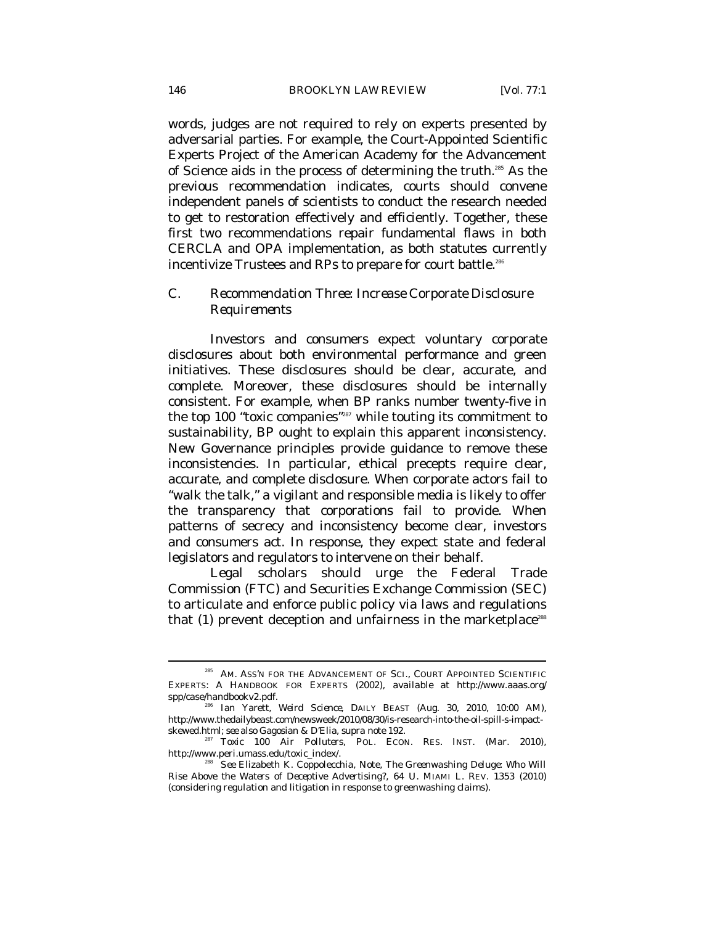words, judges are not required to rely on experts presented by adversarial parties. For example, the Court-Appointed Scientific Experts Project of the American Academy for the Advancement of Science aids in the process of determining the truth.285 As the previous recommendation indicates, courts should convene independent panels of scientists to conduct the research needed to get to restoration effectively and efficiently. Together, these first two recommendations repair fundamental flaws in both CERCLA and OPA implementation, as both statutes currently incentivize Trustees and RPs to prepare for court battle.286

# *C. Recommendation Three: Increase Corporate Disclosure Requirements*

Investors and consumers expect voluntary corporate disclosures about both environmental performance and green initiatives. These disclosures should be clear, accurate, and complete. Moreover, these disclosures should be internally consistent. For example, when BP ranks number twenty-five in the top 100 "toxic companies"<sup>287</sup> while touting its commitment to sustainability, BP ought to explain this apparent inconsistency. New Governance principles provide guidance to remove these inconsistencies. In particular, ethical precepts require clear, accurate, and complete disclosure. When corporate actors fail to "walk the talk," a vigilant and responsible media is likely to offer the transparency that corporations fail to provide. When patterns of secrecy and inconsistency become clear, investors and consumers act. In response, they expect state and federal legislators and regulators to intervene on their behalf.

Legal scholars should urge the Federal Trade Commission (FTC) and Securities Exchange Commission (SEC) to articulate and enforce public policy via laws and regulations that  $(1)$  prevent deception and unfairness in the marketplace<sup>288</sup>

<sup>&</sup>lt;sup>285</sup> AM. ASS'N FOR THE ADVANCEMENT OF SCI., COURT APPOINTED SCIENTIFIC EXPERTS: A HANDBOOK FOR EXPERTS (2002), *available at* http://www.aaas.org/ spp/case/handbookv2.pdf. 286 Ian Yarett, *Weird Science*, DAILY BEAST (Aug. 30, 2010, 10:00 AM),

http://www.thedailybeast.com/newsweek/2010/08/30/is-research-into-the-oil-spill-s-impact-<br>skewed.html; *see also* Gagosian & D'Elia, *supra* note 192.

<sup>&</sup>lt;sup>287</sup> Toxic 100 Air Polluters, POL. ECON. RES. INST. (Mar. 2010), http://www.peri.umass.edu/toxic\_index/.

here Elizabeth K. Coppolecchia, Note, The Greenwashing Deluge: Who Will *Rise Above the Waters of Deceptive Advertising?*, 64 U. MIAMI L. REV. 1353 (2010) (considering regulation and litigation in response to greenwashing claims).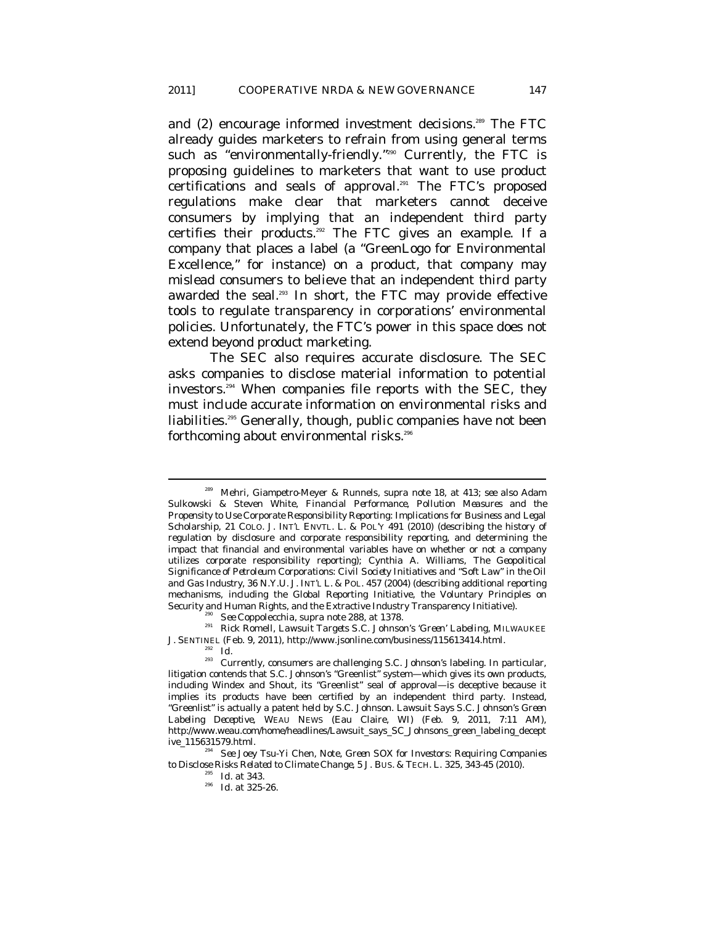and (2) encourage informed investment decisions.<sup>289</sup> The FTC already guides marketers to refrain from using general terms such as "environmentally-friendly."<sup>290</sup> Currently, the FTC is proposing guidelines to marketers that want to use product certifications and seals of approval.291 The FTC's proposed regulations make clear that marketers cannot deceive consumers by implying that an independent third party certifies their products.292 The FTC gives an example. If a company that places a label (a "GreenLogo for Environmental Excellence," for instance) on a product, that company may mislead consumers to believe that an independent third party awarded the seal.<sup>293</sup> In short, the FTC may provide effective tools to regulate transparency in corporations' environmental policies. Unfortunately, the FTC's power in this space does not extend beyond product marketing.

The SEC also requires accurate disclosure. The SEC asks companies to disclose material information to potential investors.294 When companies file reports with the SEC, they must include accurate information on environmental risks and liabilities.<sup>295</sup> Generally, though, public companies have not been forthcoming about environmental risks.<sup>296</sup>

<sup>289</sup> Mehri, Giampetro-Meyer & Runnels, *supra* note 18, at 413; *see also* Adam Sulkowski & Steven White, *Financial Performance, Pollution Measures and the Propensity to Use Corporate Responsibility Reporting: Implications for Business and Legal Scholarship*, 21 COLO. J. INT'L ENVTL. L. & POL'Y 491 (2010) (describing the history of regulation by disclosure and corporate responsibility reporting, and determining the impact that financial and environmental variables have on whether or not a company utilizes corporate responsibility reporting); Cynthia A. Williams, *The Geopolitical Significance of Petroleum Corporations: Civil Society Initiatives and "Soft Law" in the Oil and Gas Industry*, 36 N.Y.U. J. INT'L L. & POL. 457 (2004) (describing additional reporting mechanisms, including the Global Reporting Initiative, the Voluntary Principles on Security and Human Rights, and the Extractive Industry Transparency Initiative). 290 *See* Coppolecchia, *supra* note 288, at 1378. 291 Rick Romell, *Lawsuit Targets S.C. Johnson's 'Green' Labeling*, MILWAUKEE

J. SENTINEL (Feb. 9, 2011), http://www.jsonline.com/business/115613414.html. 292 *Id.* 293 Currently, consumers are challenging S.C. Johnson's labeling. In particular,

litigation contends that S.C. Johnson's "Greenlist" system—which gives its own products, including Windex and Shout, its "Greenlist" seal of approval—is deceptive because it implies its products have been certified by an independent third party. Instead, "Greenlist" is actually a patent held by S.C. Johnson. *Lawsuit Says S.C. Johnson's Green Labeling Deceptive*, WEAU NEWS (Eau Claire, WI) (Feb. 9, 2011, 7:11 AM), http://www.weau.com/home/headlines/Lawsuit\_says\_SC\_Johnsons\_green\_labeling\_decept ive\_115631579.html. 294 *See* Joey Tsu-Yi Chen, Note, *Green SOX for Investors: Requiring Companies* 

*to Disclose Risks Related to Climate Change*, 5 J. Bus. & TECH. L. 325, 343-45 (2010).<br><sup>295</sup> *Id.* at 343.<br>*Id.* at 325-26.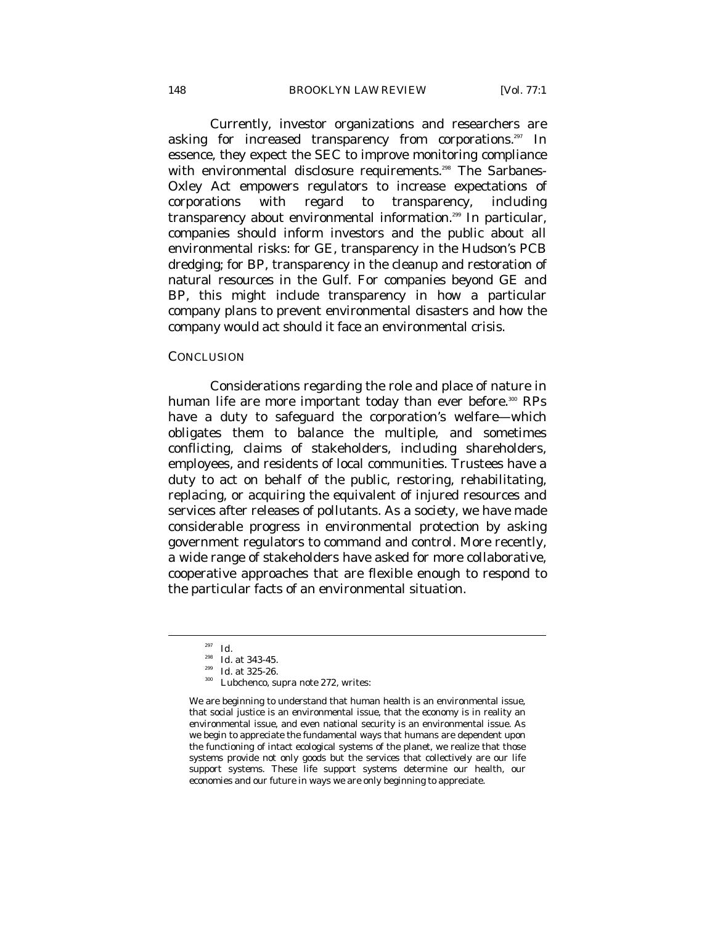Currently, investor organizations and researchers are asking for increased transparency from corporations.<sup>297</sup> In essence, they expect the SEC to improve monitoring compliance with environmental disclosure requirements.<sup>298</sup> The Sarbanes-Oxley Act empowers regulators to increase expectations of corporations with regard to transparency, including transparency about environmental information.<sup>299</sup> In particular, companies should inform investors and the public about all environmental risks: for GE, transparency in the Hudson's PCB dredging; for BP, transparency in the cleanup and restoration of natural resources in the Gulf. For companies beyond GE and BP, this might include transparency in how a particular company plans to prevent environmental disasters and how the company would act should it face an environmental crisis.

#### **CONCLUSION**

Considerations regarding the role and place of nature in human life are more important today than ever before.<sup>300</sup> RPs have a duty to safeguard the corporation's welfare—which obligates them to balance the multiple, and sometimes conflicting, claims of stakeholders, including shareholders, employees, and residents of local communities. Trustees have a duty to act on behalf of the public, restoring, rehabilitating, replacing, or acquiring the equivalent of injured resources and services after releases of pollutants. As a society, we have made considerable progress in environmental protection by asking government regulators to command and control. More recently, a wide range of stakeholders have asked for more collaborative, cooperative approaches that are flexible enough to respond to the particular facts of an environmental situation.

<sup>&</sup>lt;sup>297</sup> *Id.*<br><sup>298</sup> *Id.* at 343-45.

<sup>&</sup>lt;sup>299</sup> *Id.* at 325-26.<br><sup>300</sup> Lubchenco, *supra* note 272, writes:

We are beginning to understand that human health is an environmental issue, that social justice is an environmental issue, that the economy is in reality an environmental issue, and even national security is an environmental issue. As we begin to appreciate the fundamental ways that humans are dependent upon the functioning of intact ecological systems of the planet, we realize that those systems provide not only goods but the services that collectively are our life support systems. These life support systems determine our health, our economies and our future in ways we are only beginning to appreciate.